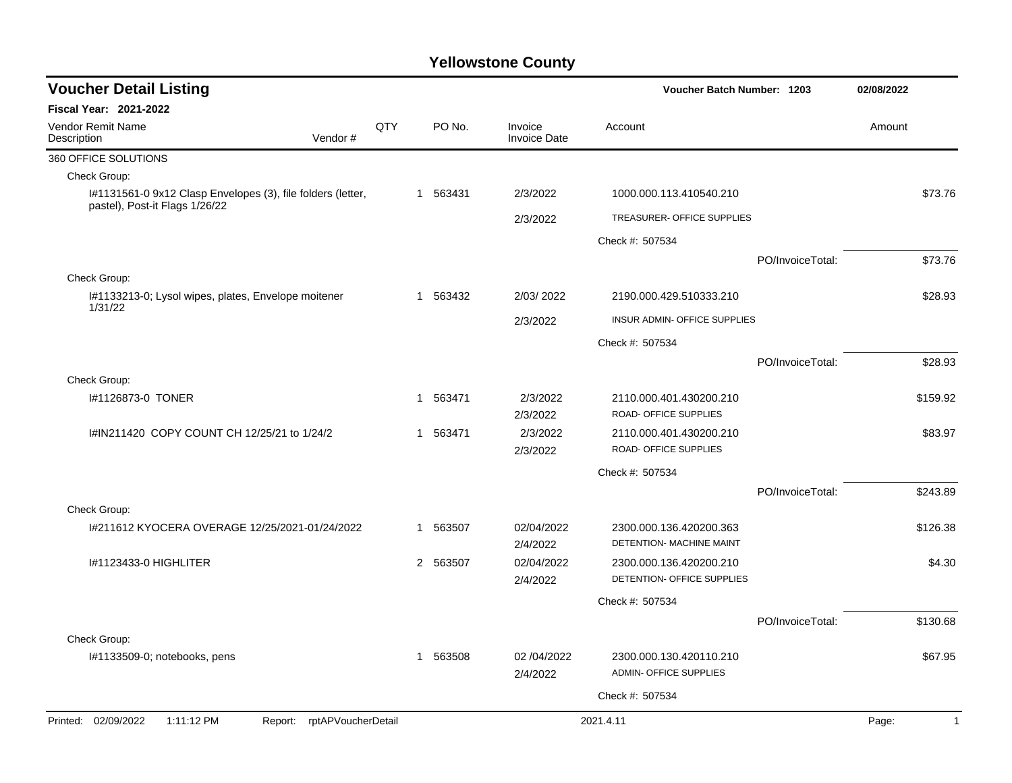| <b>Voucher Detail Listing</b>                                                                 |     |              |          |                                | Voucher Batch Number: 1203                          |                  | 02/08/2022              |
|-----------------------------------------------------------------------------------------------|-----|--------------|----------|--------------------------------|-----------------------------------------------------|------------------|-------------------------|
| Fiscal Year: 2021-2022                                                                        |     |              |          |                                |                                                     |                  |                         |
| Vendor Remit Name<br>Vendor#<br>Description                                                   | QTY |              | PO No.   | Invoice<br><b>Invoice Date</b> | Account                                             |                  | Amount                  |
| 360 OFFICE SOLUTIONS                                                                          |     |              |          |                                |                                                     |                  |                         |
| Check Group:                                                                                  |     |              |          |                                |                                                     |                  |                         |
| I#1131561-0 9x12 Clasp Envelopes (3), file folders (letter,<br>pastel), Post-it Flags 1/26/22 |     | $\mathbf{1}$ | 563431   | 2/3/2022                       | 1000.000.113.410540.210                             |                  | \$73.76                 |
|                                                                                               |     |              |          | 2/3/2022                       | TREASURER- OFFICE SUPPLIES                          |                  |                         |
|                                                                                               |     |              |          |                                | Check #: 507534                                     |                  |                         |
|                                                                                               |     |              |          |                                |                                                     | PO/InvoiceTotal: | \$73.76                 |
| Check Group:                                                                                  |     |              |          |                                |                                                     |                  |                         |
| I#1133213-0; Lysol wipes, plates, Envelope moitener<br>1/31/22                                |     | 1            | 563432   | 2/03/2022                      | 2190.000.429.510333.210                             |                  | \$28.93                 |
|                                                                                               |     |              |          | 2/3/2022                       | INSUR ADMIN- OFFICE SUPPLIES                        |                  |                         |
|                                                                                               |     |              |          |                                | Check #: 507534                                     |                  |                         |
|                                                                                               |     |              |          |                                |                                                     | PO/InvoiceTotal: | \$28.93                 |
| Check Group:                                                                                  |     |              |          |                                |                                                     |                  |                         |
| I#1126873-0 TONER                                                                             |     | $\mathbf{1}$ | 563471   | 2/3/2022<br>2/3/2022           | 2110.000.401.430200.210<br>ROAD- OFFICE SUPPLIES    |                  | \$159.92                |
| I#IN211420 COPY COUNT CH 12/25/21 to 1/24/2                                                   |     | 1            | 563471   | 2/3/2022<br>2/3/2022           | 2110.000.401.430200.210<br>ROAD- OFFICE SUPPLIES    |                  | \$83.97                 |
|                                                                                               |     |              |          |                                | Check #: 507534                                     |                  |                         |
|                                                                                               |     |              |          |                                |                                                     | PO/InvoiceTotal: | \$243.89                |
| Check Group:                                                                                  |     |              |          |                                |                                                     |                  |                         |
| 1#211612 KYOCERA OVERAGE 12/25/2021-01/24/2022                                                |     | 1            | 563507   | 02/04/2022<br>2/4/2022         | 2300.000.136.420200.363<br>DETENTION- MACHINE MAINT |                  | \$126.38                |
| 1#1123433-0 HIGHLITER                                                                         |     |              | 2 563507 | 02/04/2022                     | 2300.000.136.420200.210                             |                  | \$4.30                  |
|                                                                                               |     |              |          | 2/4/2022                       | DETENTION- OFFICE SUPPLIES                          |                  |                         |
|                                                                                               |     |              |          |                                | Check #: 507534                                     |                  |                         |
|                                                                                               |     |              |          |                                |                                                     | PO/InvoiceTotal: | \$130.68                |
| Check Group:                                                                                  |     |              |          |                                |                                                     |                  |                         |
| I#1133509-0; notebooks, pens                                                                  |     | $\mathbf{1}$ | 563508   | 02 /04/2022<br>2/4/2022        | 2300.000.130.420110.210<br>ADMIN- OFFICE SUPPLIES   |                  | \$67.95                 |
|                                                                                               |     |              |          |                                | Check #: 507534                                     |                  |                         |
| 1:11:12 PM<br>Printed: 02/09/2022<br>Report: rptAPVoucherDetail                               |     |              |          |                                | 2021.4.11                                           |                  | Page:<br>$\overline{1}$ |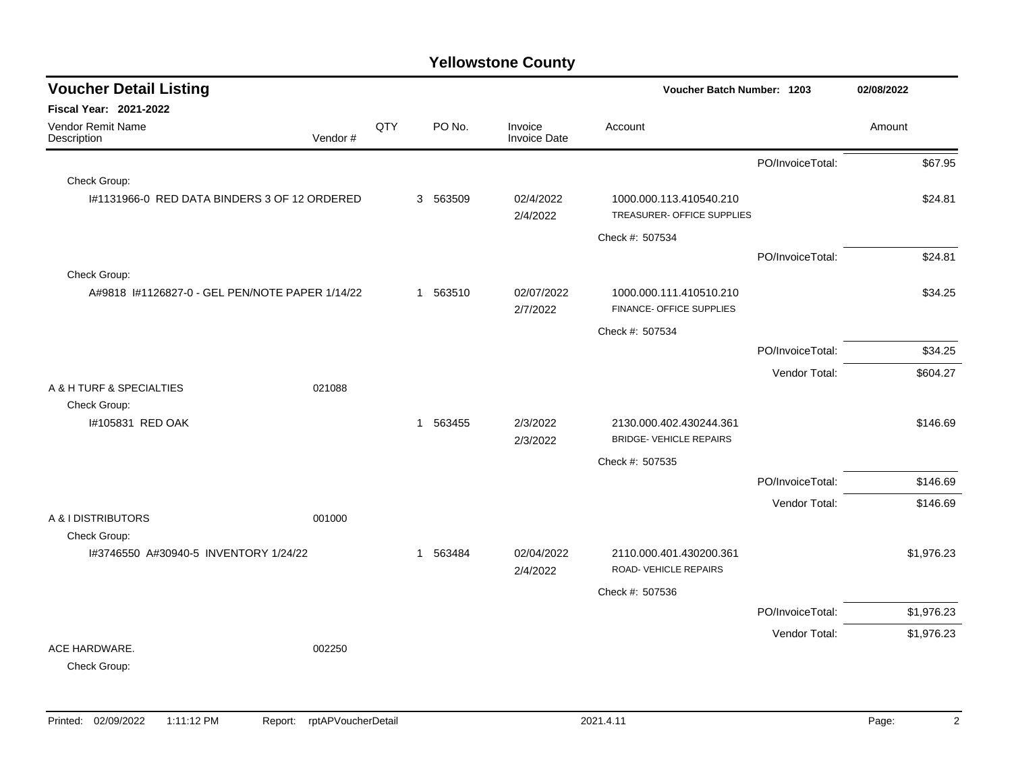| <b>Voucher Detail Listing</b>                         |     |          |                         | Voucher Batch Number: 1203                            |                  | 02/08/2022 |            |
|-------------------------------------------------------|-----|----------|-------------------------|-------------------------------------------------------|------------------|------------|------------|
| Fiscal Year: 2021-2022                                |     |          |                         |                                                       |                  |            |            |
| <b>Vendor Remit Name</b><br>Description<br>Vendor #   | QTY | PO No.   | Invoice<br>Invoice Date | Account                                               |                  | Amount     |            |
|                                                       |     |          |                         |                                                       | PO/InvoiceTotal: |            | \$67.95    |
| Check Group:                                          |     |          |                         |                                                       |                  |            |            |
| I#1131966-0 RED DATA BINDERS 3 OF 12 ORDERED          |     | 3 563509 | 02/4/2022<br>2/4/2022   | 1000.000.113.410540.210<br>TREASURER- OFFICE SUPPLIES |                  |            | \$24.81    |
|                                                       |     |          |                         | Check #: 507534                                       |                  |            |            |
|                                                       |     |          |                         |                                                       | PO/InvoiceTotal: |            | \$24.81    |
| Check Group:                                          |     |          |                         |                                                       |                  |            |            |
| A#9818 I#1126827-0 - GEL PEN/NOTE PAPER 1/14/22       |     | 1 563510 | 02/07/2022<br>2/7/2022  | 1000.000.111.410510.210<br>FINANCE- OFFICE SUPPLIES   |                  |            | \$34.25    |
|                                                       |     |          |                         | Check #: 507534                                       |                  |            |            |
|                                                       |     |          |                         |                                                       | PO/InvoiceTotal: |            | \$34.25    |
|                                                       |     |          |                         |                                                       | Vendor Total:    |            | \$604.27   |
| A & H TURF & SPECIALTIES<br>021088                    |     |          |                         |                                                       |                  |            |            |
| Check Group:<br>I#105831 RED OAK                      |     | 1 563455 | 2/3/2022                | 2130.000.402.430244.361                               |                  |            | \$146.69   |
|                                                       |     |          | 2/3/2022                | <b>BRIDGE- VEHICLE REPAIRS</b>                        |                  |            |            |
|                                                       |     |          |                         | Check #: 507535                                       |                  |            |            |
|                                                       |     |          |                         |                                                       | PO/InvoiceTotal: |            | \$146.69   |
|                                                       |     |          |                         |                                                       | Vendor Total:    |            | \$146.69   |
| A & I DISTRIBUTORS<br>001000                          |     |          |                         |                                                       |                  |            |            |
| Check Group:<br>I#3746550 A#30940-5 INVENTORY 1/24/22 |     | 1 563484 | 02/04/2022              | 2110.000.401.430200.361                               |                  |            | \$1,976.23 |
|                                                       |     |          | 2/4/2022                | ROAD-VEHICLE REPAIRS                                  |                  |            |            |
|                                                       |     |          |                         | Check #: 507536                                       |                  |            |            |
|                                                       |     |          |                         |                                                       | PO/InvoiceTotal: |            | \$1,976.23 |
|                                                       |     |          |                         |                                                       | Vendor Total:    |            | \$1,976.23 |
| ACE HARDWARE.<br>002250<br>Check Group:               |     |          |                         |                                                       |                  |            |            |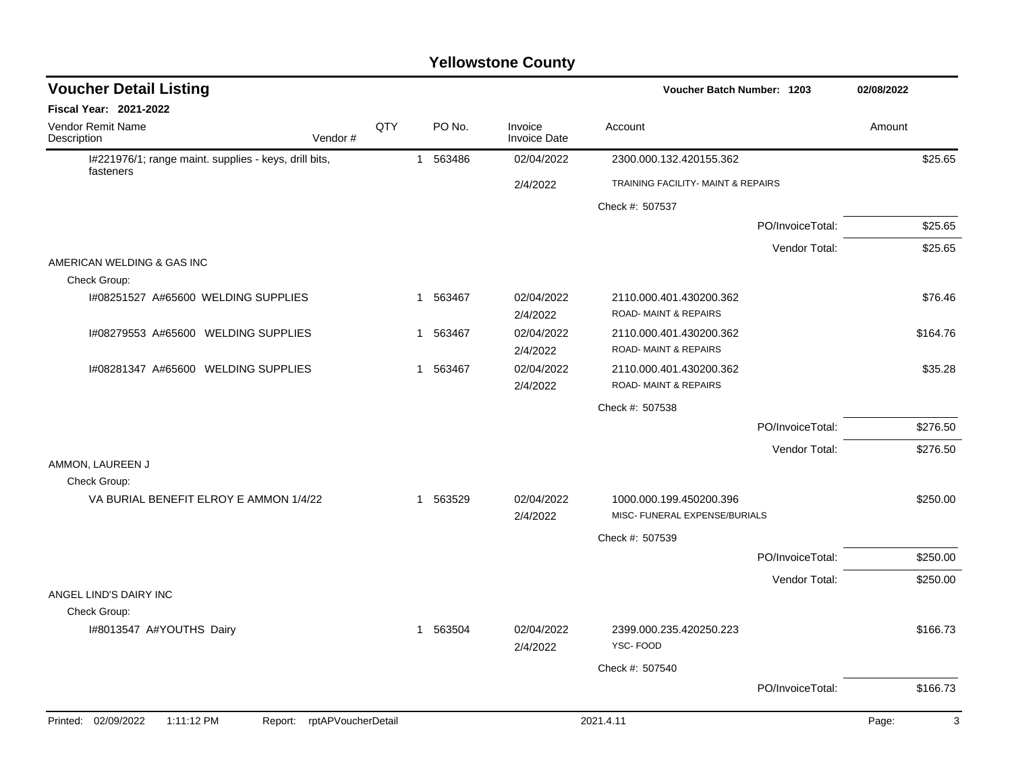| <b>Fiscal Year: 2021-2022</b><br>Vendor Remit Name<br>QTY<br>PO No.<br>Invoice<br>Amount<br>Account<br>Description<br>Vendor#<br><b>Invoice Date</b><br>I#221976/1; range maint. supplies - keys, drill bits,<br>563486<br>02/04/2022<br>2300.000.132.420155.362<br>$\mathbf{1}$<br>fasteners<br>TRAINING FACILITY- MAINT & REPAIRS<br>2/4/2022<br>Check #: 507537<br>PO/InvoiceTotal:<br>Vendor Total:<br>AMERICAN WELDING & GAS INC<br>Check Group:<br>I#08251527 A#65600 WELDING SUPPLIES<br>1 563467<br>02/04/2022<br>2110.000.401.430200.362<br>ROAD-MAINT & REPAIRS<br>2/4/2022<br>I#08279553 A#65600 WELDING SUPPLIES<br>1 563467<br>02/04/2022<br>2110.000.401.430200.362<br>ROAD-MAINT & REPAIRS<br>2/4/2022<br>02/04/2022<br>I#08281347 A#65600 WELDING SUPPLIES<br>1 563467<br>2110.000.401.430200.362<br><b>ROAD-MAINT &amp; REPAIRS</b><br>2/4/2022<br>Check #: 507538<br>PO/InvoiceTotal:<br>Vendor Total:<br>AMMON, LAUREEN J | 02/08/2022 |
|----------------------------------------------------------------------------------------------------------------------------------------------------------------------------------------------------------------------------------------------------------------------------------------------------------------------------------------------------------------------------------------------------------------------------------------------------------------------------------------------------------------------------------------------------------------------------------------------------------------------------------------------------------------------------------------------------------------------------------------------------------------------------------------------------------------------------------------------------------------------------------------------------------------------------------------------|------------|
|                                                                                                                                                                                                                                                                                                                                                                                                                                                                                                                                                                                                                                                                                                                                                                                                                                                                                                                                              |            |
|                                                                                                                                                                                                                                                                                                                                                                                                                                                                                                                                                                                                                                                                                                                                                                                                                                                                                                                                              |            |
|                                                                                                                                                                                                                                                                                                                                                                                                                                                                                                                                                                                                                                                                                                                                                                                                                                                                                                                                              | \$25.65    |
|                                                                                                                                                                                                                                                                                                                                                                                                                                                                                                                                                                                                                                                                                                                                                                                                                                                                                                                                              |            |
|                                                                                                                                                                                                                                                                                                                                                                                                                                                                                                                                                                                                                                                                                                                                                                                                                                                                                                                                              |            |
|                                                                                                                                                                                                                                                                                                                                                                                                                                                                                                                                                                                                                                                                                                                                                                                                                                                                                                                                              | \$25.65    |
|                                                                                                                                                                                                                                                                                                                                                                                                                                                                                                                                                                                                                                                                                                                                                                                                                                                                                                                                              | \$25.65    |
|                                                                                                                                                                                                                                                                                                                                                                                                                                                                                                                                                                                                                                                                                                                                                                                                                                                                                                                                              |            |
|                                                                                                                                                                                                                                                                                                                                                                                                                                                                                                                                                                                                                                                                                                                                                                                                                                                                                                                                              |            |
|                                                                                                                                                                                                                                                                                                                                                                                                                                                                                                                                                                                                                                                                                                                                                                                                                                                                                                                                              | \$76.46    |
|                                                                                                                                                                                                                                                                                                                                                                                                                                                                                                                                                                                                                                                                                                                                                                                                                                                                                                                                              |            |
|                                                                                                                                                                                                                                                                                                                                                                                                                                                                                                                                                                                                                                                                                                                                                                                                                                                                                                                                              | \$164.76   |
|                                                                                                                                                                                                                                                                                                                                                                                                                                                                                                                                                                                                                                                                                                                                                                                                                                                                                                                                              |            |
|                                                                                                                                                                                                                                                                                                                                                                                                                                                                                                                                                                                                                                                                                                                                                                                                                                                                                                                                              | \$35.28    |
|                                                                                                                                                                                                                                                                                                                                                                                                                                                                                                                                                                                                                                                                                                                                                                                                                                                                                                                                              |            |
|                                                                                                                                                                                                                                                                                                                                                                                                                                                                                                                                                                                                                                                                                                                                                                                                                                                                                                                                              |            |
|                                                                                                                                                                                                                                                                                                                                                                                                                                                                                                                                                                                                                                                                                                                                                                                                                                                                                                                                              | \$276.50   |
|                                                                                                                                                                                                                                                                                                                                                                                                                                                                                                                                                                                                                                                                                                                                                                                                                                                                                                                                              | \$276.50   |
|                                                                                                                                                                                                                                                                                                                                                                                                                                                                                                                                                                                                                                                                                                                                                                                                                                                                                                                                              |            |
| Check Group:                                                                                                                                                                                                                                                                                                                                                                                                                                                                                                                                                                                                                                                                                                                                                                                                                                                                                                                                 |            |
| VA BURIAL BENEFIT ELROY E AMMON 1/4/22<br>1 563529<br>02/04/2022<br>1000.000.199.450200.396                                                                                                                                                                                                                                                                                                                                                                                                                                                                                                                                                                                                                                                                                                                                                                                                                                                  | \$250.00   |
| MISC- FUNERAL EXPENSE/BURIALS<br>2/4/2022                                                                                                                                                                                                                                                                                                                                                                                                                                                                                                                                                                                                                                                                                                                                                                                                                                                                                                    |            |
| Check #: 507539                                                                                                                                                                                                                                                                                                                                                                                                                                                                                                                                                                                                                                                                                                                                                                                                                                                                                                                              |            |
| PO/InvoiceTotal:                                                                                                                                                                                                                                                                                                                                                                                                                                                                                                                                                                                                                                                                                                                                                                                                                                                                                                                             | \$250.00   |
| Vendor Total:                                                                                                                                                                                                                                                                                                                                                                                                                                                                                                                                                                                                                                                                                                                                                                                                                                                                                                                                | \$250.00   |
| ANGEL LIND'S DAIRY INC                                                                                                                                                                                                                                                                                                                                                                                                                                                                                                                                                                                                                                                                                                                                                                                                                                                                                                                       |            |
| Check Group:                                                                                                                                                                                                                                                                                                                                                                                                                                                                                                                                                                                                                                                                                                                                                                                                                                                                                                                                 |            |
| 2399.000.235.420250.223<br>I#8013547 A#YOUTHS Dairy<br>1 563504<br>02/04/2022<br>YSC-FOOD<br>2/4/2022                                                                                                                                                                                                                                                                                                                                                                                                                                                                                                                                                                                                                                                                                                                                                                                                                                        | \$166.73   |
| Check #: 507540                                                                                                                                                                                                                                                                                                                                                                                                                                                                                                                                                                                                                                                                                                                                                                                                                                                                                                                              |            |
| PO/InvoiceTotal:                                                                                                                                                                                                                                                                                                                                                                                                                                                                                                                                                                                                                                                                                                                                                                                                                                                                                                                             | \$166.73   |
| Printed: 02/09/2022<br>1:11:12 PM<br>rptAPVoucherDetail<br>2021.4.11<br>Page:<br>Report:                                                                                                                                                                                                                                                                                                                                                                                                                                                                                                                                                                                                                                                                                                                                                                                                                                                     | 3          |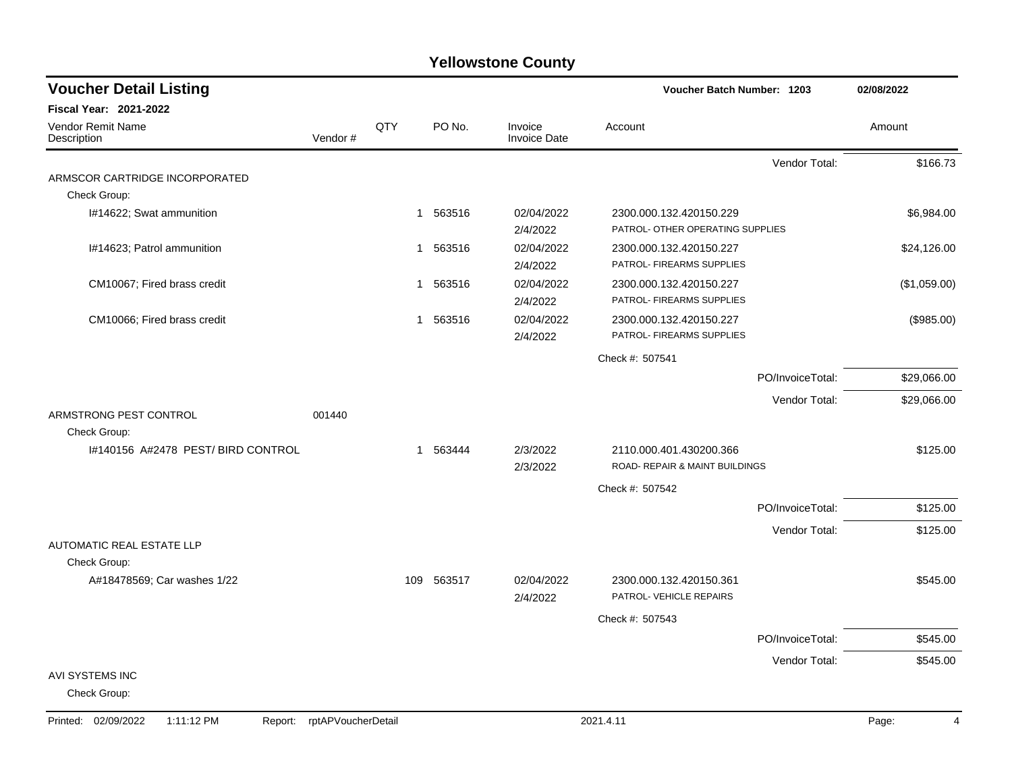| <b>Voucher Detail Listing</b>                |                    |             |          |                                | Voucher Batch Number: 1203                         |                  | 02/08/2022   |
|----------------------------------------------|--------------------|-------------|----------|--------------------------------|----------------------------------------------------|------------------|--------------|
| <b>Fiscal Year: 2021-2022</b>                |                    |             |          |                                |                                                    |                  |              |
| Vendor Remit Name<br>Description             | Vendor#            | QTY         | PO No.   | Invoice<br><b>Invoice Date</b> | Account                                            |                  | Amount       |
|                                              |                    |             |          |                                |                                                    | Vendor Total:    | \$166.73     |
| ARMSCOR CARTRIDGE INCORPORATED               |                    |             |          |                                |                                                    |                  |              |
| Check Group:                                 |                    |             |          |                                |                                                    |                  |              |
| I#14622; Swat ammunition                     |                    |             | 1 563516 | 02/04/2022                     | 2300.000.132.420150.229                            |                  | \$6,984.00   |
|                                              |                    |             |          | 2/4/2022                       | PATROL- OTHER OPERATING SUPPLIES                   |                  |              |
| I#14623; Patrol ammunition                   |                    |             | 1 563516 | 02/04/2022                     | 2300.000.132.420150.227                            |                  | \$24,126.00  |
|                                              |                    |             |          | 2/4/2022                       | PATROL- FIREARMS SUPPLIES                          |                  |              |
| CM10067; Fired brass credit                  |                    | $\mathbf 1$ | 563516   | 02/04/2022                     | 2300.000.132.420150.227                            |                  | (\$1,059.00) |
|                                              |                    |             |          | 2/4/2022                       | PATROL- FIREARMS SUPPLIES                          |                  |              |
| CM10066; Fired brass credit                  |                    | -1          | 563516   | 02/04/2022                     | 2300.000.132.420150.227                            |                  | (\$985.00)   |
|                                              |                    |             |          | 2/4/2022                       | PATROL- FIREARMS SUPPLIES                          |                  |              |
|                                              |                    |             |          |                                | Check #: 507541                                    |                  |              |
|                                              |                    |             |          |                                |                                                    | PO/InvoiceTotal: | \$29,066.00  |
|                                              |                    |             |          |                                |                                                    | Vendor Total:    | \$29,066.00  |
| ARMSTRONG PEST CONTROL                       | 001440             |             |          |                                |                                                    |                  |              |
| Check Group:                                 |                    |             |          |                                |                                                    |                  |              |
| 1#140156 A#2478 PEST/BIRD CONTROL            |                    |             | 1 563444 | 2/3/2022                       | 2110.000.401.430200.366                            |                  | \$125.00     |
|                                              |                    |             |          | 2/3/2022                       | ROAD- REPAIR & MAINT BUILDINGS                     |                  |              |
|                                              |                    |             |          |                                | Check #: 507542                                    |                  |              |
|                                              |                    |             |          |                                |                                                    | PO/InvoiceTotal: | \$125.00     |
|                                              |                    |             |          |                                |                                                    | Vendor Total:    | \$125.00     |
| AUTOMATIC REAL ESTATE LLP                    |                    |             |          |                                |                                                    |                  |              |
| Check Group:                                 |                    |             |          |                                |                                                    |                  |              |
| A#18478569; Car washes 1/22                  |                    | 109         | 563517   | 02/04/2022<br>2/4/2022         | 2300.000.132.420150.361<br>PATROL- VEHICLE REPAIRS |                  | \$545.00     |
|                                              |                    |             |          |                                | Check #: 507543                                    |                  |              |
|                                              |                    |             |          |                                |                                                    | PO/InvoiceTotal: | \$545.00     |
|                                              |                    |             |          |                                |                                                    | Vendor Total:    | \$545.00     |
| AVI SYSTEMS INC<br>Check Group:              |                    |             |          |                                |                                                    |                  |              |
| 1:11:12 PM<br>Printed: 02/09/2022<br>Report: | rptAPVoucherDetail |             |          |                                | 2021.4.11                                          |                  | Page:<br>4   |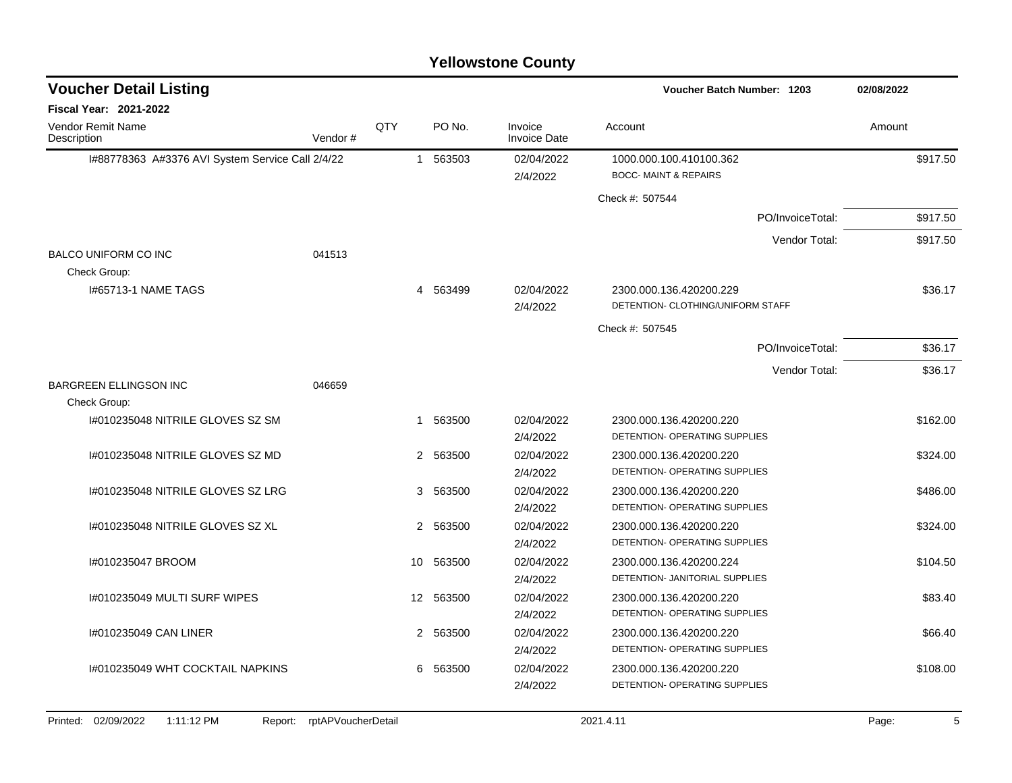| <b>Voucher Detail Listing</b>                    |         |                 |          |                                | <b>Voucher Batch Number: 1203</b>                            | 02/08/2022       |          |
|--------------------------------------------------|---------|-----------------|----------|--------------------------------|--------------------------------------------------------------|------------------|----------|
| Fiscal Year: 2021-2022                           |         |                 |          |                                |                                                              |                  |          |
| Vendor Remit Name<br>Description                 | Vendor# | QTY             | PO No.   | Invoice<br><b>Invoice Date</b> | Account                                                      |                  | Amount   |
| I#88778363 A#3376 AVI System Service Call 2/4/22 |         |                 | 1 563503 | 02/04/2022<br>2/4/2022         | 1000.000.100.410100.362<br><b>BOCC- MAINT &amp; REPAIRS</b>  |                  | \$917.50 |
|                                                  |         |                 |          |                                | Check #: 507544                                              |                  |          |
|                                                  |         |                 |          |                                |                                                              | PO/InvoiceTotal: | \$917.50 |
|                                                  |         |                 |          |                                |                                                              | Vendor Total:    | \$917.50 |
| <b>BALCO UNIFORM CO INC</b>                      | 041513  |                 |          |                                |                                                              |                  |          |
| Check Group:                                     |         |                 |          |                                |                                                              |                  |          |
| <b>I#65713-1 NAME TAGS</b>                       |         | 4               | 563499   | 02/04/2022<br>2/4/2022         | 2300.000.136.420200.229<br>DETENTION- CLOTHING/UNIFORM STAFF |                  | \$36.17  |
|                                                  |         |                 |          |                                | Check #: 507545                                              |                  |          |
|                                                  |         |                 |          |                                |                                                              | PO/InvoiceTotal: | \$36.17  |
|                                                  |         |                 |          |                                |                                                              | Vendor Total:    | \$36.17  |
| <b>BARGREEN ELLINGSON INC</b>                    | 046659  |                 |          |                                |                                                              |                  |          |
| Check Group:                                     |         |                 |          |                                |                                                              |                  |          |
| 1#010235048 NITRILE GLOVES SZ SM                 |         | $\mathbf{1}$    | 563500   | 02/04/2022                     | 2300.000.136.420200.220                                      |                  | \$162.00 |
|                                                  |         |                 |          | 2/4/2022                       | DETENTION- OPERATING SUPPLIES                                |                  |          |
| 1#010235048 NITRILE GLOVES SZ MD                 |         |                 | 2 563500 | 02/04/2022                     | 2300.000.136.420200.220                                      |                  | \$324.00 |
|                                                  |         |                 |          | 2/4/2022                       | DETENTION- OPERATING SUPPLIES                                |                  |          |
| 44010235048 NITRILE GLOVES SZ LRG                |         |                 | 3 563500 | 02/04/2022                     | 2300.000.136.420200.220                                      |                  | \$486.00 |
|                                                  |         |                 |          | 2/4/2022                       | DETENTION- OPERATING SUPPLIES                                |                  |          |
| 1#010235048 NITRILE GLOVES SZ XL                 |         | 2               | 563500   | 02/04/2022                     | 2300.000.136.420200.220                                      |                  | \$324.00 |
|                                                  |         |                 |          | 2/4/2022                       | DETENTION- OPERATING SUPPLIES                                |                  |          |
| I#010235047 BROOM                                |         | 10              | 563500   | 02/04/2022                     | 2300.000.136.420200.224                                      |                  | \$104.50 |
|                                                  |         |                 |          | 2/4/2022                       | DETENTION- JANITORIAL SUPPLIES                               |                  |          |
| 1#010235049 MULTI SURF WIPES                     |         | 12 <sup>2</sup> | 563500   | 02/04/2022                     | 2300.000.136.420200.220                                      |                  | \$83.40  |
|                                                  |         |                 |          | 2/4/2022                       | DETENTION- OPERATING SUPPLIES                                |                  |          |
| I#010235049 CAN LINER                            |         |                 | 2 563500 | 02/04/2022                     | 2300.000.136.420200.220                                      |                  | \$66.40  |
|                                                  |         |                 |          | 2/4/2022                       | DETENTION- OPERATING SUPPLIES                                |                  |          |
| 1#010235049 WHT COCKTAIL NAPKINS                 |         | 6               | 563500   | 02/04/2022                     | 2300.000.136.420200.220                                      |                  | \$108.00 |
|                                                  |         |                 |          | 2/4/2022                       | DETENTION- OPERATING SUPPLIES                                |                  |          |
|                                                  |         |                 |          |                                |                                                              |                  |          |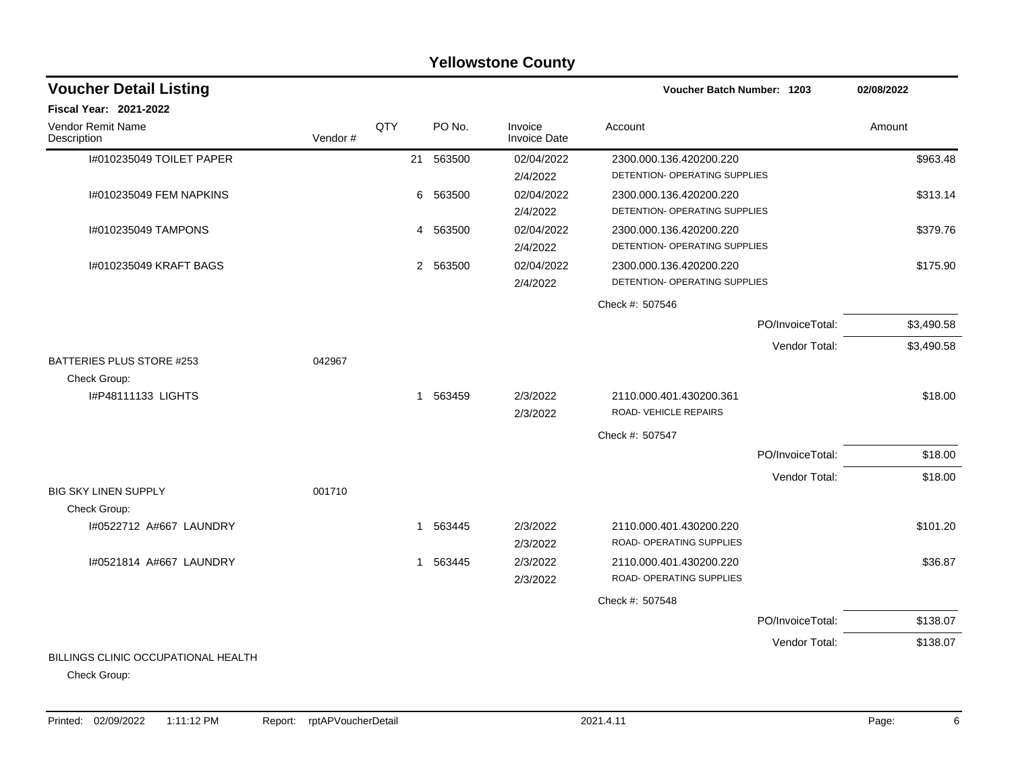#### I#010235049 TOILET PAPER 21 563500 02/04/2022 2300.000.136.420200.220 \$963.48 2/4/2022 DETENTION- OPERATING SUPPLIES I#010235049 FEM NAPKINS 6 563500 02/04/2022 2300.000.136.420200.220 \$313.14 2/4/2022 DETENTION- OPERATING SUPPLIES I#010235049 TAMPONS 4 563500 02/04/2022 2300.000.136.420200.220 \$379.76 2/4/2022 DETENTION- OPERATING SUPPLIES I#010235049 KRAFT BAGS 2 563500 02/04/2022 2300.000.136.420200.220 \$175.90 2/4/2022 DETENTION- OPERATING SUPPLIES Check #: 507546 PO/InvoiceTotal: \$3,490.58 Vendor Total: \$3,490.58 BATTERIES PLUS STORE #253 042967 Check Group: I#P48111133 LIGHTS 1 563459 2/3/2022 2110.000.401.430200.361 \$18.00 2/3/2022 ROAD- VEHICLE REPAIRS Check #: 507547 PO/InvoiceTotal: \$18.00 Vendor Total: \$18.00 BIG SKY LINEN SUPPLY 001710 Check Group: I#0522712 A#667 LAUNDRY 1 563445 2/3/2022 2110.000.401.430200.220 \$101.20 2/3/2022 ROAD- OPERATING SUPPLIES I#0521814 A#667 LAUNDRY 1 563445 2/3/2022 2110.000.401.430200.220 \$36.87 2/3/2022 ROAD- OPERATING SUPPLIES Check #: 507548 PO/InvoiceTotal: \$138.07 Vendor Total: \$138.07 BILLINGS CLINIC OCCUPATIONAL HEALTH **Voucher Batch Number: Yellowstone County** Vendor Remit Name **Description Voucher Detail Listing Fiscal Year: 2021-2022 1203 02/08/2022** PO No. Invoice Account Amount Amount Amount Amount Vendor # **QTY** Invoice Date

Check Group: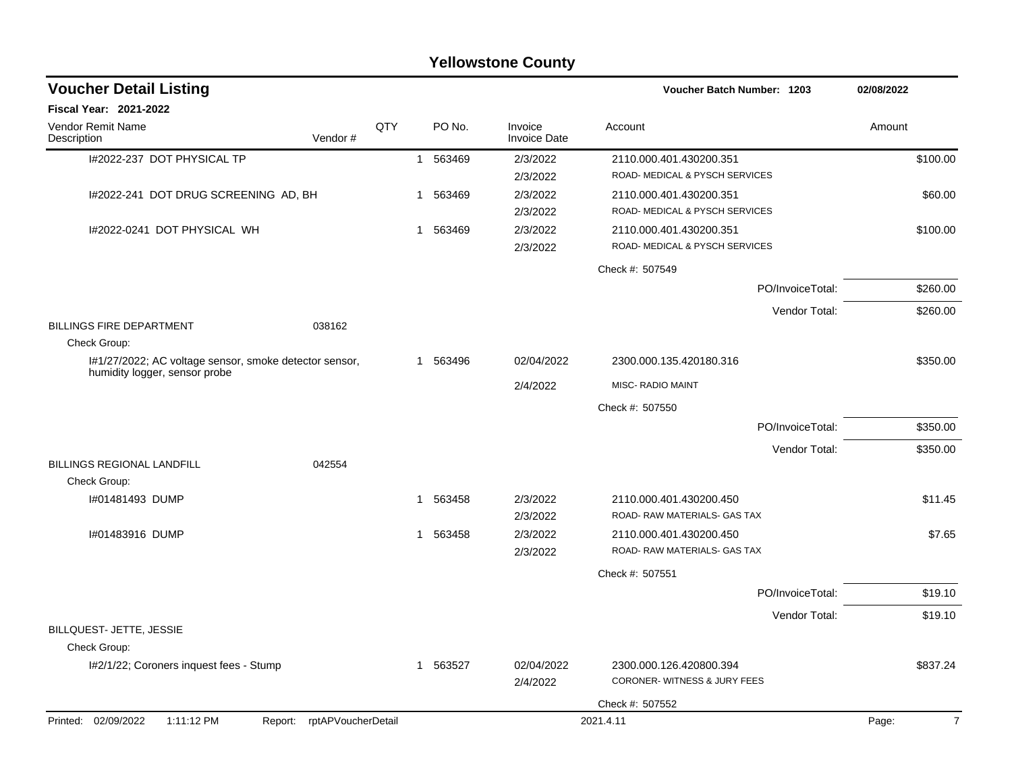|                                                                                         |                            |                |          | <b>Yellowstone County</b>      |                                   |                  |            |
|-----------------------------------------------------------------------------------------|----------------------------|----------------|----------|--------------------------------|-----------------------------------|------------------|------------|
| <b>Voucher Detail Listing</b>                                                           |                            |                |          |                                | <b>Voucher Batch Number: 1203</b> |                  | 02/08/2022 |
| Fiscal Year: 2021-2022                                                                  |                            |                |          |                                |                                   |                  |            |
| Vendor Remit Name<br>Description                                                        | Vendor#                    | QTY            | PO No.   | Invoice<br><b>Invoice Date</b> | Account                           |                  | Amount     |
| I#2022-237 DOT PHYSICAL TP                                                              |                            | $\mathbf{1}$   | 563469   | 2/3/2022                       | 2110.000.401.430200.351           |                  | \$100.00   |
|                                                                                         |                            |                |          | 2/3/2022                       | ROAD- MEDICAL & PYSCH SERVICES    |                  |            |
| I#2022-241 DOT DRUG SCREENING AD, BH                                                    |                            | $\overline{1}$ | 563469   | 2/3/2022                       | 2110.000.401.430200.351           |                  | \$60.00    |
|                                                                                         |                            |                |          | 2/3/2022                       | ROAD- MEDICAL & PYSCH SERVICES    |                  |            |
| I#2022-0241 DOT PHYSICAL WH                                                             |                            | 1              | 563469   | 2/3/2022                       | 2110.000.401.430200.351           |                  | \$100.00   |
|                                                                                         |                            |                |          | 2/3/2022                       | ROAD- MEDICAL & PYSCH SERVICES    |                  |            |
|                                                                                         |                            |                |          |                                | Check #: 507549                   |                  |            |
|                                                                                         |                            |                |          |                                |                                   | PO/InvoiceTotal: | \$260.00   |
|                                                                                         |                            |                |          |                                |                                   | Vendor Total:    | \$260.00   |
| <b>BILLINGS FIRE DEPARTMENT</b>                                                         | 038162                     |                |          |                                |                                   |                  |            |
| Check Group:                                                                            |                            |                |          |                                |                                   |                  |            |
| I#1/27/2022; AC voltage sensor, smoke detector sensor,<br>humidity logger, sensor probe |                            |                | 1 563496 | 02/04/2022                     | 2300.000.135.420180.316           |                  | \$350.00   |
|                                                                                         |                            |                |          | 2/4/2022                       | MISC- RADIO MAINT                 |                  |            |
|                                                                                         |                            |                |          |                                | Check #: 507550                   |                  |            |
|                                                                                         |                            |                |          |                                |                                   | PO/InvoiceTotal: | \$350.00   |
|                                                                                         |                            |                |          |                                |                                   | Vendor Total:    | \$350.00   |
| <b>BILLINGS REGIONAL LANDFILL</b>                                                       | 042554                     |                |          |                                |                                   |                  |            |
| Check Group:                                                                            |                            |                |          |                                |                                   |                  |            |
| I#01481493 DUMP                                                                         |                            | 1              | 563458   | 2/3/2022                       | 2110.000.401.430200.450           |                  | \$11.45    |
|                                                                                         |                            |                |          | 2/3/2022                       | ROAD-RAW MATERIALS- GAS TAX       |                  |            |
| I#01483916 DUMP                                                                         |                            |                | 1 563458 | 2/3/2022                       | 2110.000.401.430200.450           |                  | \$7.65     |
|                                                                                         |                            |                |          | 2/3/2022                       | ROAD-RAW MATERIALS- GAS TAX       |                  |            |
|                                                                                         |                            |                |          |                                | Check #: 507551                   |                  |            |
|                                                                                         |                            |                |          |                                |                                   | PO/InvoiceTotal: | \$19.10    |
|                                                                                         |                            |                |          |                                |                                   | Vendor Total:    | \$19.10    |
| BILLQUEST- JETTE, JESSIE                                                                |                            |                |          |                                |                                   |                  |            |
| Check Group:                                                                            |                            |                |          |                                |                                   |                  |            |
| I#2/1/22; Coroners inquest fees - Stump                                                 |                            |                | 1 563527 | 02/04/2022                     | 2300.000.126.420800.394           |                  | \$837.24   |
|                                                                                         |                            |                |          | 2/4/2022                       | CORONER-WITNESS & JURY FEES       |                  |            |
|                                                                                         |                            |                |          |                                | Check #: 507552                   |                  |            |
| 1:11:12 PM<br>Printed: 02/09/2022                                                       | Report: rptAPVoucherDetail |                |          |                                | 2021.4.11                         |                  | Page:<br>7 |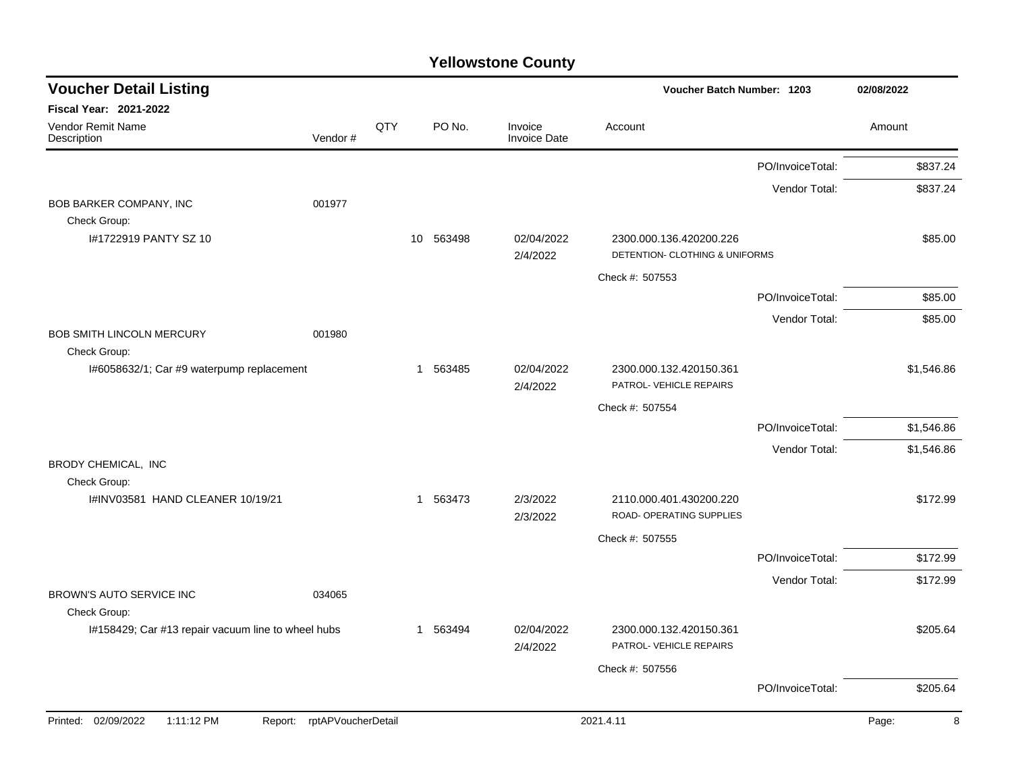| <b>Voucher Detail Listing</b>                      |                    |     |           |                                | Voucher Batch Number: 1203                                |                  | 02/08/2022 |
|----------------------------------------------------|--------------------|-----|-----------|--------------------------------|-----------------------------------------------------------|------------------|------------|
| <b>Fiscal Year: 2021-2022</b>                      |                    |     |           |                                |                                                           |                  |            |
| <b>Vendor Remit Name</b><br>Description            | Vendor#            | QTY | PO No.    | Invoice<br><b>Invoice Date</b> | Account                                                   |                  | Amount     |
|                                                    |                    |     |           |                                |                                                           | PO/InvoiceTotal: | \$837.24   |
|                                                    |                    |     |           |                                |                                                           | Vendor Total:    | \$837.24   |
| BOB BARKER COMPANY, INC                            | 001977             |     |           |                                |                                                           |                  |            |
| Check Group:<br>I#1722919 PANTY SZ 10              |                    |     | 10 563498 | 02/04/2022<br>2/4/2022         | 2300.000.136.420200.226<br>DETENTION- CLOTHING & UNIFORMS |                  | \$85.00    |
|                                                    |                    |     |           |                                | Check #: 507553                                           |                  |            |
|                                                    |                    |     |           |                                |                                                           | PO/InvoiceTotal: | \$85.00    |
|                                                    |                    |     |           |                                |                                                           | Vendor Total:    | \$85.00    |
| <b>BOB SMITH LINCOLN MERCURY</b><br>Check Group:   | 001980             |     |           |                                |                                                           |                  |            |
| I#6058632/1; Car #9 waterpump replacement          |                    |     | 1 563485  | 02/04/2022<br>2/4/2022         | 2300.000.132.420150.361<br>PATROL- VEHICLE REPAIRS        |                  | \$1,546.86 |
|                                                    |                    |     |           |                                | Check #: 507554                                           |                  |            |
|                                                    |                    |     |           |                                |                                                           | PO/InvoiceTotal: | \$1,546.86 |
|                                                    |                    |     |           |                                |                                                           | Vendor Total:    | \$1,546.86 |
| BRODY CHEMICAL, INC<br>Check Group:                |                    |     |           |                                |                                                           |                  |            |
| I#INV03581 HAND CLEANER 10/19/21                   |                    |     | 1 563473  | 2/3/2022<br>2/3/2022           | 2110.000.401.430200.220<br>ROAD- OPERATING SUPPLIES       |                  | \$172.99   |
|                                                    |                    |     |           |                                | Check #: 507555                                           |                  |            |
|                                                    |                    |     |           |                                |                                                           | PO/InvoiceTotal: | \$172.99   |
|                                                    |                    |     |           |                                |                                                           | Vendor Total:    | \$172.99   |
| <b>BROWN'S AUTO SERVICE INC</b><br>Check Group:    | 034065             |     |           |                                |                                                           |                  |            |
| I#158429; Car #13 repair vacuum line to wheel hubs |                    |     | 1 563494  | 02/04/2022<br>2/4/2022         | 2300.000.132.420150.361<br>PATROL- VEHICLE REPAIRS        |                  | \$205.64   |
|                                                    |                    |     |           |                                | Check #: 507556                                           |                  |            |
|                                                    |                    |     |           |                                |                                                           | PO/InvoiceTotal: | \$205.64   |
| Printed: 02/09/2022<br>1:11:12 PM<br>Report:       | rptAPVoucherDetail |     |           |                                | 2021.4.11                                                 |                  | 8<br>Page: |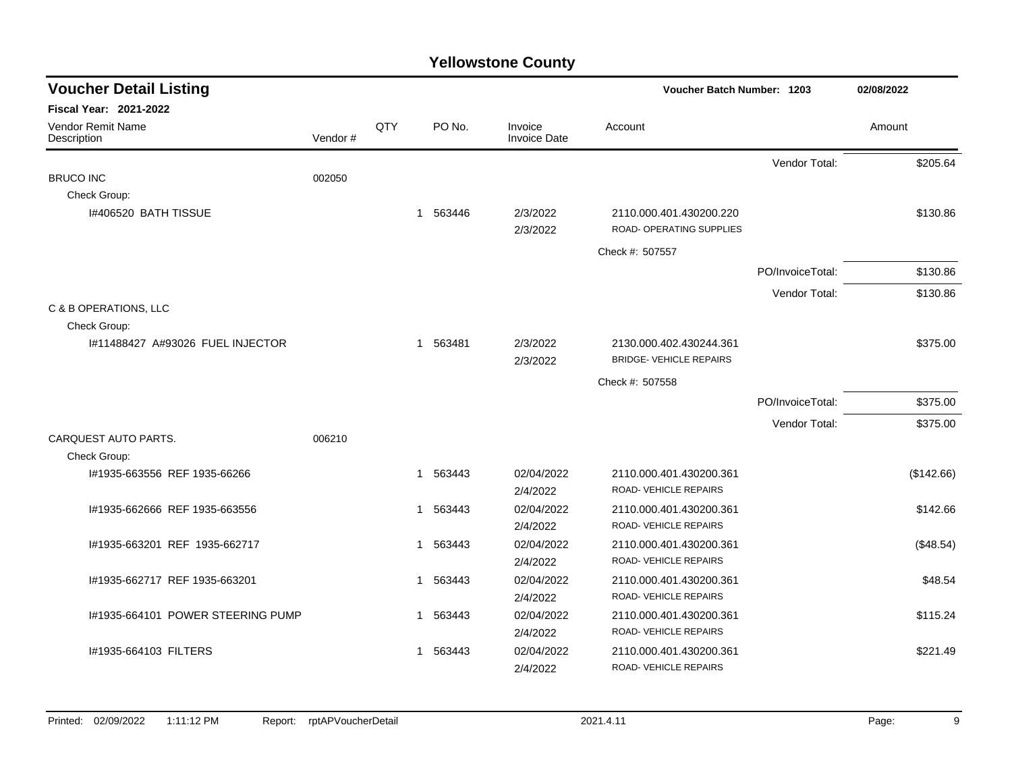| <b>Voucher Detail Listing</b>     |         |     | Voucher Batch Number: 1203 |          |                                |                                                           |                  | 02/08/2022 |  |
|-----------------------------------|---------|-----|----------------------------|----------|--------------------------------|-----------------------------------------------------------|------------------|------------|--|
| <b>Fiscal Year: 2021-2022</b>     |         |     |                            |          |                                |                                                           |                  |            |  |
| Vendor Remit Name<br>Description  | Vendor# | QTY |                            | PO No.   | Invoice<br><b>Invoice Date</b> | Account                                                   |                  | Amount     |  |
|                                   |         |     |                            |          |                                |                                                           | Vendor Total:    | \$205.64   |  |
| <b>BRUCO INC</b>                  | 002050  |     |                            |          |                                |                                                           |                  |            |  |
| Check Group:                      |         |     |                            |          |                                |                                                           |                  |            |  |
| I#406520 BATH TISSUE              |         |     | 1                          | 563446   | 2/3/2022<br>2/3/2022           | 2110.000.401.430200.220<br>ROAD- OPERATING SUPPLIES       |                  | \$130.86   |  |
|                                   |         |     |                            |          |                                | Check #: 507557                                           |                  |            |  |
|                                   |         |     |                            |          |                                |                                                           | PO/InvoiceTotal: | \$130.86   |  |
|                                   |         |     |                            |          |                                |                                                           | Vendor Total:    | \$130.86   |  |
| C & B OPERATIONS, LLC             |         |     |                            |          |                                |                                                           |                  |            |  |
| Check Group:                      |         |     |                            |          |                                |                                                           |                  |            |  |
| #11488427 A#93026 FUEL INJECTOR   |         |     |                            | 1 563481 | 2/3/2022<br>2/3/2022           | 2130.000.402.430244.361<br><b>BRIDGE- VEHICLE REPAIRS</b> |                  | \$375.00   |  |
|                                   |         |     |                            |          |                                | Check #: 507558                                           |                  |            |  |
|                                   |         |     |                            |          |                                |                                                           | PO/InvoiceTotal: | \$375.00   |  |
|                                   |         |     |                            |          |                                |                                                           | Vendor Total:    | \$375.00   |  |
| CARQUEST AUTO PARTS.              | 006210  |     |                            |          |                                |                                                           |                  |            |  |
| Check Group:                      |         |     |                            |          |                                |                                                           |                  |            |  |
| #1935-663556 REF 1935-66266       |         |     | 1                          | 563443   | 02/04/2022                     | 2110.000.401.430200.361                                   |                  | (\$142.66) |  |
|                                   |         |     |                            |          | 2/4/2022                       | ROAD-VEHICLE REPAIRS                                      |                  |            |  |
| #1935-662666 REF 1935-663556      |         |     | 1                          | 563443   | 02/04/2022                     | 2110.000.401.430200.361                                   |                  | \$142.66   |  |
|                                   |         |     |                            |          | 2/4/2022                       | ROAD-VEHICLE REPAIRS                                      |                  |            |  |
| I#1935-663201 REF 1935-662717     |         |     | 1                          | 563443   | 02/04/2022                     | 2110.000.401.430200.361                                   |                  | (\$48.54)  |  |
|                                   |         |     |                            |          | 2/4/2022                       | ROAD-VEHICLE REPAIRS                                      |                  |            |  |
| I#1935-662717 REF 1935-663201     |         |     | 1                          | 563443   | 02/04/2022                     | 2110.000.401.430200.361                                   |                  | \$48.54    |  |
|                                   |         |     |                            |          | 2/4/2022                       | ROAD-VEHICLE REPAIRS                                      |                  |            |  |
| I#1935-664101 POWER STEERING PUMP |         |     | 1                          | 563443   | 02/04/2022                     | 2110.000.401.430200.361                                   |                  | \$115.24   |  |
|                                   |         |     |                            |          | 2/4/2022                       | ROAD-VEHICLE REPAIRS                                      |                  |            |  |
| #1935-664103 FILTERS              |         |     | 1                          | 563443   | 02/04/2022                     | 2110.000.401.430200.361                                   |                  | \$221.49   |  |
|                                   |         |     |                            |          | 2/4/2022                       | ROAD-VEHICLE REPAIRS                                      |                  |            |  |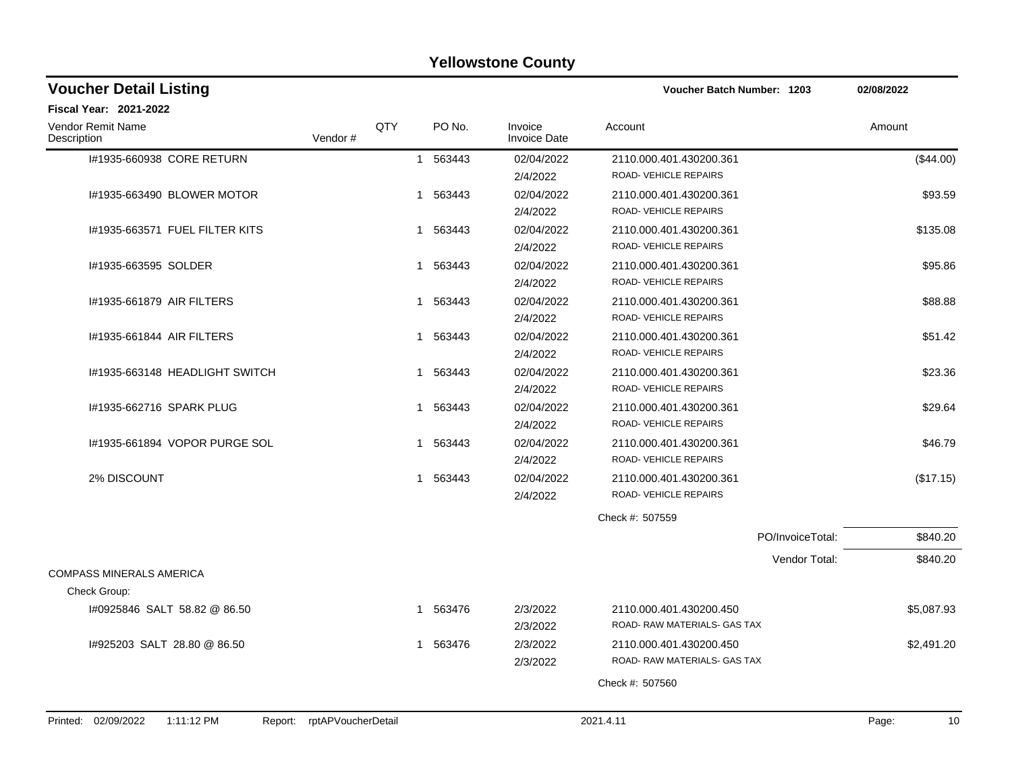| <b>Fiscal Year: 2021-2022</b><br>QTY<br>PO No.<br>Vendor Remit Name<br>Invoice<br>Account<br>Amount<br>Vendor#<br><b>Invoice Date</b><br>Description<br>02/04/2022<br>#1935-660938 CORE RETURN<br>1 563443<br>2110.000.401.430200.361<br>ROAD-VEHICLE REPAIRS<br>2/4/2022<br>02/04/2022<br>I#1935-663490 BLOWER MOTOR<br>1 563443<br>2110.000.401.430200.361 | (\$44.00)  |
|--------------------------------------------------------------------------------------------------------------------------------------------------------------------------------------------------------------------------------------------------------------------------------------------------------------------------------------------------------------|------------|
|                                                                                                                                                                                                                                                                                                                                                              |            |
|                                                                                                                                                                                                                                                                                                                                                              |            |
|                                                                                                                                                                                                                                                                                                                                                              |            |
| ROAD- VEHICLE REPAIRS<br>2/4/2022                                                                                                                                                                                                                                                                                                                            | \$93.59    |
| 02/04/2022<br>I#1935-663571 FUEL FILTER KITS<br>1 563443<br>2110.000.401.430200.361<br>ROAD- VEHICLE REPAIRS<br>2/4/2022                                                                                                                                                                                                                                     | \$135.08   |
| I#1935-663595 SOLDER<br>563443<br>02/04/2022<br>2110.000.401.430200.361<br>1<br>ROAD-VEHICLE REPAIRS<br>2/4/2022                                                                                                                                                                                                                                             | \$95.86    |
| 02/04/2022<br>1#1935-661879 AIR FILTERS<br>1 563443<br>2110.000.401.430200.361<br>ROAD- VEHICLE REPAIRS<br>2/4/2022                                                                                                                                                                                                                                          | \$88.88    |
| 02/04/2022<br>#1935-661844 AIR FILTERS<br>1 563443<br>2110.000.401.430200.361<br><b>ROAD- VEHICLE REPAIRS</b><br>2/4/2022                                                                                                                                                                                                                                    | \$51.42    |
| I#1935-663148 HEADLIGHT SWITCH<br>563443<br>02/04/2022<br>2110.000.401.430200.361<br>1<br>ROAD- VEHICLE REPAIRS<br>2/4/2022                                                                                                                                                                                                                                  | \$23.36    |
| #1935-662716 SPARK PLUG<br>563443<br>02/04/2022<br>2110.000.401.430200.361<br>$\mathbf{1}$<br>ROAD- VEHICLE REPAIRS<br>2/4/2022                                                                                                                                                                                                                              | \$29.64    |
| #1935-661894 VOPOR PURGE SOL<br>563443<br>02/04/2022<br>2110.000.401.430200.361<br>1<br>ROAD- VEHICLE REPAIRS<br>2/4/2022                                                                                                                                                                                                                                    | \$46.79    |
| 2% DISCOUNT<br>563443<br>02/04/2022<br>2110.000.401.430200.361<br>1<br>ROAD- VEHICLE REPAIRS<br>2/4/2022                                                                                                                                                                                                                                                     | (\$17.15)  |
| Check #: 507559                                                                                                                                                                                                                                                                                                                                              |            |
| PO/InvoiceTotal:                                                                                                                                                                                                                                                                                                                                             | \$840.20   |
| Vendor Total:<br><b>COMPASS MINERALS AMERICA</b>                                                                                                                                                                                                                                                                                                             | \$840.20   |
| Check Group:                                                                                                                                                                                                                                                                                                                                                 |            |
| I#0925846 SALT 58.82 @ 86.50<br>2/3/2022<br>1 563476<br>2110.000.401.430200.450<br>ROAD- RAW MATERIALS- GAS TAX<br>2/3/2022                                                                                                                                                                                                                                  | \$5,087.93 |
| 2/3/2022<br>1#925203 SALT 28.80 @ 86.50<br>1 563476<br>2110.000.401.430200.450<br>ROAD-RAW MATERIALS- GAS TAX<br>2/3/2022                                                                                                                                                                                                                                    | \$2,491.20 |
| Check #: 507560                                                                                                                                                                                                                                                                                                                                              |            |
| Printed: 02/09/2022<br>1:11:12 PM<br>rptAPVoucherDetail<br>2021.4.11<br>Page:<br>Report:                                                                                                                                                                                                                                                                     | 10         |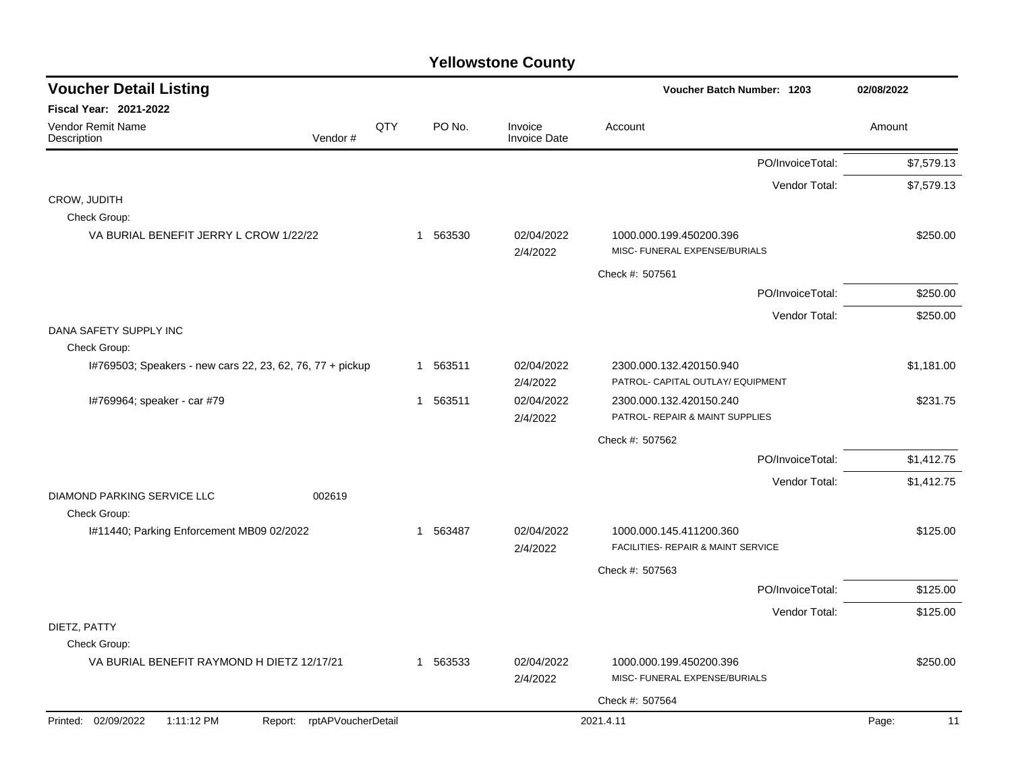| <b>Voucher Detail Listing</b>                                             |     |                        |                                | <b>Voucher Batch Number: 1203</b>  | 02/08/2022  |
|---------------------------------------------------------------------------|-----|------------------------|--------------------------------|------------------------------------|-------------|
| Fiscal Year: 2021-2022                                                    |     |                        |                                |                                    |             |
| Vendor Remit Name<br>Vendor#<br>Description                               | QTY | PO No.                 | Invoice<br><b>Invoice Date</b> | Account                            | Amount      |
|                                                                           |     |                        |                                | PO/InvoiceTotal:                   | \$7,579.13  |
|                                                                           |     |                        |                                | Vendor Total:                      | \$7,579.13  |
| CROW, JUDITH<br>Check Group:                                              |     |                        |                                |                                    |             |
| VA BURIAL BENEFIT JERRY L CROW 1/22/22                                    |     | 563530<br>1            | 02/04/2022                     | 1000.000.199.450200.396            | \$250.00    |
|                                                                           |     |                        | 2/4/2022                       | MISC- FUNERAL EXPENSE/BURIALS      |             |
|                                                                           |     |                        |                                | Check #: 507561                    |             |
|                                                                           |     |                        |                                | PO/InvoiceTotal:                   | \$250.00    |
|                                                                           |     |                        |                                | Vendor Total:                      | \$250.00    |
| DANA SAFETY SUPPLY INC                                                    |     |                        |                                |                                    |             |
| Check Group:<br>I#769503; Speakers - new cars 22, 23, 62, 76, 77 + pickup |     | 1 563511               | 02/04/2022                     | 2300.000.132.420150.940            | \$1,181.00  |
|                                                                           |     |                        | 2/4/2022                       | PATROL- CAPITAL OUTLAY/ EQUIPMENT  |             |
| I#769964; speaker - car #79                                               |     | 563511<br>$\mathbf{1}$ | 02/04/2022                     | 2300.000.132.420150.240            | \$231.75    |
|                                                                           |     |                        | 2/4/2022                       | PATROL- REPAIR & MAINT SUPPLIES    |             |
|                                                                           |     |                        |                                | Check #: 507562                    |             |
|                                                                           |     |                        |                                | PO/InvoiceTotal:                   | \$1,412.75  |
|                                                                           |     |                        |                                | Vendor Total:                      | \$1,412.75  |
| DIAMOND PARKING SERVICE LLC<br>002619<br>Check Group:                     |     |                        |                                |                                    |             |
| I#11440; Parking Enforcement MB09 02/2022                                 |     | 1 563487               | 02/04/2022                     | 1000.000.145.411200.360            | \$125.00    |
|                                                                           |     |                        | 2/4/2022                       | FACILITIES- REPAIR & MAINT SERVICE |             |
|                                                                           |     |                        |                                | Check #: 507563                    |             |
|                                                                           |     |                        |                                | PO/InvoiceTotal:                   | \$125.00    |
|                                                                           |     |                        |                                | Vendor Total:                      | \$125.00    |
| DIETZ, PATTY<br>Check Group:                                              |     |                        |                                |                                    |             |
| VA BURIAL BENEFIT RAYMOND H DIETZ 12/17/21                                |     | 563533<br>$\mathbf{1}$ | 02/04/2022                     | 1000.000.199.450200.396            | \$250.00    |
|                                                                           |     |                        | 2/4/2022                       | MISC- FUNERAL EXPENSE/BURIALS      |             |
|                                                                           |     |                        |                                | Check #: 507564                    |             |
| Printed: 02/09/2022<br>1:11:12 PM<br>Report: rptAPVoucherDetail           |     |                        |                                | 2021.4.11                          | Page:<br>11 |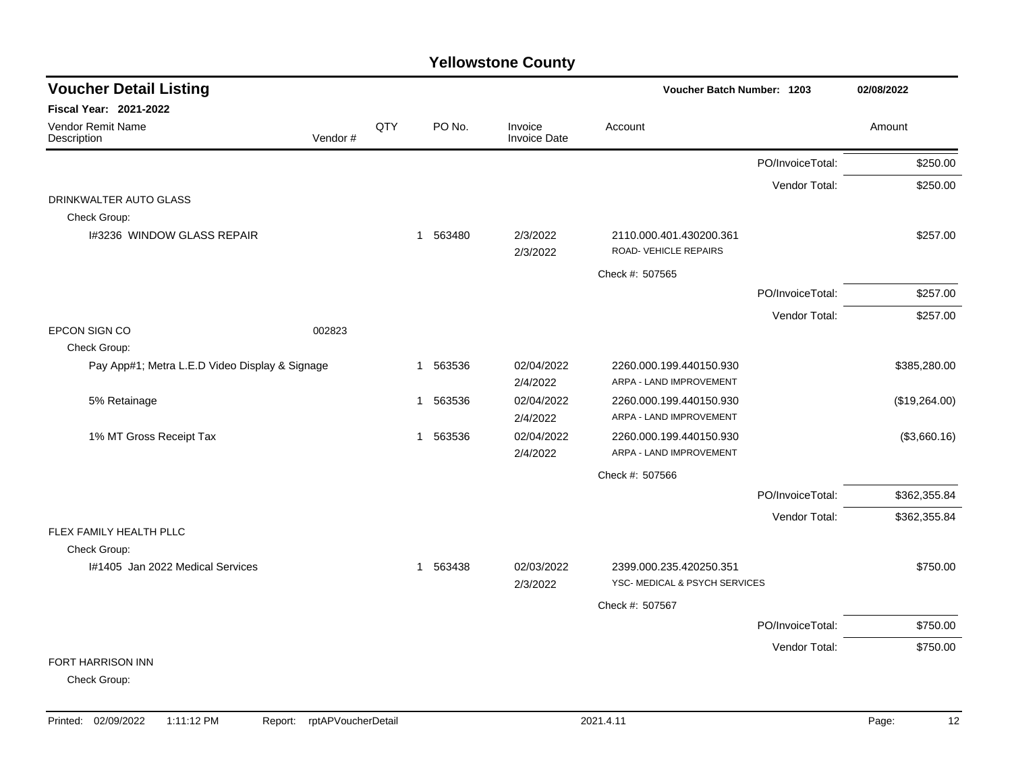| <b>Voucher Detail Listing</b>                  |         |     |                       |                                | Voucher Batch Number: 1203                               | 02/08/2022       |               |
|------------------------------------------------|---------|-----|-----------------------|--------------------------------|----------------------------------------------------------|------------------|---------------|
| Fiscal Year: 2021-2022                         |         |     |                       |                                |                                                          |                  |               |
| <b>Vendor Remit Name</b><br>Description        | Vendor# | QTY | PO No.                | Invoice<br><b>Invoice Date</b> | Account                                                  |                  | Amount        |
|                                                |         |     |                       |                                |                                                          | PO/InvoiceTotal: | \$250.00      |
|                                                |         |     |                       |                                |                                                          | Vendor Total:    | \$250.00      |
| DRINKWALTER AUTO GLASS                         |         |     |                       |                                |                                                          |                  |               |
| Check Group:                                   |         |     |                       |                                |                                                          |                  |               |
| I#3236 WINDOW GLASS REPAIR                     |         |     | 1 563480              | 2/3/2022<br>2/3/2022           | 2110.000.401.430200.361<br>ROAD-VEHICLE REPAIRS          |                  | \$257.00      |
|                                                |         |     |                       |                                | Check #: 507565                                          |                  |               |
|                                                |         |     |                       |                                |                                                          | PO/InvoiceTotal: | \$257.00      |
|                                                |         |     |                       |                                |                                                          | Vendor Total:    | \$257.00      |
| EPCON SIGN CO                                  | 002823  |     |                       |                                |                                                          |                  |               |
| Check Group:                                   |         |     |                       |                                |                                                          |                  |               |
| Pay App#1; Metra L.E.D Video Display & Signage |         |     | 563536<br>-1          | 02/04/2022<br>2/4/2022         | 2260.000.199.440150.930<br>ARPA - LAND IMPROVEMENT       |                  | \$385,280.00  |
| 5% Retainage                                   |         |     | 563536<br>$\mathbf 1$ | 02/04/2022                     | 2260.000.199.440150.930                                  |                  | (\$19,264.00) |
|                                                |         |     |                       | 2/4/2022                       | ARPA - LAND IMPROVEMENT                                  |                  |               |
| 1% MT Gross Receipt Tax                        |         |     | 563536<br>$\mathbf 1$ | 02/04/2022                     | 2260.000.199.440150.930                                  |                  | (\$3,660.16)  |
|                                                |         |     |                       | 2/4/2022                       | ARPA - LAND IMPROVEMENT                                  |                  |               |
|                                                |         |     |                       |                                | Check #: 507566                                          |                  |               |
|                                                |         |     |                       |                                |                                                          | PO/InvoiceTotal: | \$362,355.84  |
|                                                |         |     |                       |                                |                                                          | Vendor Total:    | \$362,355.84  |
| FLEX FAMILY HEALTH PLLC                        |         |     |                       |                                |                                                          |                  |               |
| Check Group:                                   |         |     |                       |                                |                                                          |                  |               |
| 1#1405 Jan 2022 Medical Services               |         |     | 563438<br>$\mathbf 1$ | 02/03/2022<br>2/3/2022         | 2399.000.235.420250.351<br>YSC- MEDICAL & PSYCH SERVICES |                  | \$750.00      |
|                                                |         |     |                       |                                |                                                          |                  |               |
|                                                |         |     |                       |                                | Check #: 507567                                          |                  |               |
|                                                |         |     |                       |                                |                                                          | PO/InvoiceTotal: | \$750.00      |
|                                                |         |     |                       |                                |                                                          | Vendor Total:    | \$750.00      |
| FORT HARRISON INN                              |         |     |                       |                                |                                                          |                  |               |
| Check Group:                                   |         |     |                       |                                |                                                          |                  |               |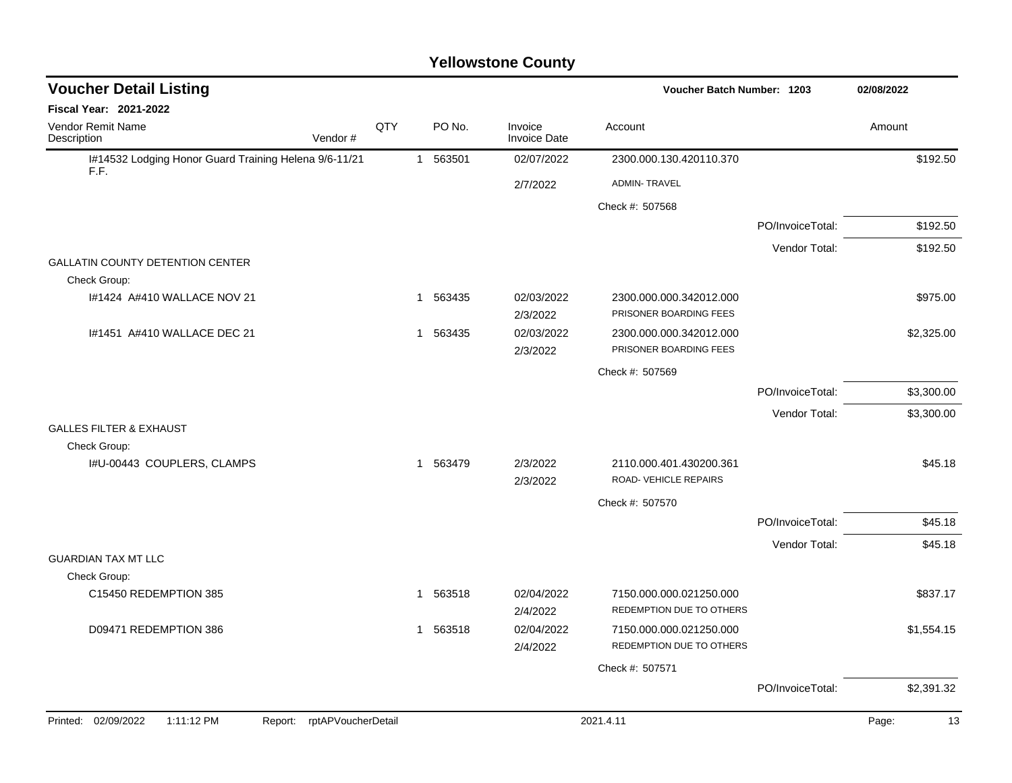| <b>Voucher Detail Listing</b>                                 |                            |     |              |          |                                | <b>Voucher Batch Number: 1203</b>                   |                  | 02/08/2022  |
|---------------------------------------------------------------|----------------------------|-----|--------------|----------|--------------------------------|-----------------------------------------------------|------------------|-------------|
| <b>Fiscal Year: 2021-2022</b>                                 |                            |     |              |          |                                |                                                     |                  |             |
| Vendor Remit Name<br>Description                              | Vendor#                    | QTY |              | PO No.   | Invoice<br><b>Invoice Date</b> | Account                                             |                  | Amount      |
| I#14532 Lodging Honor Guard Training Helena 9/6-11/21<br>F.F. |                            |     |              | 1 563501 | 02/07/2022                     | 2300.000.130.420110.370                             |                  | \$192.50    |
|                                                               |                            |     |              |          | 2/7/2022                       | <b>ADMIN-TRAVEL</b>                                 |                  |             |
|                                                               |                            |     |              |          |                                | Check #: 507568                                     |                  |             |
|                                                               |                            |     |              |          |                                |                                                     | PO/InvoiceTotal: | \$192.50    |
|                                                               |                            |     |              |          |                                |                                                     | Vendor Total:    | \$192.50    |
| <b>GALLATIN COUNTY DETENTION CENTER</b>                       |                            |     |              |          |                                |                                                     |                  |             |
| Check Group:                                                  |                            |     |              |          |                                |                                                     |                  |             |
| I#1424 A#410 WALLACE NOV 21                                   |                            |     | $\mathbf{1}$ | 563435   | 02/03/2022<br>2/3/2022         | 2300.000.000.342012.000<br>PRISONER BOARDING FEES   |                  | \$975.00    |
| I#1451 A#410 WALLACE DEC 21                                   |                            |     | 1            | 563435   | 02/03/2022                     | 2300.000.000.342012.000                             |                  | \$2,325.00  |
|                                                               |                            |     |              |          | 2/3/2022                       | PRISONER BOARDING FEES                              |                  |             |
|                                                               |                            |     |              |          |                                | Check #: 507569                                     |                  |             |
|                                                               |                            |     |              |          |                                |                                                     | PO/InvoiceTotal: | \$3,300.00  |
|                                                               |                            |     |              |          |                                |                                                     | Vendor Total:    | \$3,300.00  |
| <b>GALLES FILTER &amp; EXHAUST</b>                            |                            |     |              |          |                                |                                                     |                  |             |
| Check Group:                                                  |                            |     |              |          |                                |                                                     |                  |             |
| I#U-00443 COUPLERS, CLAMPS                                    |                            |     |              | 1 563479 | 2/3/2022<br>2/3/2022           | 2110.000.401.430200.361<br>ROAD-VEHICLE REPAIRS     |                  | \$45.18     |
|                                                               |                            |     |              |          |                                | Check #: 507570                                     |                  |             |
|                                                               |                            |     |              |          |                                |                                                     | PO/InvoiceTotal: | \$45.18     |
|                                                               |                            |     |              |          |                                |                                                     | Vendor Total:    | \$45.18     |
| <b>GUARDIAN TAX MT LLC</b>                                    |                            |     |              |          |                                |                                                     |                  |             |
| Check Group:                                                  |                            |     |              |          |                                |                                                     |                  |             |
| C15450 REDEMPTION 385                                         |                            |     |              | 1 563518 | 02/04/2022<br>2/4/2022         | 7150.000.000.021250.000<br>REDEMPTION DUE TO OTHERS |                  | \$837.17    |
| D09471 REDEMPTION 386                                         |                            |     | $\mathbf 1$  | 563518   | 02/04/2022<br>2/4/2022         | 7150.000.000.021250.000<br>REDEMPTION DUE TO OTHERS |                  | \$1,554.15  |
|                                                               |                            |     |              |          |                                | Check #: 507571                                     |                  |             |
|                                                               |                            |     |              |          |                                |                                                     | PO/InvoiceTotal: | \$2,391.32  |
| Printed: 02/09/2022<br>1:11:12 PM                             | Report: rptAPVoucherDetail |     |              |          |                                | 2021.4.11                                           |                  | Page:<br>13 |
|                                                               |                            |     |              |          |                                |                                                     |                  |             |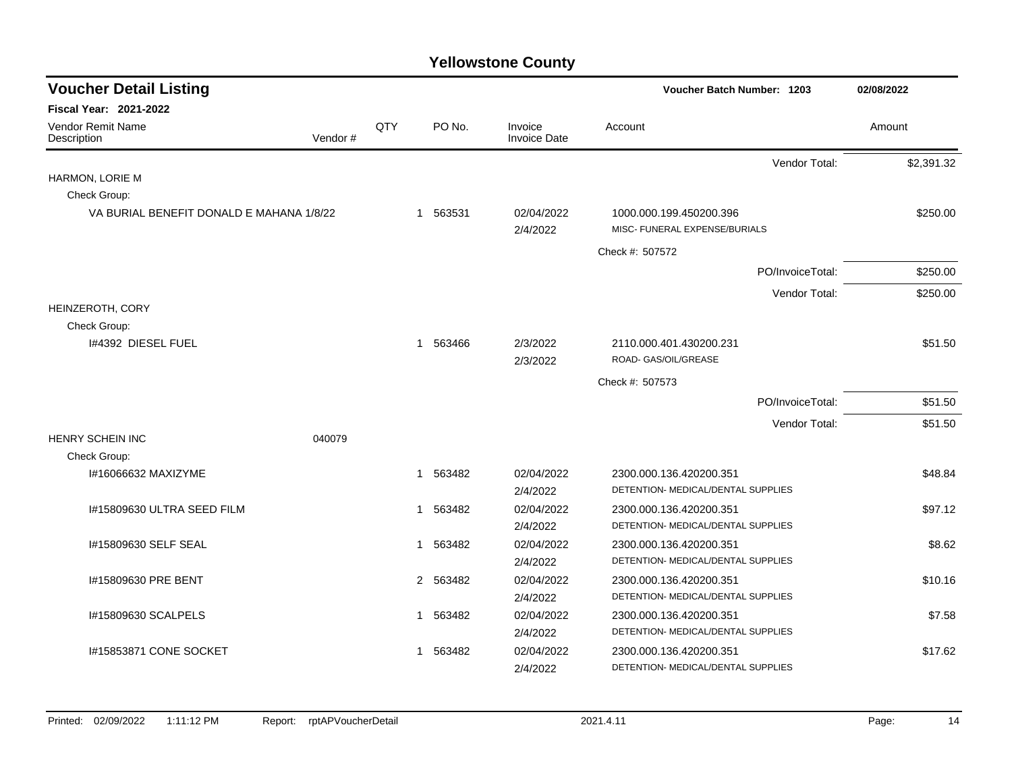| <b>Voucher Detail Listing</b>            |         |     |   |          |                                | Voucher Batch Number: 1203                               | 02/08/2022 |
|------------------------------------------|---------|-----|---|----------|--------------------------------|----------------------------------------------------------|------------|
| Fiscal Year: 2021-2022                   |         |     |   |          |                                |                                                          |            |
| Vendor Remit Name<br>Description         | Vendor# | QTY |   | PO No.   | Invoice<br><b>Invoice Date</b> | Account                                                  | Amount     |
|                                          |         |     |   |          |                                | Vendor Total:                                            | \$2,391.32 |
| HARMON, LORIE M                          |         |     |   |          |                                |                                                          |            |
| Check Group:                             |         |     |   |          |                                |                                                          |            |
| VA BURIAL BENEFIT DONALD E MAHANA 1/8/22 |         |     |   | 1 563531 | 02/04/2022<br>2/4/2022         | 1000.000.199.450200.396<br>MISC- FUNERAL EXPENSE/BURIALS | \$250.00   |
|                                          |         |     |   |          |                                | Check #: 507572                                          |            |
|                                          |         |     |   |          |                                | PO/InvoiceTotal:                                         | \$250.00   |
|                                          |         |     |   |          |                                | Vendor Total:                                            | \$250.00   |
| HEINZEROTH, CORY                         |         |     |   |          |                                |                                                          |            |
| Check Group:                             |         |     |   |          |                                |                                                          |            |
| 1#4392 DIESEL FUEL                       |         |     |   | 1 563466 | 2/3/2022<br>2/3/2022           | 2110.000.401.430200.231<br>ROAD- GAS/OIL/GREASE          | \$51.50    |
|                                          |         |     |   |          |                                | Check #: 507573                                          |            |
|                                          |         |     |   |          |                                | PO/InvoiceTotal:                                         | \$51.50    |
|                                          |         |     |   |          |                                | Vendor Total:                                            | \$51.50    |
| <b>HENRY SCHEIN INC</b>                  | 040079  |     |   |          |                                |                                                          |            |
| Check Group:                             |         |     |   |          |                                |                                                          |            |
| I#16066632 MAXIZYME                      |         |     | 1 | 563482   | 02/04/2022                     | 2300.000.136.420200.351                                  | \$48.84    |
|                                          |         |     |   |          | 2/4/2022                       | DETENTION- MEDICAL/DENTAL SUPPLIES                       |            |
| I#15809630 ULTRA SEED FILM               |         |     | 1 | 563482   | 02/04/2022                     | 2300.000.136.420200.351                                  | \$97.12    |
|                                          |         |     |   |          | 2/4/2022                       | DETENTION- MEDICAL/DENTAL SUPPLIES                       |            |
| I#15809630 SELF SEAL                     |         |     | 1 | 563482   | 02/04/2022                     | 2300.000.136.420200.351                                  | \$8.62     |
|                                          |         |     |   |          | 2/4/2022                       | DETENTION- MEDICAL/DENTAL SUPPLIES                       |            |
| I#15809630 PRE BENT                      |         |     |   | 2 563482 | 02/04/2022                     | 2300.000.136.420200.351                                  | \$10.16    |
|                                          |         |     |   |          | 2/4/2022                       | DETENTION- MEDICAL/DENTAL SUPPLIES                       |            |
| I#15809630 SCALPELS                      |         |     |   | 1 563482 | 02/04/2022                     | 2300.000.136.420200.351                                  | \$7.58     |
|                                          |         |     |   |          | 2/4/2022                       | DETENTION- MEDICAL/DENTAL SUPPLIES                       |            |
| I#15853871 CONE SOCKET                   |         |     | 1 | 563482   | 02/04/2022                     | 2300.000.136.420200.351                                  | \$17.62    |
|                                          |         |     |   |          | 2/4/2022                       | DETENTION- MEDICAL/DENTAL SUPPLIES                       |            |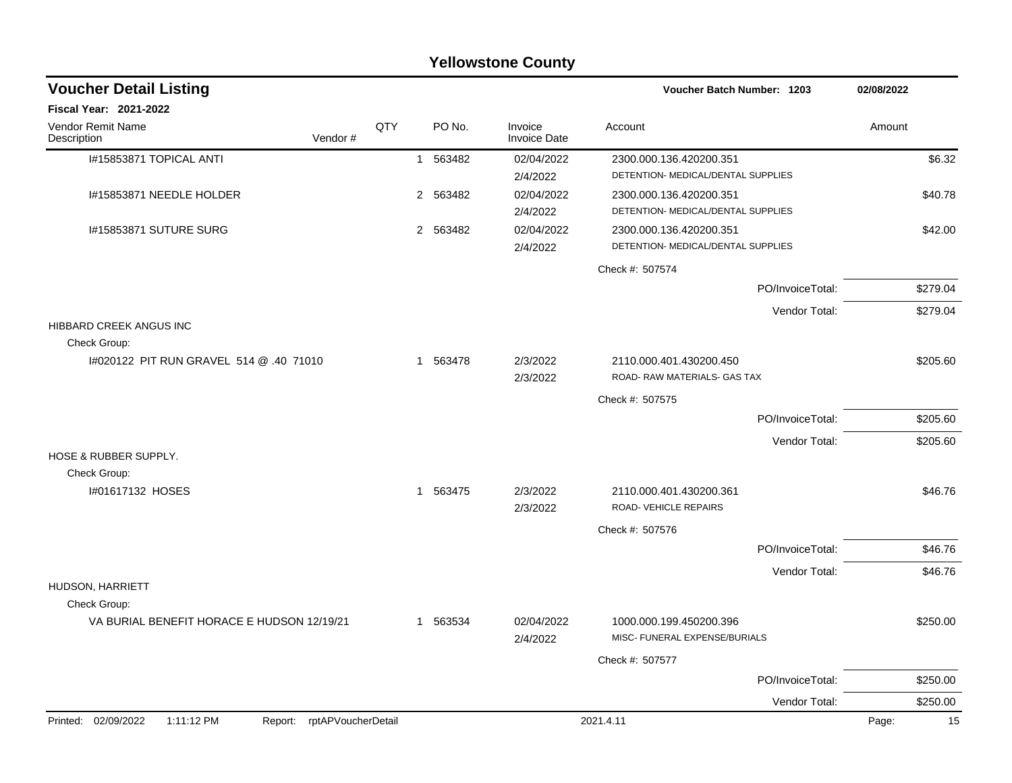|                                                            | <b>Yellowstone County</b>  |     |             |                                |                                                               |                  |             |  |  |  |  |  |
|------------------------------------------------------------|----------------------------|-----|-------------|--------------------------------|---------------------------------------------------------------|------------------|-------------|--|--|--|--|--|
| <b>Voucher Detail Listing</b>                              |                            |     |             |                                | <b>Voucher Batch Number: 1203</b>                             |                  | 02/08/2022  |  |  |  |  |  |
| <b>Fiscal Year: 2021-2022</b>                              |                            |     |             |                                |                                                               |                  |             |  |  |  |  |  |
| <b>Vendor Remit Name</b><br>Description                    | Vendor#                    | QTY | PO No.      | Invoice<br><b>Invoice Date</b> | Account                                                       |                  | Amount      |  |  |  |  |  |
| I#15853871 TOPICAL ANTI                                    |                            |     | 563482<br>1 | 02/04/2022<br>2/4/2022         | 2300.000.136.420200.351<br>DETENTION- MEDICAL/DENTAL SUPPLIES |                  | \$6.32      |  |  |  |  |  |
| I#15853871 NEEDLE HOLDER                                   |                            |     | 2 563482    | 02/04/2022<br>2/4/2022         | 2300.000.136.420200.351<br>DETENTION- MEDICAL/DENTAL SUPPLIES |                  | \$40.78     |  |  |  |  |  |
| I#15853871 SUTURE SURG                                     |                            |     | 2 563482    | 02/04/2022<br>2/4/2022         | 2300.000.136.420200.351<br>DETENTION- MEDICAL/DENTAL SUPPLIES |                  | \$42.00     |  |  |  |  |  |
|                                                            |                            |     |             |                                | Check #: 507574                                               |                  |             |  |  |  |  |  |
|                                                            |                            |     |             |                                |                                                               | PO/InvoiceTotal: | \$279.04    |  |  |  |  |  |
|                                                            |                            |     |             |                                |                                                               | Vendor Total:    | \$279.04    |  |  |  |  |  |
| HIBBARD CREEK ANGUS INC<br>Check Group:                    |                            |     |             |                                |                                                               |                  |             |  |  |  |  |  |
| 14020122 PIT RUN GRAVEL 514 @ .40 71010                    |                            |     | 1 563478    | 2/3/2022<br>2/3/2022           | 2110.000.401.430200.450<br>ROAD- RAW MATERIALS- GAS TAX       |                  | \$205.60    |  |  |  |  |  |
|                                                            |                            |     |             |                                | Check #: 507575                                               |                  |             |  |  |  |  |  |
|                                                            |                            |     |             |                                |                                                               | PO/InvoiceTotal: | \$205.60    |  |  |  |  |  |
|                                                            |                            |     |             |                                |                                                               | Vendor Total:    | \$205.60    |  |  |  |  |  |
| <b>HOSE &amp; RUBBER SUPPLY.</b><br>Check Group:           |                            |     |             |                                |                                                               |                  |             |  |  |  |  |  |
| I#01617132 HOSES                                           |                            |     | 1 563475    | 2/3/2022<br>2/3/2022           | 2110.000.401.430200.361<br>ROAD-VEHICLE REPAIRS               |                  | \$46.76     |  |  |  |  |  |
|                                                            |                            |     |             |                                | Check #: 507576                                               |                  |             |  |  |  |  |  |
|                                                            |                            |     |             |                                |                                                               | PO/InvoiceTotal: | \$46.76     |  |  |  |  |  |
|                                                            |                            |     |             |                                |                                                               | Vendor Total:    | \$46.76     |  |  |  |  |  |
| HUDSON, HARRIETT                                           |                            |     |             |                                |                                                               |                  |             |  |  |  |  |  |
| Check Group:<br>VA BURIAL BENEFIT HORACE E HUDSON 12/19/21 |                            |     | 1 563534    | 02/04/2022<br>2/4/2022         | 1000.000.199.450200.396<br>MISC- FUNERAL EXPENSE/BURIALS      |                  | \$250.00    |  |  |  |  |  |
|                                                            |                            |     |             |                                | Check #: 507577                                               |                  |             |  |  |  |  |  |
|                                                            |                            |     |             |                                |                                                               | PO/InvoiceTotal: | \$250.00    |  |  |  |  |  |
|                                                            |                            |     |             |                                |                                                               | Vendor Total:    | \$250.00    |  |  |  |  |  |
| Printed: 02/09/2022<br>1:11:12 PM                          | Report: rptAPVoucherDetail |     |             |                                | 2021.4.11                                                     |                  | Page:<br>15 |  |  |  |  |  |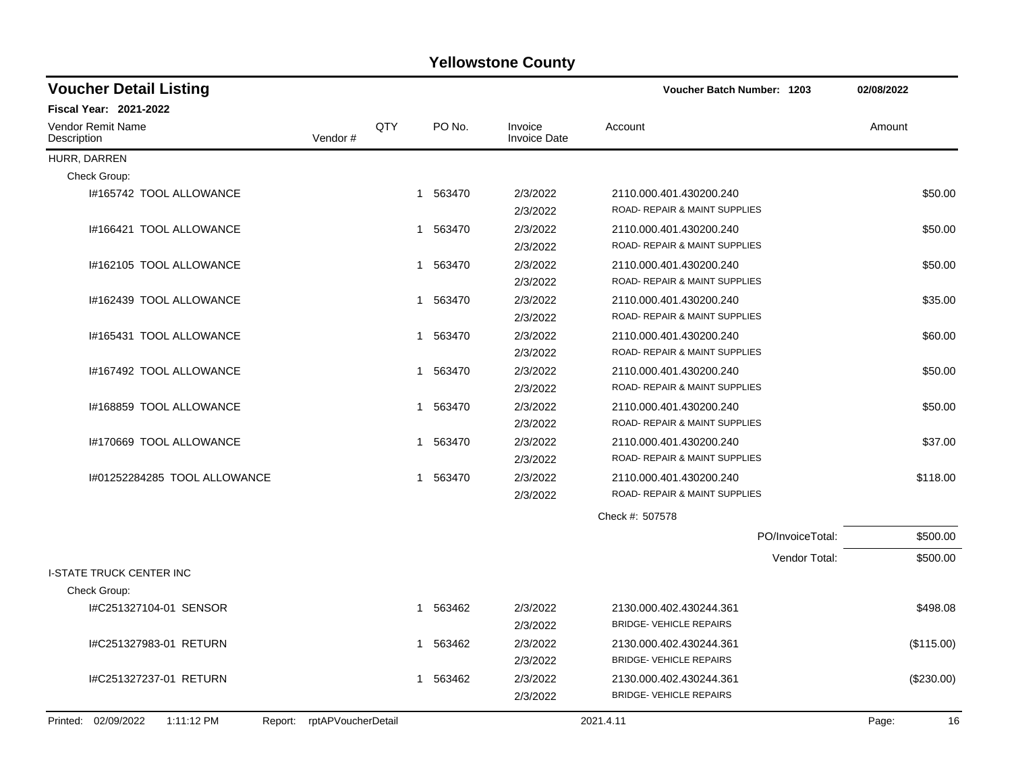| <b>Voucher Detail Listing</b>                                   |     |   |          |                                | <b>Voucher Batch Number: 1203</b>                         | 02/08/2022       |            |
|-----------------------------------------------------------------|-----|---|----------|--------------------------------|-----------------------------------------------------------|------------------|------------|
| <b>Fiscal Year: 2021-2022</b>                                   |     |   |          |                                |                                                           |                  |            |
| Vendor Remit Name<br>Vendor#<br>Description                     | QTY |   | PO No.   | Invoice<br><b>Invoice Date</b> | Account                                                   | Amount           |            |
| HURR, DARREN                                                    |     |   |          |                                |                                                           |                  |            |
| Check Group:                                                    |     |   |          |                                |                                                           |                  |            |
| I#165742 TOOL ALLOWANCE                                         |     |   | 1 563470 | 2/3/2022<br>2/3/2022           | 2110.000.401.430200.240<br>ROAD- REPAIR & MAINT SUPPLIES  |                  | \$50.00    |
| I#166421 TOOL ALLOWANCE                                         |     |   | 1 563470 | 2/3/2022<br>2/3/2022           | 2110.000.401.430200.240<br>ROAD- REPAIR & MAINT SUPPLIES  |                  | \$50.00    |
| I#162105 TOOL ALLOWANCE                                         |     | 1 | 563470   | 2/3/2022<br>2/3/2022           | 2110.000.401.430200.240<br>ROAD- REPAIR & MAINT SUPPLIES  |                  | \$50.00    |
| I#162439 TOOL ALLOWANCE                                         |     | 1 | 563470   | 2/3/2022<br>2/3/2022           | 2110.000.401.430200.240<br>ROAD- REPAIR & MAINT SUPPLIES  |                  | \$35.00    |
| I#165431 TOOL ALLOWANCE                                         |     |   | 1 563470 | 2/3/2022<br>2/3/2022           | 2110.000.401.430200.240<br>ROAD- REPAIR & MAINT SUPPLIES  |                  | \$60.00    |
| I#167492 TOOL ALLOWANCE                                         |     |   | 1 563470 | 2/3/2022<br>2/3/2022           | 2110.000.401.430200.240<br>ROAD- REPAIR & MAINT SUPPLIES  |                  | \$50.00    |
| I#168859 TOOL ALLOWANCE                                         |     | 1 | 563470   | 2/3/2022<br>2/3/2022           | 2110.000.401.430200.240<br>ROAD- REPAIR & MAINT SUPPLIES  |                  | \$50.00    |
| I#170669 TOOL ALLOWANCE                                         |     | 1 | 563470   | 2/3/2022<br>2/3/2022           | 2110.000.401.430200.240<br>ROAD- REPAIR & MAINT SUPPLIES  |                  | \$37.00    |
| 1#01252284285 TOOL ALLOWANCE                                    |     | 1 | 563470   | 2/3/2022<br>2/3/2022           | 2110.000.401.430200.240<br>ROAD- REPAIR & MAINT SUPPLIES  |                  | \$118.00   |
|                                                                 |     |   |          |                                | Check #: 507578                                           |                  |            |
|                                                                 |     |   |          |                                |                                                           | PO/InvoiceTotal: | \$500.00   |
| <b>I-STATE TRUCK CENTER INC</b>                                 |     |   |          |                                |                                                           | Vendor Total:    | \$500.00   |
| Check Group:                                                    |     |   |          |                                |                                                           |                  |            |
| #C251327104-01 SENSOR                                           |     |   | 1 563462 | 2/3/2022<br>2/3/2022           | 2130.000.402.430244.361<br><b>BRIDGE- VEHICLE REPAIRS</b> |                  | \$498.08   |
| I#C251327983-01 RETURN                                          |     | 1 | 563462   | 2/3/2022<br>2/3/2022           | 2130.000.402.430244.361<br><b>BRIDGE- VEHICLE REPAIRS</b> |                  | (\$115.00) |
| I#C251327237-01 RETURN                                          |     | 1 | 563462   | 2/3/2022<br>2/3/2022           | 2130.000.402.430244.361<br><b>BRIDGE- VEHICLE REPAIRS</b> |                  | (\$230.00) |
| Printed: 02/09/2022<br>1:11:12 PM<br>Report: rptAPVoucherDetail |     |   |          |                                | 2021.4.11                                                 | Page:            | 16         |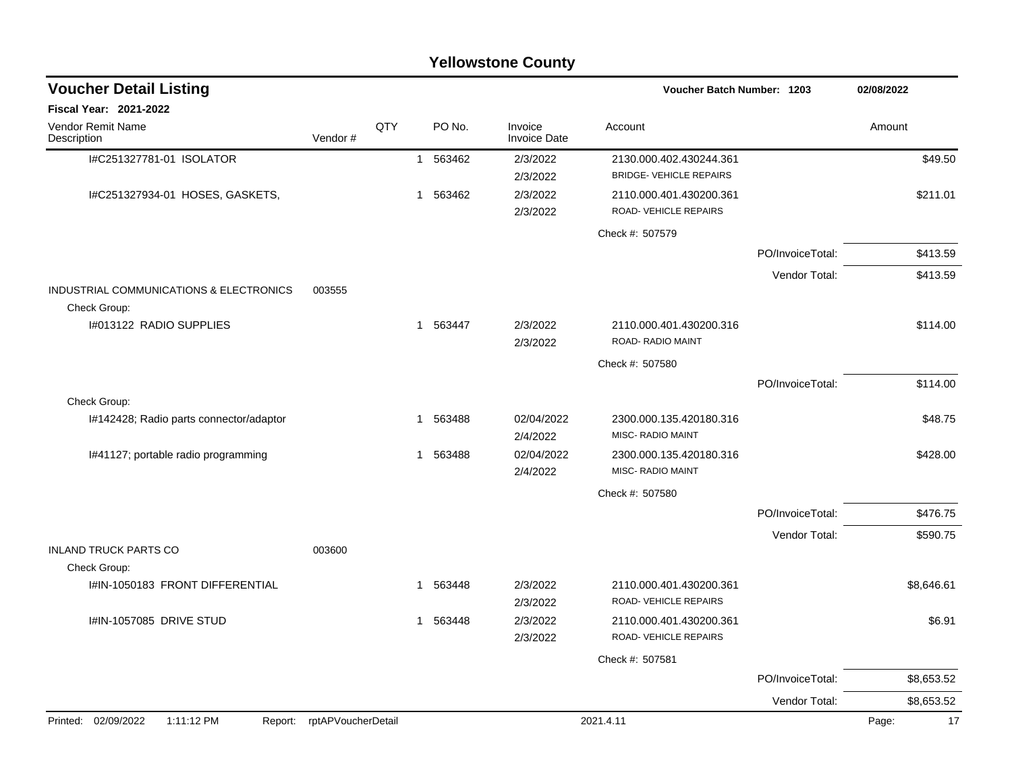|                                                         |                            |     |                        | <b>Yellowstone County</b>      |                                                           |                  |             |
|---------------------------------------------------------|----------------------------|-----|------------------------|--------------------------------|-----------------------------------------------------------|------------------|-------------|
| <b>Voucher Detail Listing</b>                           |                            |     |                        |                                | Voucher Batch Number: 1203                                |                  | 02/08/2022  |
| <b>Fiscal Year: 2021-2022</b>                           |                            |     |                        |                                |                                                           |                  |             |
| Vendor Remit Name<br>Description                        | Vendor#                    | QTY | PO No.                 | Invoice<br><b>Invoice Date</b> | Account                                                   |                  | Amount      |
| I#C251327781-01 ISOLATOR                                |                            |     | 563462<br>$\mathbf{1}$ | 2/3/2022<br>2/3/2022           | 2130.000.402.430244.361<br><b>BRIDGE- VEHICLE REPAIRS</b> |                  | \$49.50     |
| I#C251327934-01 HOSES, GASKETS,                         |                            |     | 563462<br>1            | 2/3/2022<br>2/3/2022           | 2110.000.401.430200.361<br>ROAD-VEHICLE REPAIRS           |                  | \$211.01    |
|                                                         |                            |     |                        |                                | Check #: 507579                                           |                  |             |
|                                                         |                            |     |                        |                                |                                                           | PO/InvoiceTotal: | \$413.59    |
|                                                         |                            |     |                        |                                |                                                           | Vendor Total:    | \$413.59    |
| INDUSTRIAL COMMUNICATIONS & ELECTRONICS<br>Check Group: | 003555                     |     |                        |                                |                                                           |                  |             |
| 1#013122 RADIO SUPPLIES                                 |                            |     | 563447<br>$\mathbf{1}$ | 2/3/2022<br>2/3/2022           | 2110.000.401.430200.316<br>ROAD-RADIO MAINT               |                  | \$114.00    |
|                                                         |                            |     |                        |                                | Check #: 507580                                           |                  |             |
|                                                         |                            |     |                        |                                |                                                           | PO/InvoiceTotal: | \$114.00    |
| Check Group:                                            |                            |     |                        |                                |                                                           |                  |             |
| I#142428; Radio parts connector/adaptor                 |                            |     | 563488<br>1            | 02/04/2022<br>2/4/2022         | 2300.000.135.420180.316<br><b>MISC- RADIO MAINT</b>       |                  | \$48.75     |
| I#41127; portable radio programming                     |                            |     | 563488<br>1            | 02/04/2022<br>2/4/2022         | 2300.000.135.420180.316<br>MISC- RADIO MAINT              |                  | \$428.00    |
|                                                         |                            |     |                        |                                | Check #: 507580                                           |                  |             |
|                                                         |                            |     |                        |                                |                                                           | PO/InvoiceTotal: | \$476.75    |
| <b>INLAND TRUCK PARTS CO</b>                            | 003600                     |     |                        |                                |                                                           | Vendor Total:    | \$590.75    |
| Check Group:                                            |                            |     |                        |                                |                                                           |                  |             |
| I#IN-1050183 FRONT DIFFERENTIAL                         |                            |     | 563448<br>1            | 2/3/2022<br>2/3/2022           | 2110.000.401.430200.361<br>ROAD-VEHICLE REPAIRS           |                  | \$8,646.61  |
| I#IN-1057085 DRIVE STUD                                 |                            |     | 563448<br>1            | 2/3/2022<br>2/3/2022           | 2110.000.401.430200.361<br>ROAD-VEHICLE REPAIRS           |                  | \$6.91      |
|                                                         |                            |     |                        |                                | Check #: 507581                                           |                  |             |
|                                                         |                            |     |                        |                                |                                                           | PO/InvoiceTotal: | \$8,653.52  |
|                                                         |                            |     |                        |                                |                                                           | Vendor Total:    | \$8,653.52  |
| Printed: 02/09/2022<br>1:11:12 PM                       | Report: rptAPVoucherDetail |     |                        |                                | 2021.4.11                                                 |                  | 17<br>Page: |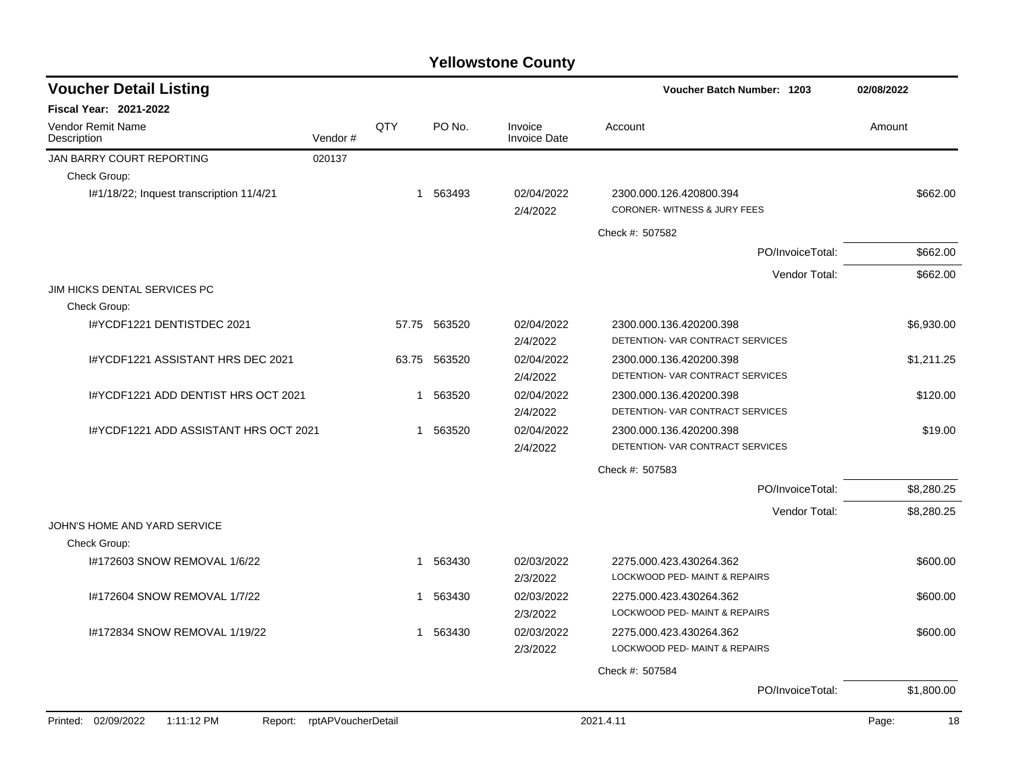| <b>Voucher Detail Listing</b>            |                            |              |              |                                | Voucher Batch Number: 1203                                  | 02/08/2022  |
|------------------------------------------|----------------------------|--------------|--------------|--------------------------------|-------------------------------------------------------------|-------------|
| <b>Fiscal Year: 2021-2022</b>            |                            |              |              |                                |                                                             |             |
| Vendor Remit Name<br>Description         | Vendor#                    | QTY          | PO No.       | Invoice<br><b>Invoice Date</b> | Account                                                     | Amount      |
| JAN BARRY COURT REPORTING                | 020137                     |              |              |                                |                                                             |             |
| Check Group:                             |                            |              |              |                                |                                                             |             |
| I#1/18/22; Inquest transcription 11/4/21 |                            |              | 1 563493     | 02/04/2022<br>2/4/2022         | 2300.000.126.420800.394<br>CORONER-WITNESS & JURY FEES      | \$662.00    |
|                                          |                            |              |              |                                | Check #: 507582                                             |             |
|                                          |                            |              |              |                                | PO/InvoiceTotal:                                            | \$662.00    |
|                                          |                            |              |              |                                | Vendor Total:                                               | \$662.00    |
| JIM HICKS DENTAL SERVICES PC             |                            |              |              |                                |                                                             |             |
| Check Group:                             |                            |              |              |                                |                                                             |             |
| I#YCDF1221 DENTISTDEC 2021               |                            |              | 57.75 563520 | 02/04/2022<br>2/4/2022         | 2300.000.136.420200.398<br>DETENTION- VAR CONTRACT SERVICES | \$6,930.00  |
| I#YCDF1221 ASSISTANT HRS DEC 2021        |                            | 63.75        | 563520       | 02/04/2022<br>2/4/2022         | 2300.000.136.420200.398<br>DETENTION- VAR CONTRACT SERVICES | \$1,211.25  |
| I#YCDF1221 ADD DENTIST HRS OCT 2021      |                            | $\mathbf{1}$ | 563520       | 02/04/2022<br>2/4/2022         | 2300.000.136.420200.398<br>DETENTION- VAR CONTRACT SERVICES | \$120.00    |
| I#YCDF1221 ADD ASSISTANT HRS OCT 2021    |                            |              | 1 563520     | 02/04/2022<br>2/4/2022         | 2300.000.136.420200.398<br>DETENTION- VAR CONTRACT SERVICES | \$19.00     |
|                                          |                            |              |              |                                | Check #: 507583                                             |             |
|                                          |                            |              |              |                                | PO/InvoiceTotal:                                            | \$8,280.25  |
|                                          |                            |              |              |                                | Vendor Total:                                               | \$8,280.25  |
| JOHN'S HOME AND YARD SERVICE             |                            |              |              |                                |                                                             |             |
| Check Group:                             |                            |              |              |                                |                                                             |             |
| I#172603 SNOW REMOVAL 1/6/22             |                            |              | 1 563430     | 02/03/2022                     | 2275.000.423.430264.362                                     | \$600.00    |
|                                          |                            |              |              | 2/3/2022                       | LOCKWOOD PED- MAINT & REPAIRS                               |             |
| I#172604 SNOW REMOVAL 1/7/22             |                            |              | 1 563430     | 02/03/2022                     | 2275.000.423.430264.362                                     | \$600.00    |
|                                          |                            |              |              | 2/3/2022                       | LOCKWOOD PED- MAINT & REPAIRS                               |             |
| 1#172834 SNOW REMOVAL 1/19/22            |                            |              | 1 563430     | 02/03/2022<br>2/3/2022         | 2275.000.423.430264.362<br>LOCKWOOD PED- MAINT & REPAIRS    | \$600.00    |
|                                          |                            |              |              |                                | Check #: 507584                                             |             |
|                                          |                            |              |              |                                | PO/InvoiceTotal:                                            | \$1,800.00  |
| Printed: 02/09/2022<br>1:11:12 PM        | Report: rptAPVoucherDetail |              |              |                                | 2021.4.11                                                   | Page:<br>18 |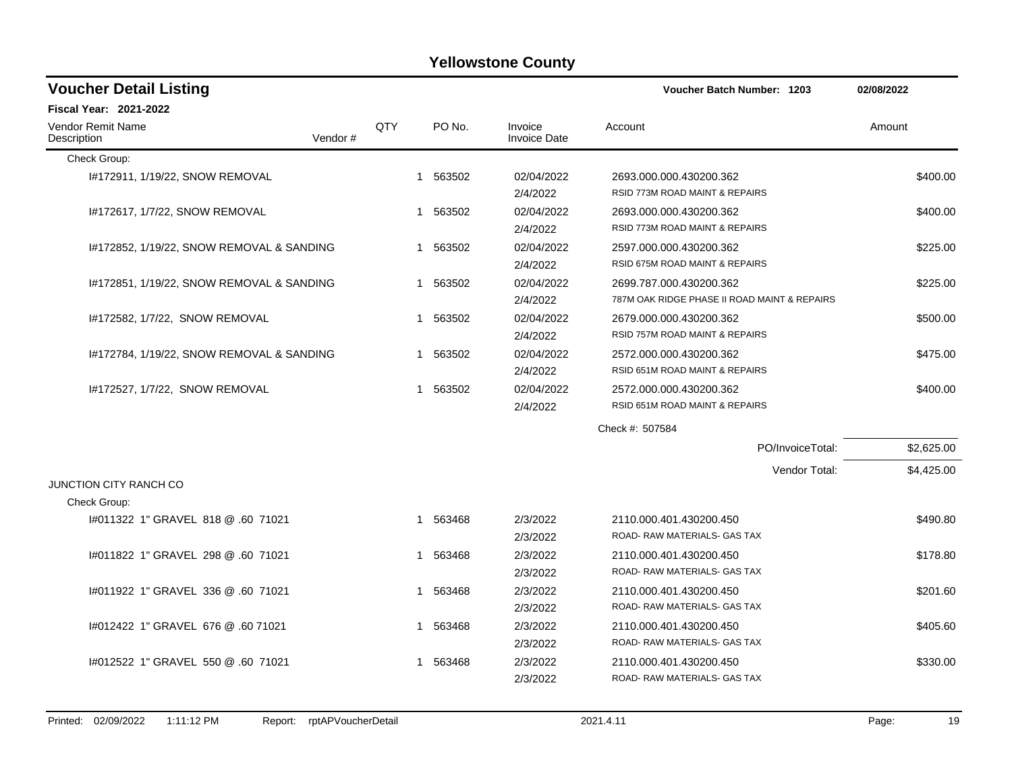| <b>Voucher Detail Listing</b>             |         |     |          |                                | Voucher Batch Number: 1203                   | 02/08/2022 |
|-------------------------------------------|---------|-----|----------|--------------------------------|----------------------------------------------|------------|
| <b>Fiscal Year: 2021-2022</b>             |         |     |          |                                |                                              |            |
| <b>Vendor Remit Name</b><br>Description   | Vendor# | QTY | PO No.   | Invoice<br><b>Invoice Date</b> | Account                                      | Amount     |
| Check Group:                              |         |     |          |                                |                                              |            |
| 1#172911, 1/19/22, SNOW REMOVAL           |         | 1   | 563502   | 02/04/2022                     | 2693.000.000.430200.362                      | \$400.00   |
|                                           |         |     |          | 2/4/2022                       | RSID 773M ROAD MAINT & REPAIRS               |            |
| I#172617, 1/7/22, SNOW REMOVAL            |         |     | 1 563502 | 02/04/2022                     | 2693.000.000.430200.362                      | \$400.00   |
|                                           |         |     |          | 2/4/2022                       | RSID 773M ROAD MAINT & REPAIRS               |            |
| 1#172852, 1/19/22, SNOW REMOVAL & SANDING |         |     | 1 563502 | 02/04/2022                     | 2597.000.000.430200.362                      | \$225.00   |
|                                           |         |     |          | 2/4/2022                       | RSID 675M ROAD MAINT & REPAIRS               |            |
| 1#172851, 1/19/22, SNOW REMOVAL & SANDING |         |     | 1 563502 | 02/04/2022                     | 2699.787.000.430200.362                      | \$225.00   |
|                                           |         |     |          | 2/4/2022                       | 787M OAK RIDGE PHASE II ROAD MAINT & REPAIRS |            |
| 1#172582, 1/7/22, SNOW REMOVAL            |         |     | 1 563502 | 02/04/2022                     | 2679.000.000.430200.362                      | \$500.00   |
|                                           |         |     |          | 2/4/2022                       | RSID 757M ROAD MAINT & REPAIRS               |            |
| I#172784, 1/19/22, SNOW REMOVAL & SANDING |         |     | 1 563502 | 02/04/2022                     | 2572.000.000.430200.362                      | \$475.00   |
|                                           |         |     |          | 2/4/2022                       | RSID 651M ROAD MAINT & REPAIRS               |            |
| I#172527, 1/7/22, SNOW REMOVAL            |         |     | 1 563502 | 02/04/2022                     | 2572.000.000.430200.362                      | \$400.00   |
|                                           |         |     |          | 2/4/2022                       | RSID 651M ROAD MAINT & REPAIRS               |            |
|                                           |         |     |          |                                | Check #: 507584                              |            |
|                                           |         |     |          |                                | PO/InvoiceTotal:                             | \$2,625.00 |
|                                           |         |     |          |                                | Vendor Total:                                | \$4,425.00 |
| <b>JUNCTION CITY RANCH CO</b>             |         |     |          |                                |                                              |            |
| Check Group:                              |         |     |          |                                |                                              |            |
| 1#011322 1" GRAVEL 818 @ .60 71021        |         |     | 1 563468 | 2/3/2022                       | 2110.000.401.430200.450                      | \$490.80   |
|                                           |         |     |          | 2/3/2022                       | ROAD-RAW MATERIALS- GAS TAX                  |            |
| 1#011822 1" GRAVEL 298 @ .60 71021        |         |     | 1 563468 | 2/3/2022                       | 2110.000.401.430200.450                      | \$178.80   |
|                                           |         |     |          | 2/3/2022                       | ROAD-RAW MATERIALS- GAS TAX                  |            |
| 1#011922 1" GRAVEL 336 @ .60 71021        |         |     | 1 563468 | 2/3/2022                       | 2110.000.401.430200.450                      | \$201.60   |
|                                           |         |     |          | 2/3/2022                       | ROAD-RAW MATERIALS- GAS TAX                  |            |
| 1#012422 1" GRAVEL 676 @ .60 71021        |         |     | 1 563468 | 2/3/2022                       | 2110.000.401.430200.450                      | \$405.60   |
|                                           |         |     |          | 2/3/2022                       | ROAD- RAW MATERIALS- GAS TAX                 |            |
| 1#012522 1" GRAVEL 550 @ .60 71021        |         | 1   | 563468   | 2/3/2022                       | 2110.000.401.430200.450                      | \$330.00   |
|                                           |         |     |          | 2/3/2022                       | ROAD-RAW MATERIALS- GAS TAX                  |            |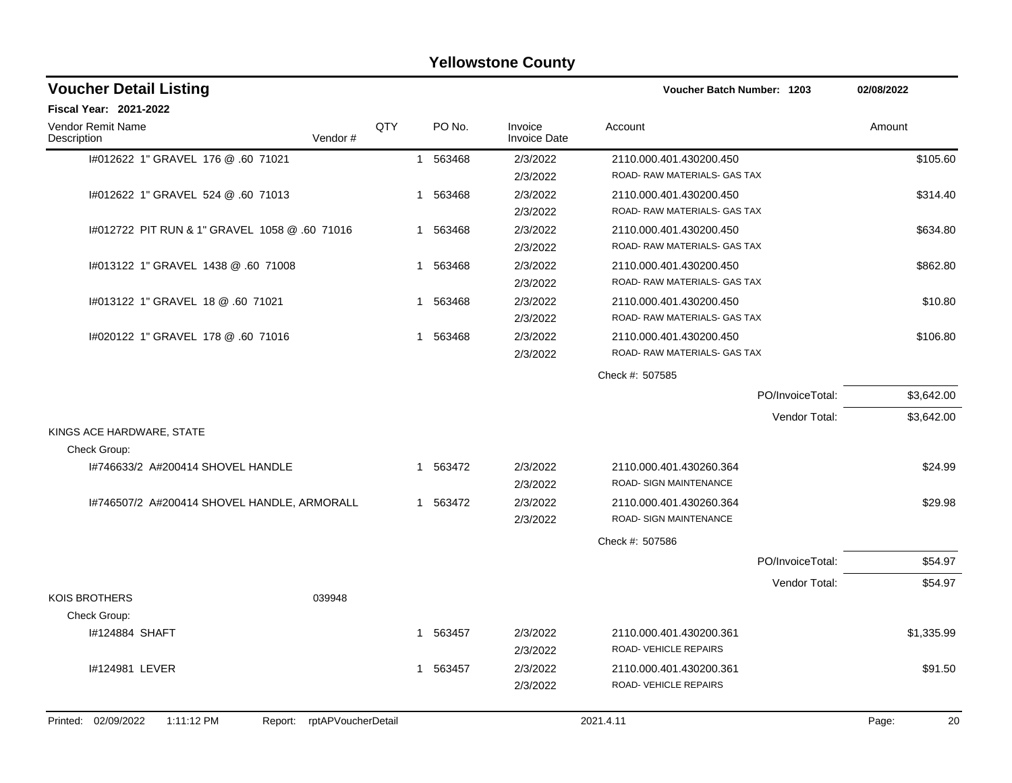| <b>Yellowstone County</b>                     |                            |     |             |                                |                                   |                  |             |  |  |  |  |
|-----------------------------------------------|----------------------------|-----|-------------|--------------------------------|-----------------------------------|------------------|-------------|--|--|--|--|
| <b>Voucher Detail Listing</b>                 |                            |     |             |                                | <b>Voucher Batch Number: 1203</b> |                  | 02/08/2022  |  |  |  |  |
| <b>Fiscal Year: 2021-2022</b>                 |                            |     |             |                                |                                   |                  |             |  |  |  |  |
| Vendor Remit Name<br>Description              | Vendor#                    | QTY | PO No.      | Invoice<br><b>Invoice Date</b> | Account                           |                  | Amount      |  |  |  |  |
| 1#012622 1" GRAVEL 176 @ .60 71021            |                            |     | 563468<br>1 | 2/3/2022                       | 2110.000.401.430200.450           |                  | \$105.60    |  |  |  |  |
|                                               |                            |     |             | 2/3/2022                       | ROAD-RAW MATERIALS- GAS TAX       |                  |             |  |  |  |  |
| I#012622 1" GRAVEL 524 @ .60 71013            |                            |     | 563468<br>1 | 2/3/2022                       | 2110.000.401.430200.450           |                  | \$314.40    |  |  |  |  |
|                                               |                            |     |             | 2/3/2022                       | ROAD-RAW MATERIALS-GAS TAX        |                  |             |  |  |  |  |
| 1#012722 PIT RUN & 1" GRAVEL 1058 @ .60 71016 |                            | 1   | 563468      | 2/3/2022                       | 2110.000.401.430200.450           |                  | \$634.80    |  |  |  |  |
|                                               |                            |     |             | 2/3/2022                       | ROAD-RAW MATERIALS- GAS TAX       |                  |             |  |  |  |  |
| I#013122 1" GRAVEL 1438 @ .60 71008           |                            | 1   | 563468      | 2/3/2022                       | 2110.000.401.430200.450           |                  | \$862.80    |  |  |  |  |
|                                               |                            |     |             | 2/3/2022                       | ROAD-RAW MATERIALS- GAS TAX       |                  |             |  |  |  |  |
| 1#013122 1" GRAVEL 18 @ .60 71021             |                            | 1   | 563468      | 2/3/2022                       | 2110.000.401.430200.450           |                  | \$10.80     |  |  |  |  |
|                                               |                            |     |             | 2/3/2022                       | ROAD-RAW MATERIALS- GAS TAX       |                  |             |  |  |  |  |
| 1#020122 1" GRAVEL 178 @ .60 71016            |                            | 1   | 563468      | 2/3/2022                       | 2110.000.401.430200.450           |                  | \$106.80    |  |  |  |  |
|                                               |                            |     |             | 2/3/2022                       | ROAD-RAW MATERIALS- GAS TAX       |                  |             |  |  |  |  |
|                                               |                            |     |             |                                | Check #: 507585                   |                  |             |  |  |  |  |
|                                               |                            |     |             |                                |                                   | PO/InvoiceTotal: | \$3,642.00  |  |  |  |  |
|                                               |                            |     |             |                                |                                   | Vendor Total:    | \$3,642.00  |  |  |  |  |
| KINGS ACE HARDWARE, STATE<br>Check Group:     |                            |     |             |                                |                                   |                  |             |  |  |  |  |
| I#746633/2 A#200414 SHOVEL HANDLE             |                            | 1   | 563472      | 2/3/2022                       | 2110.000.401.430260.364           |                  | \$24.99     |  |  |  |  |
|                                               |                            |     |             | 2/3/2022                       | <b>ROAD- SIGN MAINTENANCE</b>     |                  |             |  |  |  |  |
| I#746507/2 A#200414 SHOVEL HANDLE, ARMORALL   |                            |     | 1 563472    | 2/3/2022                       | 2110.000.401.430260.364           |                  | \$29.98     |  |  |  |  |
|                                               |                            |     |             | 2/3/2022                       | ROAD- SIGN MAINTENANCE            |                  |             |  |  |  |  |
|                                               |                            |     |             |                                | Check #: 507586                   |                  |             |  |  |  |  |
|                                               |                            |     |             |                                |                                   | PO/InvoiceTotal: | \$54.97     |  |  |  |  |
|                                               |                            |     |             |                                |                                   | Vendor Total:    | \$54.97     |  |  |  |  |
| <b>KOIS BROTHERS</b>                          | 039948                     |     |             |                                |                                   |                  |             |  |  |  |  |
| Check Group:                                  |                            |     |             |                                |                                   |                  |             |  |  |  |  |
| I#124884 SHAFT                                |                            |     | 1 563457    | 2/3/2022                       | 2110.000.401.430200.361           |                  | \$1,335.99  |  |  |  |  |
|                                               |                            |     |             | 2/3/2022                       | ROAD-VEHICLE REPAIRS              |                  |             |  |  |  |  |
| I#124981 LEVER                                |                            |     | 1 563457    | 2/3/2022                       | 2110.000.401.430200.361           |                  | \$91.50     |  |  |  |  |
|                                               |                            |     |             | 2/3/2022                       | ROAD-VEHICLE REPAIRS              |                  |             |  |  |  |  |
|                                               |                            |     |             |                                |                                   |                  |             |  |  |  |  |
| Printed: 02/09/2022<br>1:11:12 PM             | Report: rptAPVoucherDetail |     |             |                                | 2021.4.11                         |                  | Page:<br>20 |  |  |  |  |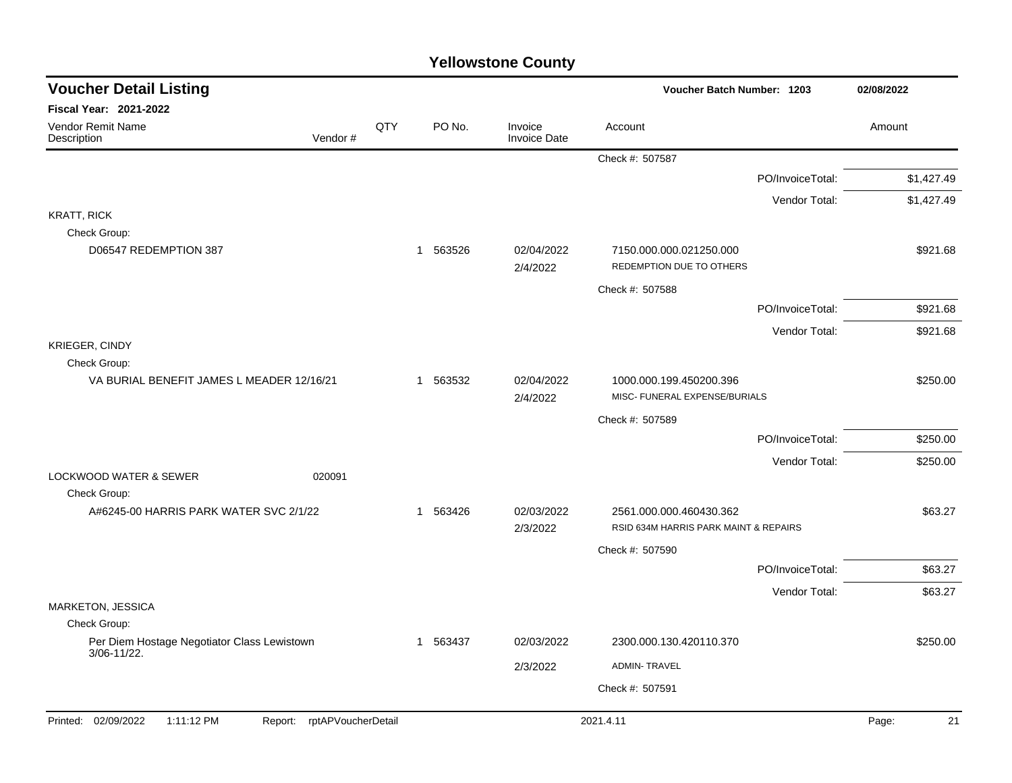| <b>Voucher Detail Listing</b>                                      |     |                       | Voucher Batch Number: 1203     |                                                                  |                  |             |  |
|--------------------------------------------------------------------|-----|-----------------------|--------------------------------|------------------------------------------------------------------|------------------|-------------|--|
| <b>Fiscal Year: 2021-2022</b>                                      |     |                       |                                |                                                                  |                  |             |  |
| Vendor Remit Name<br>Vendor#<br>Description                        | QTY | PO No.                | Invoice<br><b>Invoice Date</b> | Account                                                          |                  | Amount      |  |
|                                                                    |     |                       |                                | Check #: 507587                                                  |                  |             |  |
|                                                                    |     |                       |                                |                                                                  | PO/InvoiceTotal: | \$1,427.49  |  |
|                                                                    |     |                       |                                |                                                                  | Vendor Total:    | \$1,427.49  |  |
| <b>KRATT, RICK</b><br>Check Group:                                 |     |                       |                                |                                                                  |                  |             |  |
| D06547 REDEMPTION 387                                              |     | 1 563526              | 02/04/2022<br>2/4/2022         | 7150.000.000.021250.000<br>REDEMPTION DUE TO OTHERS              |                  | \$921.68    |  |
|                                                                    |     |                       |                                | Check #: 507588                                                  |                  |             |  |
|                                                                    |     |                       |                                |                                                                  | PO/InvoiceTotal: | \$921.68    |  |
|                                                                    |     |                       |                                |                                                                  | Vendor Total:    | \$921.68    |  |
| KRIEGER, CINDY                                                     |     |                       |                                |                                                                  |                  |             |  |
| Check Group:<br>VA BURIAL BENEFIT JAMES L MEADER 12/16/21          |     | 1 563532              | 02/04/2022                     |                                                                  |                  | \$250.00    |  |
|                                                                    |     |                       | 2/4/2022                       | 1000.000.199.450200.396<br>MISC- FUNERAL EXPENSE/BURIALS         |                  |             |  |
|                                                                    |     |                       |                                | Check #: 507589                                                  |                  |             |  |
|                                                                    |     |                       |                                |                                                                  | PO/InvoiceTotal: | \$250.00    |  |
|                                                                    |     |                       |                                |                                                                  | Vendor Total:    | \$250.00    |  |
| 020091<br>LOCKWOOD WATER & SEWER<br>Check Group:                   |     |                       |                                |                                                                  |                  |             |  |
| A#6245-00 HARRIS PARK WATER SVC 2/1/22                             |     | 563426<br>$\mathbf 1$ | 02/03/2022<br>2/3/2022         | 2561.000.000.460430.362<br>RSID 634M HARRIS PARK MAINT & REPAIRS |                  | \$63.27     |  |
|                                                                    |     |                       |                                | Check #: 507590                                                  |                  |             |  |
|                                                                    |     |                       |                                |                                                                  | PO/InvoiceTotal: | \$63.27     |  |
|                                                                    |     |                       |                                |                                                                  | Vendor Total:    | \$63.27     |  |
| <b>MARKETON, JESSICA</b>                                           |     |                       |                                |                                                                  |                  |             |  |
| Check Group:<br>Per Diem Hostage Negotiator Class Lewistown        |     | 1 563437              | 02/03/2022                     | 2300.000.130.420110.370                                          |                  |             |  |
| 3/06-11/22.                                                        |     |                       |                                |                                                                  |                  | \$250.00    |  |
|                                                                    |     |                       | 2/3/2022                       | <b>ADMIN-TRAVEL</b>                                              |                  |             |  |
|                                                                    |     |                       |                                | Check #: 507591                                                  |                  |             |  |
| Printed: 02/09/2022<br>1:11:12 PM<br>rptAPVoucherDetail<br>Report: |     |                       |                                | 2021.4.11                                                        |                  | Page:<br>21 |  |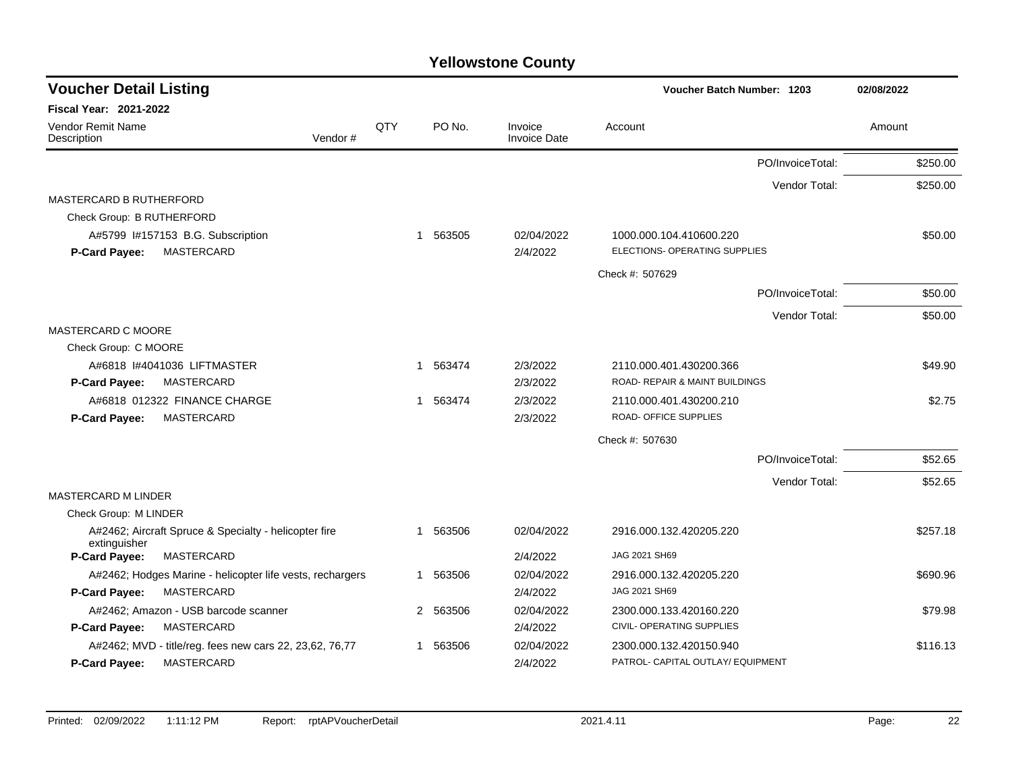| <b>Voucher Detail Listing</b>    |                                                           |         |     |             |                                | <b>Voucher Batch Number: 1203</b>                        |                  | 02/08/2022 |
|----------------------------------|-----------------------------------------------------------|---------|-----|-------------|--------------------------------|----------------------------------------------------------|------------------|------------|
| <b>Fiscal Year: 2021-2022</b>    |                                                           |         |     |             |                                |                                                          |                  |            |
| Vendor Remit Name<br>Description |                                                           | Vendor# | QTY | PO No.      | Invoice<br><b>Invoice Date</b> | Account                                                  |                  | Amount     |
|                                  |                                                           |         |     |             |                                |                                                          | PO/InvoiceTotal: | \$250.00   |
|                                  |                                                           |         |     |             |                                |                                                          | Vendor Total:    | \$250.00   |
| <b>MASTERCARD B RUTHERFORD</b>   |                                                           |         |     |             |                                |                                                          |                  |            |
| Check Group: B RUTHERFORD        |                                                           |         |     |             |                                |                                                          |                  |            |
| P-Card Payee:                    | A#5799 I#157153 B.G. Subscription<br>MASTERCARD           |         | 1   | 563505      | 02/04/2022<br>2/4/2022         | 1000.000.104.410600.220<br>ELECTIONS- OPERATING SUPPLIES |                  | \$50.00    |
|                                  |                                                           |         |     |             |                                | Check #: 507629                                          |                  |            |
|                                  |                                                           |         |     |             |                                |                                                          | PO/InvoiceTotal: | \$50.00    |
|                                  |                                                           |         |     |             |                                |                                                          | Vendor Total:    | \$50.00    |
| MASTERCARD C MOORE               |                                                           |         |     |             |                                |                                                          |                  |            |
| Check Group: C MOORE             |                                                           |         |     |             |                                |                                                          |                  |            |
|                                  | A#6818 I#4041036 LIFTMASTER                               |         |     | 1 563474    | 2/3/2022                       | 2110.000.401.430200.366                                  |                  | \$49.90    |
| P-Card Payee:                    | <b>MASTERCARD</b>                                         |         |     |             | 2/3/2022                       | ROAD- REPAIR & MAINT BUILDINGS                           |                  |            |
|                                  | A#6818 012322 FINANCE CHARGE                              |         |     | 563474<br>1 | 2/3/2022                       | 2110.000.401.430200.210                                  |                  | \$2.75     |
| P-Card Payee:                    | <b>MASTERCARD</b>                                         |         |     |             | 2/3/2022                       | ROAD- OFFICE SUPPLIES                                    |                  |            |
|                                  |                                                           |         |     |             |                                | Check #: 507630                                          |                  |            |
|                                  |                                                           |         |     |             |                                |                                                          | PO/InvoiceTotal: | \$52.65    |
|                                  |                                                           |         |     |             |                                |                                                          | Vendor Total:    | \$52.65    |
| <b>MASTERCARD M LINDER</b>       |                                                           |         |     |             |                                |                                                          |                  |            |
| Check Group: M LINDER            |                                                           |         |     |             |                                |                                                          |                  |            |
| extinguisher                     | A#2462; Aircraft Spruce & Specialty - helicopter fire     |         |     | 1 563506    | 02/04/2022                     | 2916.000.132.420205.220                                  |                  | \$257.18   |
| <b>P-Card Payee:</b>             | MASTERCARD                                                |         |     |             | 2/4/2022                       | JAG 2021 SH69                                            |                  |            |
|                                  | A#2462; Hodges Marine - helicopter life vests, rechargers |         |     | 1 563506    | 02/04/2022                     | 2916.000.132.420205.220                                  |                  | \$690.96   |
| P-Card Payee:                    | MASTERCARD                                                |         |     |             | 2/4/2022                       | JAG 2021 SH69                                            |                  |            |
|                                  | A#2462; Amazon - USB barcode scanner                      |         |     | 2 563506    | 02/04/2022                     | 2300.000.133.420160.220                                  |                  | \$79.98    |
| P-Card Payee:                    | <b>MASTERCARD</b>                                         |         |     |             | 2/4/2022                       | CIVIL- OPERATING SUPPLIES                                |                  |            |
|                                  | A#2462; MVD - title/reg. fees new cars 22, 23,62, 76,77   |         | 1   | 563506      | 02/04/2022                     | 2300.000.132.420150.940                                  |                  | \$116.13   |
| <b>P-Card Payee:</b>             | <b>MASTERCARD</b>                                         |         |     |             | 2/4/2022                       | PATROL- CAPITAL OUTLAY/ EQUIPMENT                        |                  |            |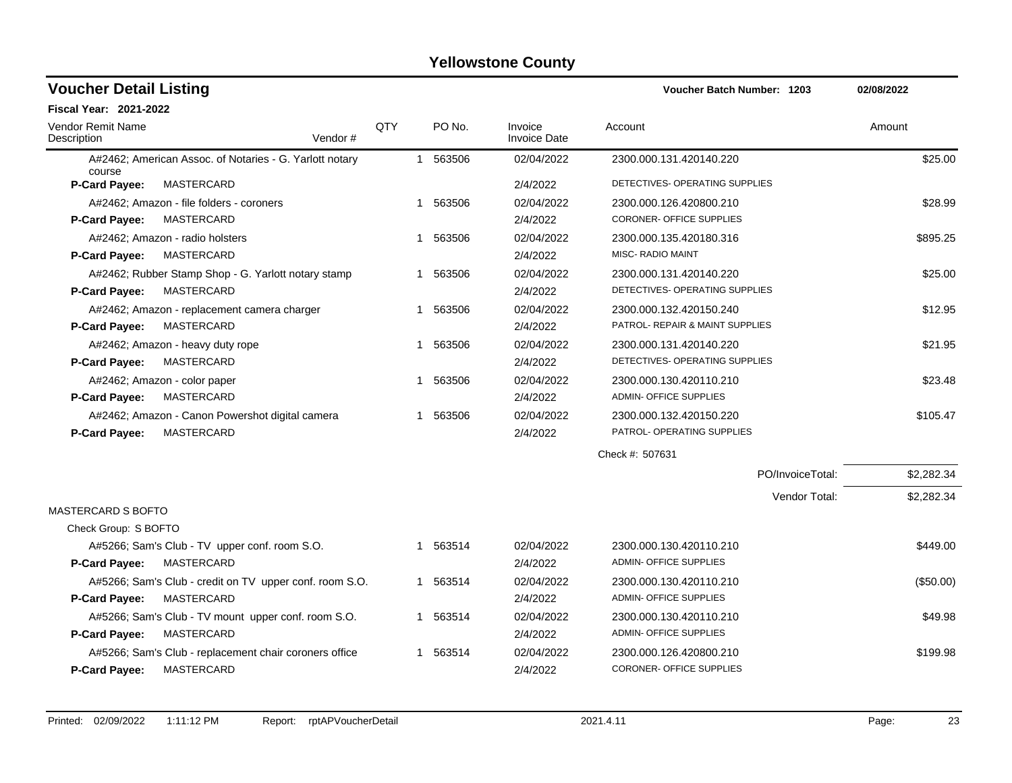| <b>Voucher Detail Listing</b>    |                                                         |     |          |                                | Voucher Batch Number: 1203      | 02/08/2022 |
|----------------------------------|---------------------------------------------------------|-----|----------|--------------------------------|---------------------------------|------------|
| <b>Fiscal Year: 2021-2022</b>    |                                                         |     |          |                                |                                 |            |
| Vendor Remit Name<br>Description | Vendor#                                                 | QTY | PO No.   | Invoice<br><b>Invoice Date</b> | Account                         | Amount     |
| course                           | A#2462; American Assoc. of Notaries - G. Yarlott notary |     | 1 563506 | 02/04/2022                     | 2300.000.131.420140.220         | \$25.00    |
| <b>P-Card Payee:</b>             | MASTERCARD                                              |     |          | 2/4/2022                       | DETECTIVES- OPERATING SUPPLIES  |            |
|                                  | A#2462; Amazon - file folders - coroners                |     | 1 563506 | 02/04/2022                     | 2300.000.126.420800.210         | \$28.99    |
| <b>P-Card Payee:</b>             | MASTERCARD                                              |     |          | 2/4/2022                       | <b>CORONER- OFFICE SUPPLIES</b> |            |
|                                  | A#2462; Amazon - radio holsters                         | 1   | 563506   | 02/04/2022                     | 2300.000.135.420180.316         | \$895.25   |
| P-Card Payee:                    | MASTERCARD                                              |     |          | 2/4/2022                       | MISC- RADIO MAINT               |            |
|                                  | A#2462; Rubber Stamp Shop - G. Yarlott notary stamp     | 1   | 563506   | 02/04/2022                     | 2300.000.131.420140.220         | \$25.00    |
| P-Card Payee:                    | MASTERCARD                                              |     |          | 2/4/2022                       | DETECTIVES- OPERATING SUPPLIES  |            |
|                                  | A#2462; Amazon - replacement camera charger             | 1   | 563506   | 02/04/2022                     | 2300.000.132.420150.240         | \$12.95    |
| <b>P-Card Payee:</b>             | MASTERCARD                                              |     |          | 2/4/2022                       | PATROL- REPAIR & MAINT SUPPLIES |            |
|                                  | A#2462; Amazon - heavy duty rope                        | -1  | 563506   | 02/04/2022                     | 2300.000.131.420140.220         | \$21.95    |
| P-Card Payee:                    | MASTERCARD                                              |     |          | 2/4/2022                       | DETECTIVES- OPERATING SUPPLIES  |            |
|                                  | A#2462; Amazon - color paper                            | 1   | 563506   | 02/04/2022                     | 2300.000.130.420110.210         | \$23.48    |
| P-Card Payee:                    | MASTERCARD                                              |     |          | 2/4/2022                       | <b>ADMIN- OFFICE SUPPLIES</b>   |            |
|                                  | A#2462; Amazon - Canon Powershot digital camera         | 1   | 563506   | 02/04/2022                     | 2300.000.132.420150.220         | \$105.47   |
| P-Card Payee:                    | MASTERCARD                                              |     |          | 2/4/2022                       | PATROL- OPERATING SUPPLIES      |            |
|                                  |                                                         |     |          |                                | Check #: 507631                 |            |
|                                  |                                                         |     |          |                                | PO/InvoiceTotal:                | \$2,282.34 |
|                                  |                                                         |     |          |                                | Vendor Total:                   | \$2,282.34 |
| <b>MASTERCARD S BOFTO</b>        |                                                         |     |          |                                |                                 |            |
| Check Group: S BOFTO             |                                                         |     |          |                                |                                 |            |
|                                  | A#5266; Sam's Club - TV upper conf. room S.O.           |     | 1 563514 | 02/04/2022                     | 2300.000.130.420110.210         | \$449.00   |
| <b>P-Card Payee:</b>             | MASTERCARD                                              |     |          | 2/4/2022                       | <b>ADMIN- OFFICE SUPPLIES</b>   |            |
|                                  | A#5266; Sam's Club - credit on TV upper conf. room S.O. |     | 1 563514 | 02/04/2022                     | 2300.000.130.420110.210         | (\$50.00)  |
| <b>P-Card Payee:</b>             | MASTERCARD                                              |     |          | 2/4/2022                       | <b>ADMIN- OFFICE SUPPLIES</b>   |            |
|                                  | A#5266; Sam's Club - TV mount upper conf. room S.O.     |     | 1 563514 | 02/04/2022                     | 2300.000.130.420110.210         | \$49.98    |
| P-Card Payee:                    | MASTERCARD                                              |     |          | 2/4/2022                       | <b>ADMIN- OFFICE SUPPLIES</b>   |            |
|                                  | A#5266; Sam's Club - replacement chair coroners office  | 1   | 563514   | 02/04/2022                     | 2300.000.126.420800.210         | \$199.98   |
| <b>P-Card Payee:</b>             | MASTERCARD                                              |     |          | 2/4/2022                       | CORONER- OFFICE SUPPLIES        |            |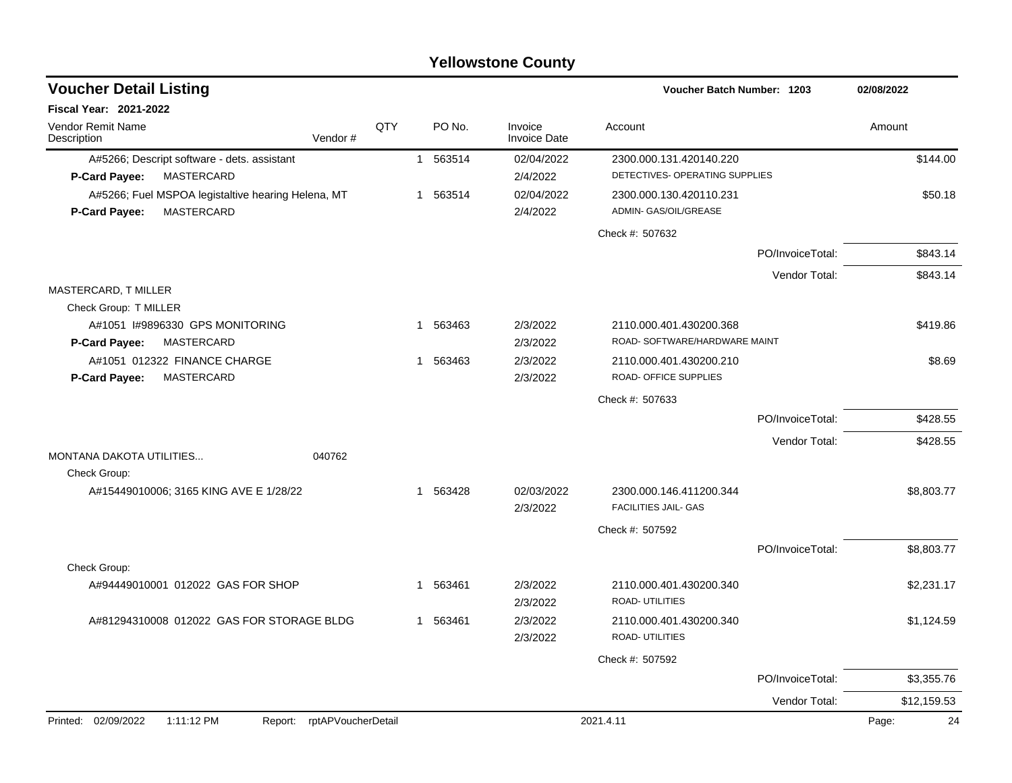| <b>Voucher Detail Listing</b>                                      |     |                        |                                | Voucher Batch Number: 1203                       |                  | 02/08/2022  |
|--------------------------------------------------------------------|-----|------------------------|--------------------------------|--------------------------------------------------|------------------|-------------|
| <b>Fiscal Year: 2021-2022</b>                                      |     |                        |                                |                                                  |                  |             |
| Vendor Remit Name<br>Vendor#<br>Description                        | QTY | PO No.                 | Invoice<br><b>Invoice Date</b> | Account                                          |                  | Amount      |
| A#5266; Descript software - dets. assistant                        |     | 1 563514               | 02/04/2022                     | 2300.000.131.420140.220                          |                  | \$144.00    |
| MASTERCARD<br>P-Card Payee:                                        |     |                        | 2/4/2022                       | DETECTIVES- OPERATING SUPPLIES                   |                  |             |
| A#5266; Fuel MSPOA legistaltive hearing Helena, MT                 |     | 1 563514               | 02/04/2022                     | 2300.000.130.420110.231                          |                  | \$50.18     |
| MASTERCARD<br>P-Card Payee:                                        |     |                        | 2/4/2022                       | ADMIN- GAS/OIL/GREASE                            |                  |             |
|                                                                    |     |                        |                                | Check #: 507632                                  |                  |             |
|                                                                    |     |                        |                                |                                                  | PO/InvoiceTotal: | \$843.14    |
|                                                                    |     |                        |                                |                                                  | Vendor Total:    | \$843.14    |
| MASTERCARD, T MILLER                                               |     |                        |                                |                                                  |                  |             |
| Check Group: T MILLER                                              |     |                        |                                |                                                  |                  |             |
| A#1051 #9896330 GPS MONITORING                                     |     | 1 563463               | 2/3/2022                       | 2110.000.401.430200.368                          |                  | \$419.86    |
| MASTERCARD<br>P-Card Payee:                                        |     |                        | 2/3/2022                       | ROAD-SOFTWARE/HARDWARE MAINT                     |                  |             |
| A#1051 012322 FINANCE CHARGE<br><b>MASTERCARD</b><br>P-Card Payee: |     | 1 563463               | 2/3/2022<br>2/3/2022           | 2110.000.401.430200.210<br>ROAD- OFFICE SUPPLIES |                  | \$8.69      |
|                                                                    |     |                        |                                |                                                  |                  |             |
|                                                                    |     |                        |                                | Check #: 507633                                  |                  |             |
|                                                                    |     |                        |                                |                                                  | PO/InvoiceTotal: | \$428.55    |
|                                                                    |     |                        |                                |                                                  | Vendor Total:    | \$428.55    |
| <b>MONTANA DAKOTA UTILITIES</b><br>040762                          |     |                        |                                |                                                  |                  |             |
| Check Group:<br>A#15449010006; 3165 KING AVE E 1/28/22             |     | 1 563428               | 02/03/2022                     | 2300.000.146.411200.344                          |                  | \$8,803.77  |
|                                                                    |     |                        | 2/3/2022                       | <b>FACILITIES JAIL- GAS</b>                      |                  |             |
|                                                                    |     |                        |                                | Check #: 507592                                  |                  |             |
|                                                                    |     |                        |                                |                                                  |                  |             |
| Check Group:                                                       |     |                        |                                |                                                  | PO/InvoiceTotal: | \$8,803.77  |
| A#94449010001 012022 GAS FOR SHOP                                  |     | 563461<br>$\mathbf{1}$ | 2/3/2022                       | 2110.000.401.430200.340                          |                  | \$2,231.17  |
|                                                                    |     |                        | 2/3/2022                       | <b>ROAD- UTILITIES</b>                           |                  |             |
| A#81294310008 012022 GAS FOR STORAGE BLDG                          |     | 563461<br>1            | 2/3/2022                       | 2110.000.401.430200.340                          |                  | \$1,124.59  |
|                                                                    |     |                        | 2/3/2022                       | ROAD- UTILITIES                                  |                  |             |
|                                                                    |     |                        |                                | Check #: 507592                                  |                  |             |
|                                                                    |     |                        |                                |                                                  | PO/InvoiceTotal: | \$3,355.76  |
|                                                                    |     |                        |                                |                                                  | Vendor Total:    | \$12,159.53 |
| Printed: 02/09/2022<br>1:11:12 PM<br>Report: rptAPVoucherDetail    |     |                        |                                | 2021.4.11                                        |                  | 24<br>Page: |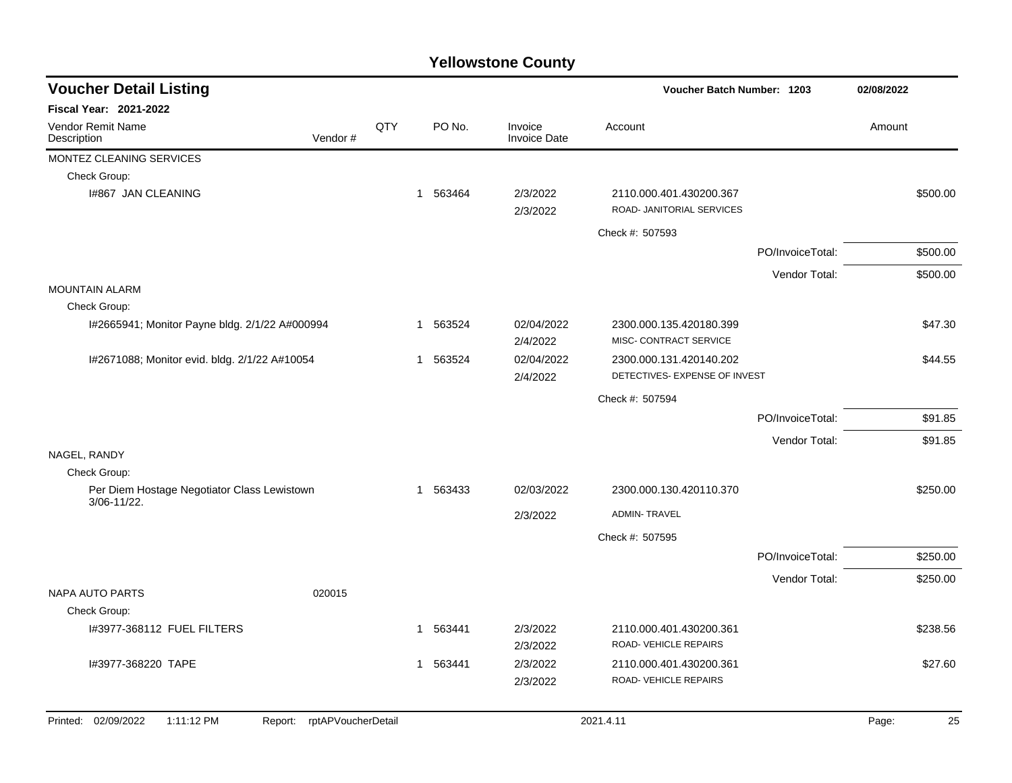| <b>Voucher Detail Listing</b>                              |                            |     |                          |                                | Voucher Batch Number: 1203                               |                  | 02/08/2022 |          |  |
|------------------------------------------------------------|----------------------------|-----|--------------------------|--------------------------------|----------------------------------------------------------|------------------|------------|----------|--|
| Fiscal Year: 2021-2022                                     |                            |     |                          |                                |                                                          |                  |            |          |  |
| Vendor Remit Name<br>Description                           | Vendor#                    | QTY | PO No.                   | Invoice<br><b>Invoice Date</b> | Account                                                  |                  | Amount     |          |  |
| MONTEZ CLEANING SERVICES                                   |                            |     |                          |                                |                                                          |                  |            |          |  |
| Check Group:                                               |                            |     |                          |                                |                                                          |                  |            |          |  |
| I#867 JAN CLEANING                                         |                            |     | 563464<br>$\overline{1}$ | 2/3/2022<br>2/3/2022           | 2110.000.401.430200.367<br>ROAD- JANITORIAL SERVICES     |                  |            | \$500.00 |  |
|                                                            |                            |     |                          |                                | Check #: 507593                                          |                  |            |          |  |
|                                                            |                            |     |                          |                                |                                                          | PO/InvoiceTotal: |            | \$500.00 |  |
|                                                            |                            |     |                          |                                |                                                          | Vendor Total:    |            | \$500.00 |  |
| <b>MOUNTAIN ALARM</b>                                      |                            |     |                          |                                |                                                          |                  |            |          |  |
| Check Group:                                               |                            |     |                          |                                |                                                          |                  |            |          |  |
| I#2665941; Monitor Payne bldg. 2/1/22 A#000994             |                            |     | 563524<br>-1             | 02/04/2022<br>2/4/2022         | 2300.000.135.420180.399<br>MISC- CONTRACT SERVICE        |                  |            | \$47.30  |  |
| I#2671088; Monitor evid. bldg. 2/1/22 A#10054              |                            |     | 563524<br>$\mathbf 1$    | 02/04/2022<br>2/4/2022         | 2300.000.131.420140.202<br>DETECTIVES- EXPENSE OF INVEST |                  |            | \$44.55  |  |
|                                                            |                            |     |                          |                                | Check #: 507594                                          |                  |            |          |  |
|                                                            |                            |     |                          |                                |                                                          | PO/InvoiceTotal: |            | \$91.85  |  |
|                                                            |                            |     |                          |                                |                                                          | Vendor Total:    |            | \$91.85  |  |
| NAGEL, RANDY                                               |                            |     |                          |                                |                                                          |                  |            |          |  |
| Check Group:                                               |                            |     |                          |                                |                                                          |                  |            |          |  |
| Per Diem Hostage Negotiator Class Lewistown<br>3/06-11/22. |                            |     | 1 563433                 | 02/03/2022                     | 2300.000.130.420110.370                                  |                  |            | \$250.00 |  |
|                                                            |                            |     |                          | 2/3/2022                       | <b>ADMIN-TRAVEL</b>                                      |                  |            |          |  |
|                                                            |                            |     |                          |                                | Check #: 507595                                          |                  |            |          |  |
|                                                            |                            |     |                          |                                |                                                          | PO/InvoiceTotal: |            | \$250.00 |  |
|                                                            |                            |     |                          |                                |                                                          | Vendor Total:    |            | \$250.00 |  |
| <b>NAPA AUTO PARTS</b>                                     | 020015                     |     |                          |                                |                                                          |                  |            |          |  |
| Check Group:                                               |                            |     |                          |                                |                                                          |                  |            |          |  |
| I#3977-368112 FUEL FILTERS                                 |                            |     | 1 563441                 | 2/3/2022                       | 2110.000.401.430200.361                                  |                  |            | \$238.56 |  |
|                                                            |                            |     |                          | 2/3/2022                       | ROAD-VEHICLE REPAIRS                                     |                  |            |          |  |
| I#3977-368220 TAPE                                         |                            |     | 563441<br>$\mathbf{1}$   | 2/3/2022                       | 2110.000.401.430200.361                                  |                  |            | \$27.60  |  |
|                                                            |                            |     |                          | 2/3/2022                       | ROAD- VEHICLE REPAIRS                                    |                  |            |          |  |
| Printed: 02/09/2022<br>1:11:12 PM                          | Report: rptAPVoucherDetail |     |                          |                                | 2021.4.11                                                |                  | Page:      | 25       |  |
|                                                            |                            |     |                          |                                |                                                          |                  |            |          |  |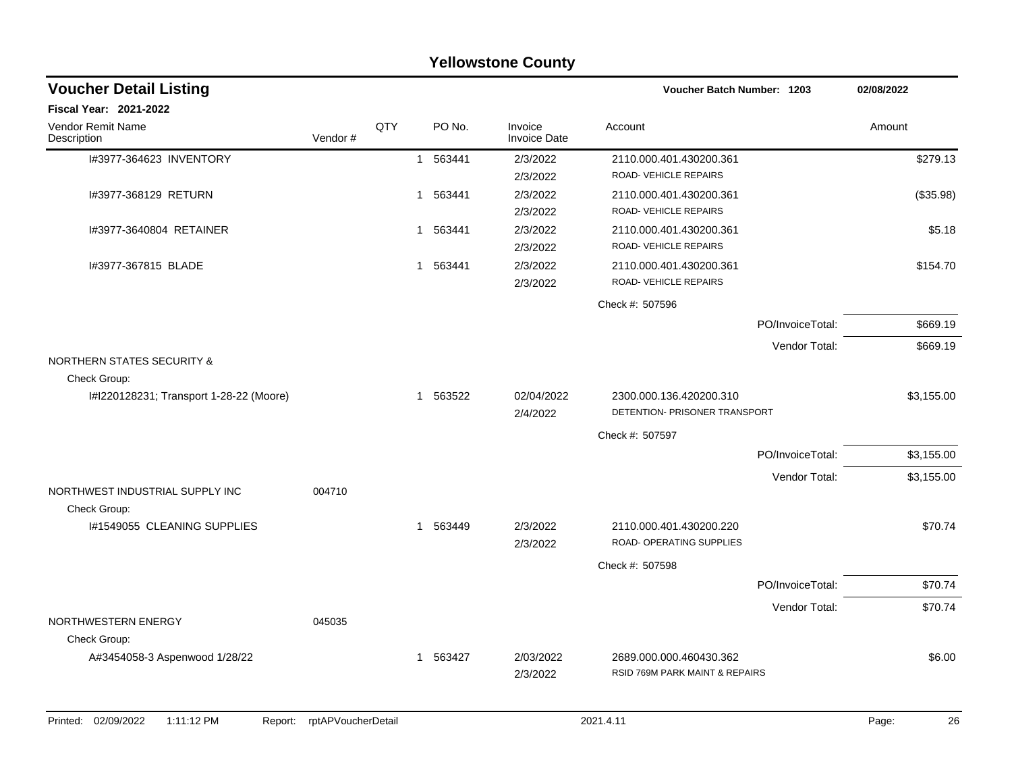|                                                       | <b>Yellowstone County</b> |     |              |        |                         |                                                           |                  |            |  |  |  |  |
|-------------------------------------------------------|---------------------------|-----|--------------|--------|-------------------------|-----------------------------------------------------------|------------------|------------|--|--|--|--|
| <b>Voucher Detail Listing</b>                         |                           |     |              |        |                         | Voucher Batch Number: 1203                                |                  | 02/08/2022 |  |  |  |  |
| <b>Fiscal Year: 2021-2022</b>                         |                           |     |              |        |                         |                                                           |                  |            |  |  |  |  |
| Vendor Remit Name<br>Description                      | Vendor #                  | QTY |              | PO No. | Invoice<br>Invoice Date | Account                                                   |                  | Amount     |  |  |  |  |
| I#3977-364623 INVENTORY                               |                           |     | $\mathbf{1}$ | 563441 | 2/3/2022<br>2/3/2022    | 2110.000.401.430200.361<br>ROAD-VEHICLE REPAIRS           |                  | \$279.13   |  |  |  |  |
| I#3977-368129 RETURN                                  |                           |     | 1 563441     |        | 2/3/2022<br>2/3/2022    | 2110.000.401.430200.361<br>ROAD-VEHICLE REPAIRS           |                  | (\$35.98)  |  |  |  |  |
| 1#3977-3640804 RETAINER                               |                           |     | 1 563441     |        | 2/3/2022<br>2/3/2022    | 2110.000.401.430200.361<br>ROAD-VEHICLE REPAIRS           |                  | \$5.18     |  |  |  |  |
| I#3977-367815 BLADE                                   |                           |     | 1 563441     |        | 2/3/2022<br>2/3/2022    | 2110.000.401.430200.361<br>ROAD-VEHICLE REPAIRS           |                  | \$154.70   |  |  |  |  |
|                                                       |                           |     |              |        |                         | Check #: 507596                                           |                  |            |  |  |  |  |
|                                                       |                           |     |              |        |                         |                                                           | PO/InvoiceTotal: | \$669.19   |  |  |  |  |
|                                                       |                           |     |              |        |                         |                                                           | Vendor Total:    | \$669.19   |  |  |  |  |
| <b>NORTHERN STATES SECURITY &amp;</b><br>Check Group: |                           |     |              |        |                         |                                                           |                  |            |  |  |  |  |
| I#I220128231; Transport 1-28-22 (Moore)               |                           |     | 1 563522     |        | 02/04/2022<br>2/4/2022  | 2300.000.136.420200.310<br>DETENTION- PRISONER TRANSPORT  |                  | \$3,155.00 |  |  |  |  |
|                                                       |                           |     |              |        |                         | Check #: 507597                                           |                  |            |  |  |  |  |
|                                                       |                           |     |              |        |                         |                                                           | PO/InvoiceTotal: | \$3,155.00 |  |  |  |  |
|                                                       |                           |     |              |        |                         |                                                           | Vendor Total:    | \$3,155.00 |  |  |  |  |
| NORTHWEST INDUSTRIAL SUPPLY INC<br>Check Group:       | 004710                    |     |              |        |                         |                                                           |                  |            |  |  |  |  |
| I#1549055 CLEANING SUPPLIES                           |                           |     | $\mathbf{1}$ | 563449 | 2/3/2022<br>2/3/2022    | 2110.000.401.430200.220<br>ROAD- OPERATING SUPPLIES       |                  | \$70.74    |  |  |  |  |
|                                                       |                           |     |              |        |                         | Check #: 507598                                           |                  |            |  |  |  |  |
|                                                       |                           |     |              |        |                         |                                                           | PO/InvoiceTotal: | \$70.74    |  |  |  |  |
|                                                       |                           |     |              |        |                         |                                                           | Vendor Total:    | \$70.74    |  |  |  |  |
| NORTHWESTERN ENERGY                                   | 045035                    |     |              |        |                         |                                                           |                  |            |  |  |  |  |
| Check Group:<br>A#3454058-3 Aspenwood 1/28/22         |                           |     | 1            | 563427 | 2/03/2022<br>2/3/2022   | 2689.000.000.460430.362<br>RSID 769M PARK MAINT & REPAIRS |                  | \$6.00     |  |  |  |  |
|                                                       |                           |     |              |        |                         |                                                           |                  |            |  |  |  |  |

#### Printed: 02/09/2022 1:11:12 PM Report: rptAPVoucherDetail 2021.4.11 2021.4.11 2021.4.11 Page: 26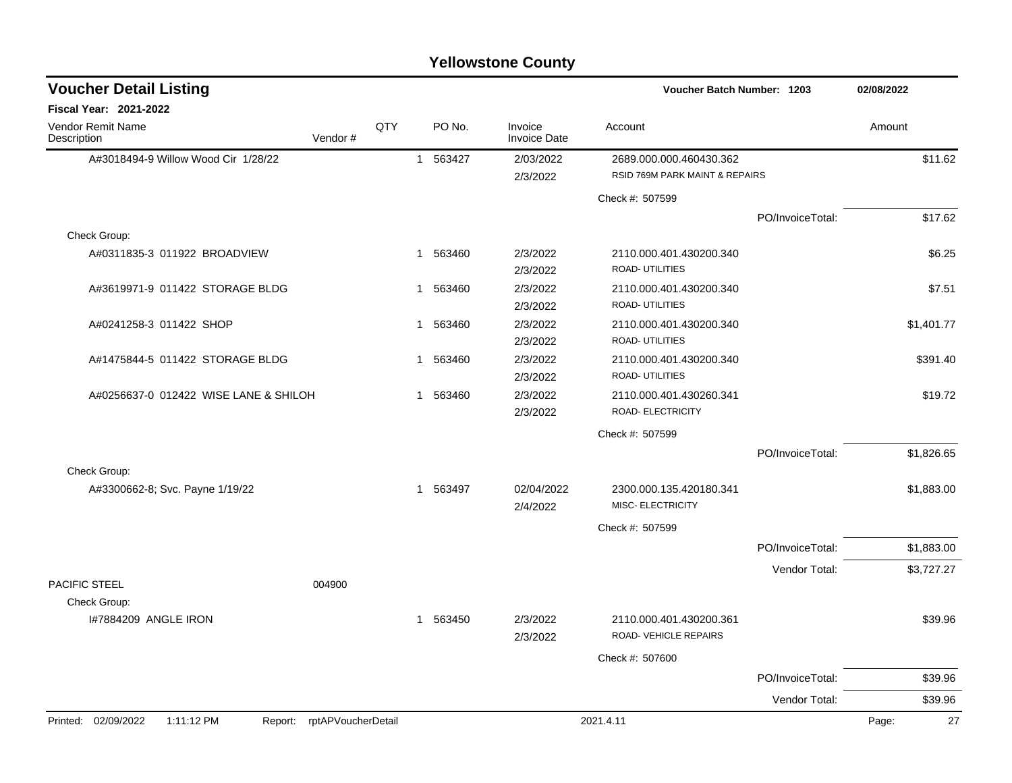| <b>Yellowstone County</b> |  |
|---------------------------|--|
|---------------------------|--|

| <b>Voucher Detail Listing</b>         |                            |              | 02/08/2022<br>Voucher Batch Number: 1203 |                                |                                                           |                  |        |            |
|---------------------------------------|----------------------------|--------------|------------------------------------------|--------------------------------|-----------------------------------------------------------|------------------|--------|------------|
| <b>Fiscal Year: 2021-2022</b>         |                            |              |                                          |                                |                                                           |                  |        |            |
| Vendor Remit Name<br>Description      | Vendor#                    | QTY          | PO No.                                   | Invoice<br><b>Invoice Date</b> | Account                                                   |                  | Amount |            |
| A#3018494-9 Willow Wood Cir 1/28/22   |                            | 1            | 563427                                   | 2/03/2022<br>2/3/2022          | 2689.000.000.460430.362<br>RSID 769M PARK MAINT & REPAIRS |                  |        | \$11.62    |
|                                       |                            |              |                                          |                                | Check #: 507599                                           |                  |        |            |
|                                       |                            |              |                                          |                                |                                                           | PO/InvoiceTotal: |        | \$17.62    |
| Check Group:                          |                            |              |                                          |                                |                                                           |                  |        |            |
| A#0311835-3 011922 BROADVIEW          |                            | $\mathbf{1}$ | 563460                                   | 2/3/2022<br>2/3/2022           | 2110.000.401.430200.340<br>ROAD- UTILITIES                |                  |        | \$6.25     |
| A#3619971-9 011422 STORAGE BLDG       |                            | 1            | 563460                                   | 2/3/2022<br>2/3/2022           | 2110.000.401.430200.340<br>ROAD- UTILITIES                |                  |        | \$7.51     |
| A#0241258-3 011422 SHOP               |                            | 1            | 563460                                   | 2/3/2022<br>2/3/2022           | 2110.000.401.430200.340<br>ROAD- UTILITIES                |                  |        | \$1,401.77 |
| A#1475844-5 011422 STORAGE BLDG       |                            | 1            | 563460                                   | 2/3/2022<br>2/3/2022           | 2110.000.401.430200.340<br>ROAD- UTILITIES                |                  |        | \$391.40   |
| A#0256637-0 012422 WISE LANE & SHILOH |                            | $\mathbf{1}$ | 563460                                   | 2/3/2022<br>2/3/2022           | 2110.000.401.430260.341<br>ROAD- ELECTRICITY              |                  |        | \$19.72    |
|                                       |                            |              |                                          |                                | Check #: 507599                                           |                  |        |            |
|                                       |                            |              |                                          |                                |                                                           | PO/InvoiceTotal: |        | \$1,826.65 |
| Check Group:                          |                            |              |                                          |                                |                                                           |                  |        |            |
| A#3300662-8; Svc. Payne 1/19/22       |                            | $\mathbf{1}$ | 563497                                   | 02/04/2022<br>2/4/2022         | 2300.000.135.420180.341<br><b>MISC- ELECTRICITY</b>       |                  |        | \$1,883.00 |
|                                       |                            |              |                                          |                                | Check #: 507599                                           |                  |        |            |
|                                       |                            |              |                                          |                                |                                                           | PO/InvoiceTotal: |        | \$1,883.00 |
| PACIFIC STEEL                         | 004900                     |              |                                          |                                |                                                           | Vendor Total:    |        | \$3,727.27 |
| Check Group:                          |                            |              |                                          |                                |                                                           |                  |        |            |
| I#7884209 ANGLE IRON                  |                            | $\mathbf{1}$ | 563450                                   | 2/3/2022<br>2/3/2022           | 2110.000.401.430200.361<br>ROAD-VEHICLE REPAIRS           |                  |        | \$39.96    |
|                                       |                            |              |                                          |                                | Check #: 507600                                           |                  |        |            |
|                                       |                            |              |                                          |                                |                                                           | PO/InvoiceTotal: |        | \$39.96    |
|                                       |                            |              |                                          |                                |                                                           | Vendor Total:    |        | \$39.96    |
| Printed: 02/09/2022<br>1:11:12 PM     | Report: rptAPVoucherDetail |              |                                          |                                | 2021.4.11                                                 |                  | Page:  | 27         |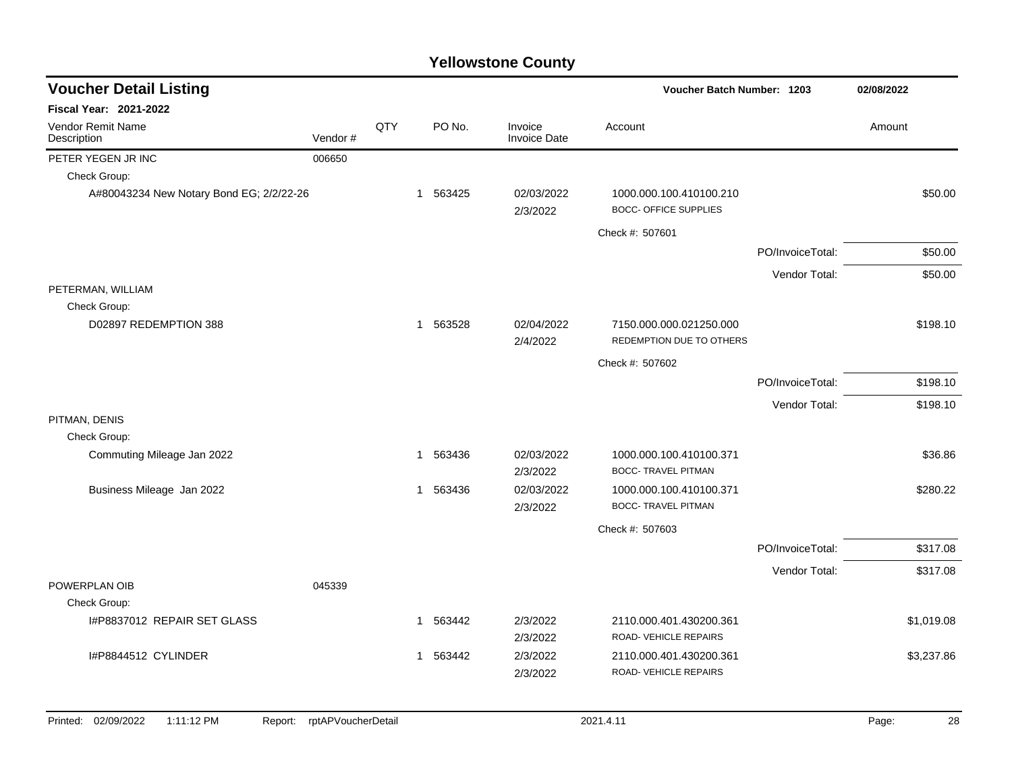| <b>Voucher Detail Listing</b>                |                    |     |          |                         | Voucher Batch Number: 1203                              |                  | 02/08/2022  |
|----------------------------------------------|--------------------|-----|----------|-------------------------|---------------------------------------------------------|------------------|-------------|
| <b>Fiscal Year: 2021-2022</b>                |                    |     |          |                         |                                                         |                  |             |
| Vendor Remit Name<br>Description             | Vendor #           | QTY | PO No.   | Invoice<br>Invoice Date | Account                                                 |                  | Amount      |
| PETER YEGEN JR INC                           | 006650             |     |          |                         |                                                         |                  |             |
| Check Group:                                 |                    |     |          |                         |                                                         |                  |             |
| A#80043234 New Notary Bond EG; 2/2/22-26     |                    |     | 1 563425 | 02/03/2022<br>2/3/2022  | 1000.000.100.410100.210<br><b>BOCC- OFFICE SUPPLIES</b> |                  | \$50.00     |
|                                              |                    |     |          |                         | Check #: 507601                                         |                  |             |
|                                              |                    |     |          |                         |                                                         | PO/InvoiceTotal: | \$50.00     |
|                                              |                    |     |          |                         |                                                         | Vendor Total:    | \$50.00     |
| PETERMAN, WILLIAM                            |                    |     |          |                         |                                                         |                  |             |
| Check Group:                                 |                    |     |          |                         |                                                         |                  |             |
| D02897 REDEMPTION 388                        |                    |     | 1 563528 | 02/04/2022<br>2/4/2022  | 7150.000.000.021250.000<br>REDEMPTION DUE TO OTHERS     |                  | \$198.10    |
|                                              |                    |     |          |                         | Check #: 507602                                         |                  |             |
|                                              |                    |     |          |                         |                                                         | PO/InvoiceTotal: | \$198.10    |
|                                              |                    |     |          |                         |                                                         | Vendor Total:    | \$198.10    |
| PITMAN, DENIS                                |                    |     |          |                         |                                                         |                  |             |
| Check Group:                                 |                    |     |          |                         |                                                         |                  |             |
| Commuting Mileage Jan 2022                   |                    |     | 1 563436 | 02/03/2022<br>2/3/2022  | 1000.000.100.410100.371<br><b>BOCC- TRAVEL PITMAN</b>   |                  | \$36.86     |
| Business Mileage Jan 2022                    |                    |     | 1 563436 | 02/03/2022              | 1000.000.100.410100.371                                 |                  | \$280.22    |
|                                              |                    |     |          | 2/3/2022                | <b>BOCC- TRAVEL PITMAN</b>                              |                  |             |
|                                              |                    |     |          |                         | Check #: 507603                                         |                  |             |
|                                              |                    |     |          |                         |                                                         | PO/InvoiceTotal: | \$317.08    |
|                                              |                    |     |          |                         |                                                         | Vendor Total:    | \$317.08    |
| POWERPLAN OIB                                | 045339             |     |          |                         |                                                         |                  |             |
| Check Group:                                 |                    |     |          |                         |                                                         |                  |             |
| I#P8837012 REPAIR SET GLASS                  |                    |     | 1 563442 | 2/3/2022<br>2/3/2022    | 2110.000.401.430200.361<br>ROAD-VEHICLE REPAIRS         |                  | \$1,019.08  |
| I#P8844512 CYLINDER                          |                    |     | 1 563442 | 2/3/2022<br>2/3/2022    | 2110.000.401.430200.361<br>ROAD-VEHICLE REPAIRS         |                  | \$3,237.86  |
| Printed: 02/09/2022<br>1:11:12 PM<br>Report: | rptAPVoucherDetail |     |          |                         | 2021.4.11                                               |                  | Page:<br>28 |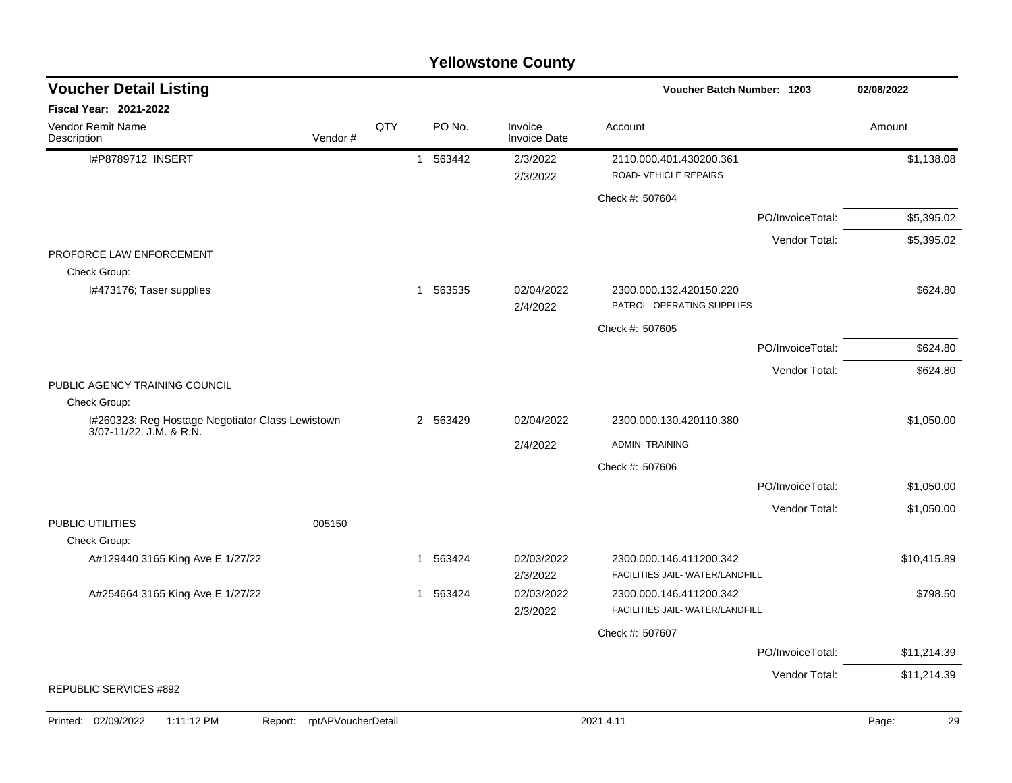|                                                                             |                               |     |                        | <b>TEILOWSLOTE COUTLY</b>      |                                                       |                  |             |
|-----------------------------------------------------------------------------|-------------------------------|-----|------------------------|--------------------------------|-------------------------------------------------------|------------------|-------------|
| <b>Voucher Detail Listing</b>                                               |                               |     |                        |                                | Voucher Batch Number: 1203                            |                  | 02/08/2022  |
| <b>Fiscal Year: 2021-2022</b>                                               |                               |     |                        |                                |                                                       |                  |             |
| Vendor Remit Name<br>Description                                            | Vendor#                       | QTY | PO No.                 | Invoice<br><b>Invoice Date</b> | Account                                               |                  | Amount      |
| I#P8789712 INSERT                                                           |                               |     | 563442<br>$\mathbf{1}$ | 2/3/2022                       | 2110.000.401.430200.361                               |                  | \$1,138.08  |
|                                                                             |                               |     |                        | 2/3/2022                       | ROAD-VEHICLE REPAIRS                                  |                  |             |
|                                                                             |                               |     |                        |                                | Check #: 507604                                       |                  |             |
|                                                                             |                               |     |                        |                                |                                                       | PO/InvoiceTotal: | \$5,395.02  |
|                                                                             |                               |     |                        |                                |                                                       | Vendor Total:    | \$5,395.02  |
| PROFORCE LAW ENFORCEMENT<br>Check Group:                                    |                               |     |                        |                                |                                                       |                  |             |
| I#473176; Taser supplies                                                    |                               |     | 563535<br>1            | 02/04/2022<br>2/4/2022         | 2300.000.132.420150.220<br>PATROL- OPERATING SUPPLIES |                  | \$624.80    |
|                                                                             |                               |     |                        |                                | Check #: 507605                                       |                  |             |
|                                                                             |                               |     |                        |                                |                                                       | PO/InvoiceTotal: | \$624.80    |
|                                                                             |                               |     |                        |                                |                                                       | Vendor Total:    | \$624.80    |
| PUBLIC AGENCY TRAINING COUNCIL                                              |                               |     |                        |                                |                                                       |                  |             |
| Check Group:                                                                |                               |     |                        |                                |                                                       |                  |             |
| I#260323: Reg Hostage Negotiator Class Lewistown<br>3/07-11/22. J.M. & R.N. |                               |     | 2 563429               | 02/04/2022                     | 2300.000.130.420110.380                               |                  | \$1,050.00  |
|                                                                             |                               |     |                        | 2/4/2022                       | <b>ADMIN-TRAINING</b>                                 |                  |             |
|                                                                             |                               |     |                        |                                | Check #: 507606                                       |                  |             |
|                                                                             |                               |     |                        |                                |                                                       | PO/InvoiceTotal: | \$1,050.00  |
|                                                                             |                               |     |                        |                                |                                                       | Vendor Total:    | \$1,050.00  |
| PUBLIC UTILITIES<br>Check Group:                                            | 005150                        |     |                        |                                |                                                       |                  |             |
| A#129440 3165 King Ave E 1/27/22                                            |                               |     | 563424<br>1            | 02/03/2022                     | 2300.000.146.411200.342                               |                  | \$10,415.89 |
|                                                                             |                               |     |                        | 2/3/2022                       | FACILITIES JAIL- WATER/LANDFILL                       |                  |             |
| A#254664 3165 King Ave E 1/27/22                                            |                               |     | 563424<br>1            | 02/03/2022                     | 2300.000.146.411200.342                               |                  | \$798.50    |
|                                                                             |                               |     |                        | 2/3/2022                       | FACILITIES JAIL- WATER/LANDFILL                       |                  |             |
|                                                                             |                               |     |                        |                                | Check #: 507607                                       |                  |             |
|                                                                             |                               |     |                        |                                |                                                       | PO/InvoiceTotal: | \$11,214.39 |
|                                                                             |                               |     |                        |                                |                                                       | Vendor Total:    | \$11,214.39 |
| REPUBLIC SERVICES #892                                                      |                               |     |                        |                                |                                                       |                  |             |
| Printed: 02/09/2022<br>1:11:12 PM                                           | rptAPVoucherDetail<br>Report: |     |                        |                                | 2021.4.11                                             |                  | 29<br>Page: |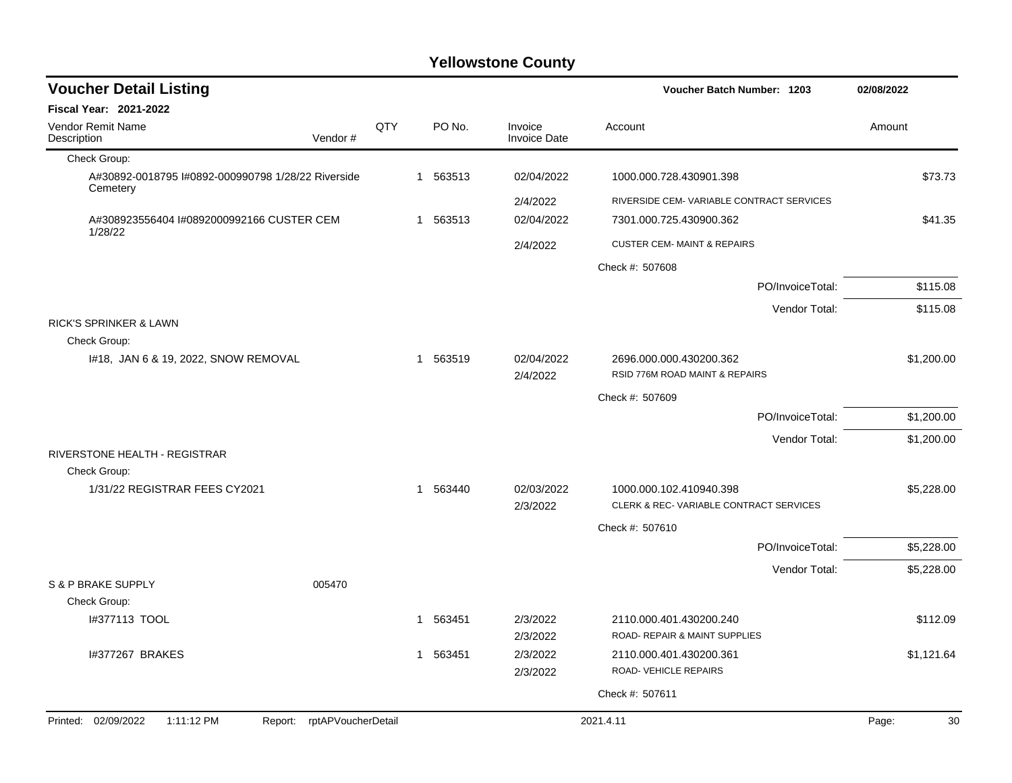| <b>Voucher Detail Listing</b>                                  |                               |     |          |                                | <b>Voucher Batch Number: 1203</b>                         | 02/08/2022  |
|----------------------------------------------------------------|-------------------------------|-----|----------|--------------------------------|-----------------------------------------------------------|-------------|
| Fiscal Year: 2021-2022                                         |                               |     |          |                                |                                                           |             |
| Vendor Remit Name<br>Description                               | Vendor#                       | QTY | PO No.   | Invoice<br><b>Invoice Date</b> | Account                                                   | Amount      |
| Check Group:                                                   |                               |     |          |                                |                                                           |             |
| A#30892-0018795 I#0892-000990798 1/28/22 Riverside<br>Cemetery |                               |     | 1 563513 | 02/04/2022                     | 1000.000.728.430901.398                                   | \$73.73     |
|                                                                |                               |     |          | 2/4/2022                       | RIVERSIDE CEM- VARIABLE CONTRACT SERVICES                 |             |
| A#308923556404 I#0892000992166 CUSTER CEM<br>1/28/22           |                               |     | 1 563513 | 02/04/2022                     | 7301.000.725.430900.362                                   | \$41.35     |
|                                                                |                               |     |          | 2/4/2022                       | <b>CUSTER CEM- MAINT &amp; REPAIRS</b>                    |             |
|                                                                |                               |     |          |                                | Check #: 507608                                           |             |
|                                                                |                               |     |          |                                | PO/InvoiceTotal:                                          | \$115.08    |
|                                                                |                               |     |          |                                | Vendor Total:                                             | \$115.08    |
| <b>RICK'S SPRINKER &amp; LAWN</b><br>Check Group:              |                               |     |          |                                |                                                           |             |
| 1#18, JAN 6 & 19, 2022, SNOW REMOVAL                           |                               |     | 1 563519 | 02/04/2022<br>2/4/2022         | 2696.000.000.430200.362<br>RSID 776M ROAD MAINT & REPAIRS | \$1,200.00  |
|                                                                |                               |     |          |                                | Check #: 507609                                           |             |
|                                                                |                               |     |          |                                | PO/InvoiceTotal:                                          | \$1,200.00  |
|                                                                |                               |     |          |                                | Vendor Total:                                             | \$1,200.00  |
| RIVERSTONE HEALTH - REGISTRAR<br>Check Group:                  |                               |     |          |                                |                                                           |             |
| 1/31/22 REGISTRAR FEES CY2021                                  |                               |     | 1 563440 | 02/03/2022                     | 1000.000.102.410940.398                                   | \$5,228.00  |
|                                                                |                               |     |          | 2/3/2022                       | CLERK & REC-VARIABLE CONTRACT SERVICES                    |             |
|                                                                |                               |     |          |                                | Check #: 507610                                           |             |
|                                                                |                               |     |          |                                | PO/InvoiceTotal:                                          | \$5,228.00  |
|                                                                |                               |     |          |                                | Vendor Total:                                             | \$5,228.00  |
| S & P BRAKE SUPPLY<br>Check Group:                             | 005470                        |     |          |                                |                                                           |             |
| I#377113 TOOL                                                  |                               |     | 1 563451 | 2/3/2022                       | 2110.000.401.430200.240                                   | \$112.09    |
|                                                                |                               |     |          | 2/3/2022                       | ROAD- REPAIR & MAINT SUPPLIES                             |             |
| 1#377267 BRAKES                                                |                               |     | 1 563451 | 2/3/2022<br>2/3/2022           | 2110.000.401.430200.361<br>ROAD- VEHICLE REPAIRS          | \$1.121.64  |
|                                                                |                               |     |          |                                |                                                           |             |
|                                                                |                               |     |          |                                | Check #: 507611                                           |             |
| Printed: 02/09/2022<br>1:11:12 PM                              | rptAPVoucherDetail<br>Report: |     |          |                                | 2021.4.11                                                 | 30<br>Page: |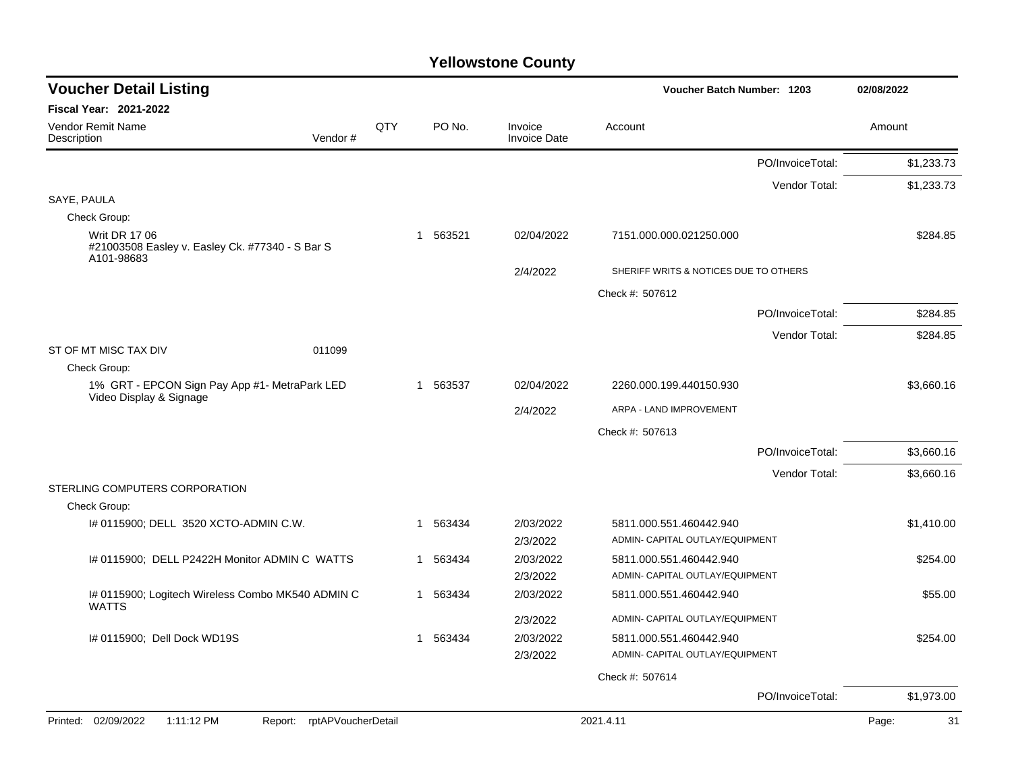| <b>Voucher Detail Listing</b>                                                         |     |              |          |                                | Voucher Batch Number: 1203                                 |                  | 02/08/2022  |
|---------------------------------------------------------------------------------------|-----|--------------|----------|--------------------------------|------------------------------------------------------------|------------------|-------------|
| <b>Fiscal Year: 2021-2022</b>                                                         |     |              |          |                                |                                                            |                  |             |
| Vendor Remit Name<br>Description<br>Vendor#                                           | QTY |              | PO No.   | Invoice<br><b>Invoice Date</b> | Account                                                    |                  | Amount      |
|                                                                                       |     |              |          |                                |                                                            | PO/InvoiceTotal: | \$1,233.73  |
|                                                                                       |     |              |          |                                |                                                            | Vendor Total:    | \$1,233.73  |
| SAYE, PAULA                                                                           |     |              |          |                                |                                                            |                  |             |
| Check Group:                                                                          |     |              |          |                                |                                                            |                  |             |
| <b>Writ DR 17 06</b><br>#21003508 Easley v. Easley Ck. #77340 - S Bar S<br>A101-98683 |     | 1            | 563521   | 02/04/2022                     | 7151.000.000.021250.000                                    |                  | \$284.85    |
|                                                                                       |     |              |          | 2/4/2022                       | SHERIFF WRITS & NOTICES DUE TO OTHERS                      |                  |             |
|                                                                                       |     |              |          |                                | Check #: 507612                                            |                  |             |
|                                                                                       |     |              |          |                                |                                                            | PO/InvoiceTotal: | \$284.85    |
|                                                                                       |     |              |          |                                |                                                            | Vendor Total:    | \$284.85    |
| ST OF MT MISC TAX DIV<br>011099                                                       |     |              |          |                                |                                                            |                  |             |
| Check Group:                                                                          |     |              |          |                                |                                                            |                  |             |
| 1% GRT - EPCON Sign Pay App #1- MetraPark LED<br>Video Display & Signage              |     | $\mathbf{1}$ | 563537   | 02/04/2022                     | 2260.000.199.440150.930                                    |                  | \$3.660.16  |
|                                                                                       |     |              |          | 2/4/2022                       | ARPA - LAND IMPROVEMENT                                    |                  |             |
|                                                                                       |     |              |          |                                | Check #: 507613                                            |                  |             |
|                                                                                       |     |              |          |                                |                                                            | PO/InvoiceTotal: | \$3,660.16  |
|                                                                                       |     |              |          |                                |                                                            | Vendor Total:    | \$3,660.16  |
| STERLING COMPUTERS CORPORATION                                                        |     |              |          |                                |                                                            |                  |             |
| Check Group:                                                                          |     |              |          |                                |                                                            |                  |             |
| I# 0115900; DELL 3520 XCTO-ADMIN C.W.                                                 |     | 1            | 563434   | 2/03/2022                      | 5811.000.551.460442.940                                    |                  | \$1,410.00  |
|                                                                                       |     |              |          | 2/3/2022                       | ADMIN- CAPITAL OUTLAY/EQUIPMENT                            |                  |             |
| I# 0115900; DELL P2422H Monitor ADMIN C WATTS                                         |     |              | 1 563434 | 2/03/2022<br>2/3/2022          | 5811.000.551.460442.940<br>ADMIN- CAPITAL OUTLAY/EQUIPMENT |                  | \$254.00    |
| I# 0115900; Logitech Wireless Combo MK540 ADMIN C                                     |     |              | 1 563434 | 2/03/2022                      | 5811.000.551.460442.940                                    |                  | \$55.00     |
| <b>WATTS</b>                                                                          |     |              |          |                                |                                                            |                  |             |
|                                                                                       |     |              |          | 2/3/2022                       | ADMIN- CAPITAL OUTLAY/EQUIPMENT                            |                  |             |
| # 0115900; Dell Dock WD19S                                                            |     |              | 563434   | 2/03/2022<br>2/3/2022          | 5811.000.551.460442.940<br>ADMIN- CAPITAL OUTLAY/EQUIPMENT |                  | \$254.00    |
|                                                                                       |     |              |          |                                |                                                            |                  |             |
|                                                                                       |     |              |          |                                | Check #: 507614                                            |                  |             |
|                                                                                       |     |              |          |                                |                                                            | PO/InvoiceTotal: | \$1,973.00  |
| Printed: 02/09/2022<br>1:11:12 PM<br>Report: rptAPVoucherDetail                       |     |              |          |                                | 2021.4.11                                                  |                  | 31<br>Page: |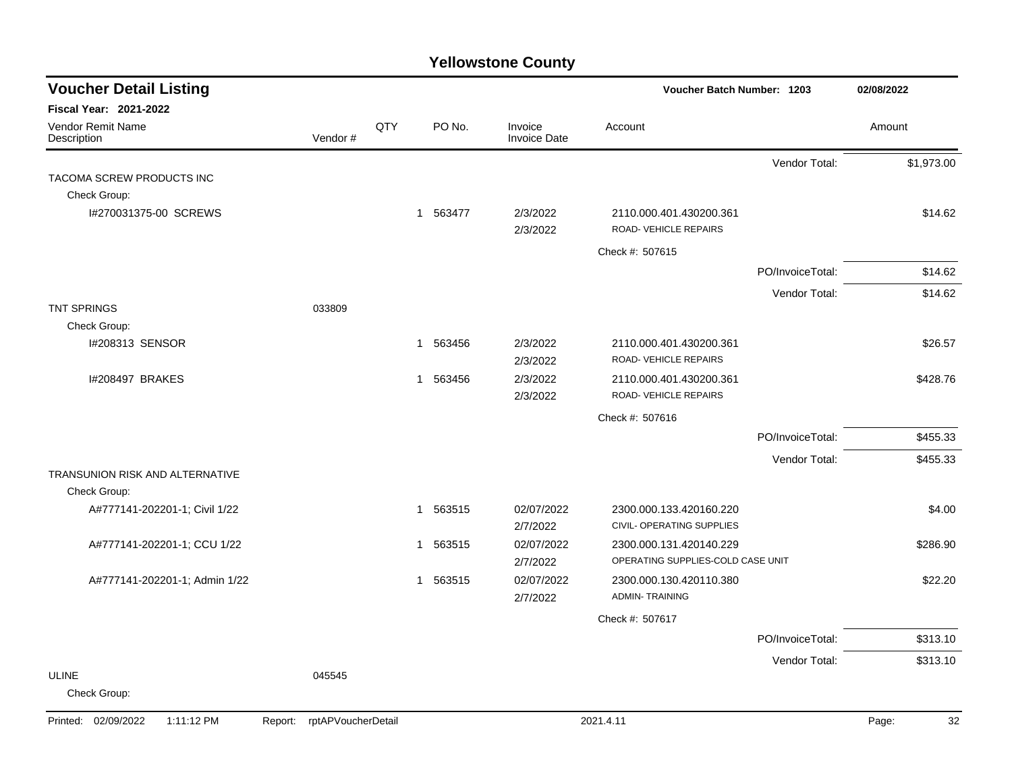| <b>Voucher Detail Listing</b>                              |                               |     |                        |                                | Voucher Batch Number: 1203                                   |                  | 02/08/2022  |
|------------------------------------------------------------|-------------------------------|-----|------------------------|--------------------------------|--------------------------------------------------------------|------------------|-------------|
| Fiscal Year: 2021-2022<br>Vendor Remit Name<br>Description | Vendor#                       | QTY | PO No.                 | Invoice<br><b>Invoice Date</b> | Account                                                      |                  | Amount      |
| TACOMA SCREW PRODUCTS INC                                  |                               |     |                        |                                |                                                              | Vendor Total:    | \$1,973.00  |
| Check Group:                                               |                               |     |                        |                                |                                                              |                  |             |
| I#270031375-00 SCREWS                                      |                               |     | 1 563477               | 2/3/2022<br>2/3/2022           | 2110.000.401.430200.361<br>ROAD-VEHICLE REPAIRS              |                  | \$14.62     |
|                                                            |                               |     |                        |                                | Check #: 507615                                              |                  |             |
|                                                            |                               |     |                        |                                |                                                              | PO/InvoiceTotal: | \$14.62     |
|                                                            |                               |     |                        |                                |                                                              | Vendor Total:    | \$14.62     |
| <b>TNT SPRINGS</b>                                         | 033809                        |     |                        |                                |                                                              |                  |             |
| Check Group:                                               |                               |     |                        |                                |                                                              |                  |             |
| I#208313 SENSOR                                            |                               |     | 1 563456               | 2/3/2022<br>2/3/2022           | 2110.000.401.430200.361<br>ROAD-VEHICLE REPAIRS              |                  | \$26.57     |
| I#208497 BRAKES                                            |                               |     | 563456<br>$\mathbf{1}$ | 2/3/2022<br>2/3/2022           | 2110.000.401.430200.361<br>ROAD- VEHICLE REPAIRS             |                  | \$428.76    |
|                                                            |                               |     |                        |                                | Check #: 507616                                              |                  |             |
|                                                            |                               |     |                        |                                |                                                              | PO/InvoiceTotal: | \$455.33    |
|                                                            |                               |     |                        |                                |                                                              | Vendor Total:    | \$455.33    |
| <b>TRANSUNION RISK AND ALTERNATIVE</b><br>Check Group:     |                               |     |                        |                                |                                                              |                  |             |
| A#777141-202201-1; Civil 1/22                              |                               |     | 563515<br>$\mathbf{1}$ | 02/07/2022<br>2/7/2022         | 2300.000.133.420160.220<br>CIVIL- OPERATING SUPPLIES         |                  | \$4.00      |
| A#777141-202201-1; CCU 1/22                                |                               |     | 563515<br>-1           | 02/07/2022<br>2/7/2022         | 2300.000.131.420140.229<br>OPERATING SUPPLIES-COLD CASE UNIT |                  | \$286.90    |
| A#777141-202201-1; Admin 1/22                              |                               |     | 563515<br>$\mathbf{1}$ | 02/07/2022<br>2/7/2022         | 2300.000.130.420110.380<br><b>ADMIN-TRAINING</b>             |                  | \$22.20     |
|                                                            |                               |     |                        |                                | Check #: 507617                                              |                  |             |
|                                                            |                               |     |                        |                                |                                                              | PO/InvoiceTotal: | \$313.10    |
|                                                            |                               |     |                        |                                |                                                              | Vendor Total:    | \$313.10    |
| ULINE<br>Check Group:                                      | 045545                        |     |                        |                                |                                                              |                  |             |
| Printed: 02/09/2022<br>1:11:12 PM                          | rptAPVoucherDetail<br>Report: |     |                        |                                | 2021.4.11                                                    |                  | 32<br>Page: |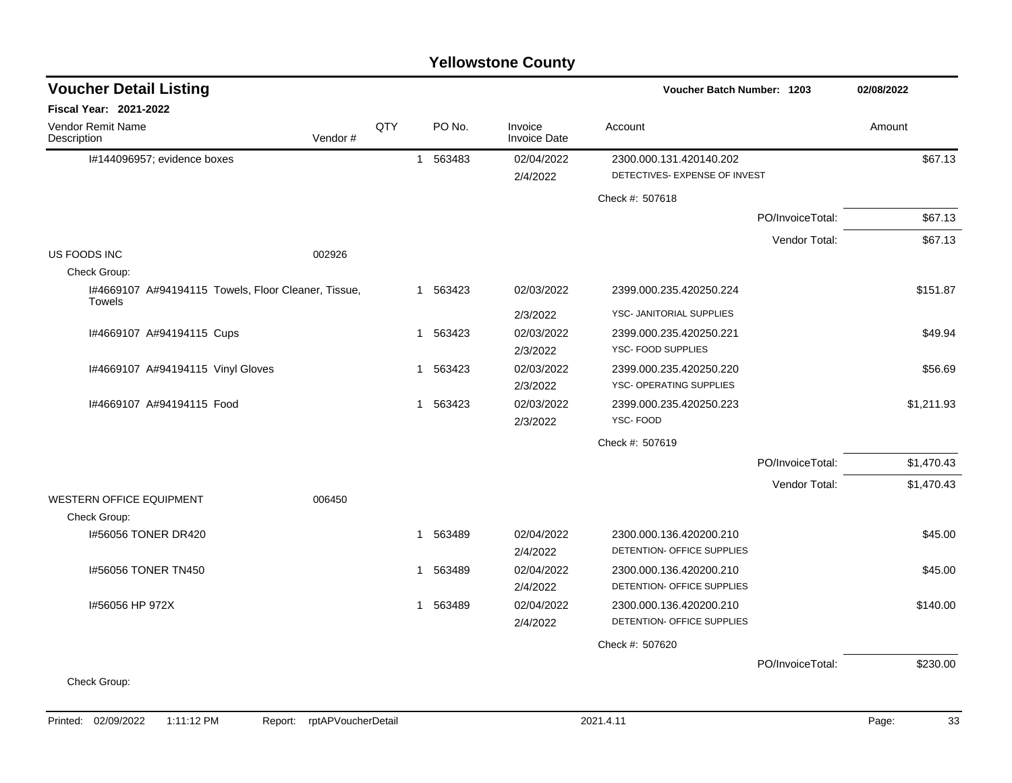| <b>Voucher Detail Listing</b>                                        |     |              |          |                                | Voucher Batch Number: 1203                               |                  | 02/08/2022 |
|----------------------------------------------------------------------|-----|--------------|----------|--------------------------------|----------------------------------------------------------|------------------|------------|
| <b>Fiscal Year: 2021-2022</b>                                        |     |              |          |                                |                                                          |                  |            |
| Vendor Remit Name<br>Vendor#<br>Description                          | QTY |              | PO No.   | Invoice<br><b>Invoice Date</b> | Account                                                  |                  | Amount     |
| I#144096957; evidence boxes                                          |     |              | 1 563483 | 02/04/2022<br>2/4/2022         | 2300.000.131.420140.202<br>DETECTIVES- EXPENSE OF INVEST |                  | \$67.13    |
|                                                                      |     |              |          |                                | Check #: 507618                                          |                  |            |
|                                                                      |     |              |          |                                |                                                          | PO/InvoiceTotal: | \$67.13    |
|                                                                      |     |              |          |                                |                                                          | Vendor Total:    | \$67.13    |
| US FOODS INC<br>002926                                               |     |              |          |                                |                                                          |                  |            |
| Check Group:                                                         |     |              |          |                                |                                                          |                  |            |
| I#4669107 A#94194115 Towels, Floor Cleaner, Tissue,<br><b>Towels</b> |     |              | 1 563423 | 02/03/2022                     | 2399.000.235.420250.224                                  |                  | \$151.87   |
|                                                                      |     |              |          | 2/3/2022                       | YSC- JANITORIAL SUPPLIES                                 |                  |            |
| I#4669107 A#94194115 Cups                                            |     | 1            | 563423   | 02/03/2022                     | 2399.000.235.420250.221                                  |                  | \$49.94    |
|                                                                      |     |              |          | 2/3/2022                       | YSC- FOOD SUPPLIES                                       |                  |            |
| I#4669107 A#94194115 Vinyl Gloves                                    |     | 1            | 563423   | 02/03/2022                     | 2399.000.235.420250.220                                  |                  | \$56.69    |
|                                                                      |     |              |          | 2/3/2022                       | YSC- OPERATING SUPPLIES                                  |                  |            |
| 1#4669107 A#94194115 Food                                            |     |              | 1 563423 | 02/03/2022                     | 2399.000.235.420250.223                                  |                  | \$1,211.93 |
|                                                                      |     |              |          | 2/3/2022                       | YSC-FOOD                                                 |                  |            |
|                                                                      |     |              |          |                                | Check #: 507619                                          |                  |            |
|                                                                      |     |              |          |                                |                                                          | PO/InvoiceTotal: | \$1,470.43 |
|                                                                      |     |              |          |                                |                                                          | Vendor Total:    | \$1,470.43 |
| <b>WESTERN OFFICE EQUIPMENT</b><br>006450                            |     |              |          |                                |                                                          |                  |            |
| Check Group:                                                         |     |              |          |                                |                                                          |                  |            |
| 1#56056 TONER DR420                                                  |     | 1            | 563489   | 02/04/2022                     | 2300.000.136.420200.210                                  |                  | \$45.00    |
|                                                                      |     |              |          | 2/4/2022                       | DETENTION- OFFICE SUPPLIES                               |                  |            |
| 1#56056 TONER TN450                                                  |     | 1            | 563489   | 02/04/2022                     | 2300.000.136.420200.210                                  |                  | \$45.00    |
|                                                                      |     |              |          | 2/4/2022                       | DETENTION- OFFICE SUPPLIES                               |                  |            |
| I#56056 HP 972X                                                      |     | $\mathbf{1}$ | 563489   | 02/04/2022                     | 2300.000.136.420200.210                                  |                  | \$140.00   |
|                                                                      |     |              |          | 2/4/2022                       | DETENTION- OFFICE SUPPLIES                               |                  |            |
|                                                                      |     |              |          |                                | Check #: 507620                                          |                  |            |
|                                                                      |     |              |          |                                |                                                          | PO/InvoiceTotal: | \$230.00   |
| Check Group:                                                         |     |              |          |                                |                                                          |                  |            |
|                                                                      |     |              |          |                                |                                                          |                  |            |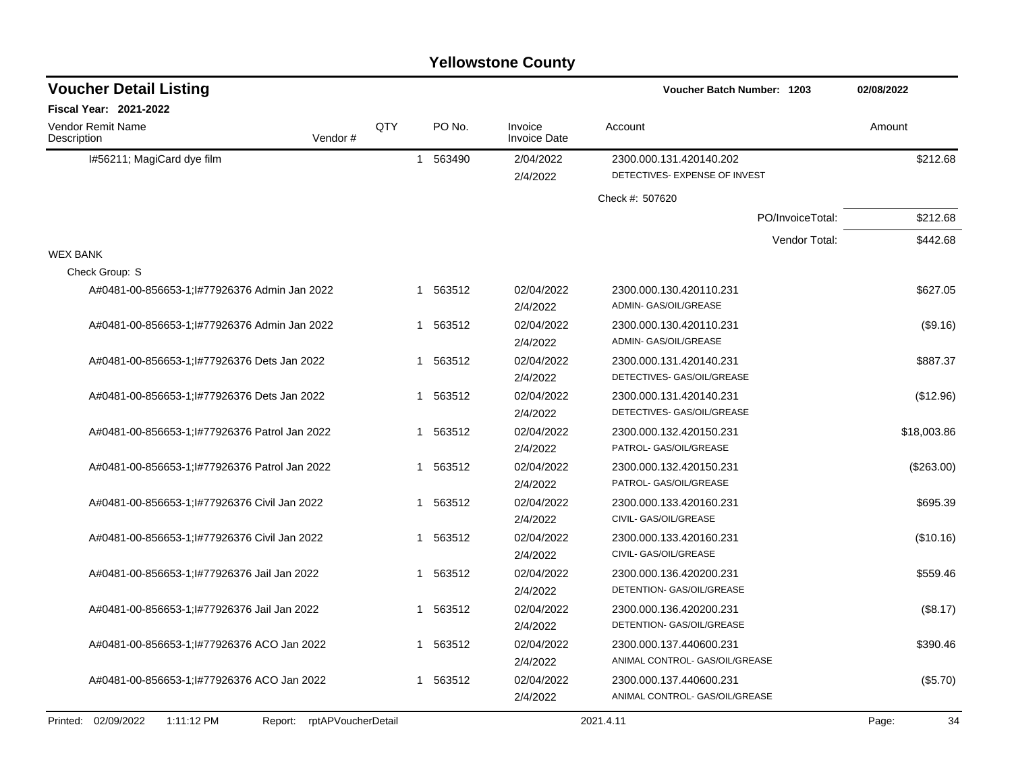|                                               |                            |              |          | <b>Yellowstone County</b>      |                                                   |             |
|-----------------------------------------------|----------------------------|--------------|----------|--------------------------------|---------------------------------------------------|-------------|
| <b>Voucher Detail Listing</b>                 |                            |              |          |                                | <b>Voucher Batch Number: 1203</b>                 | 02/08/2022  |
| Fiscal Year: 2021-2022                        |                            |              |          |                                |                                                   |             |
| Vendor Remit Name<br>Description              | Vendor#                    | QTY          | PO No.   | Invoice<br><b>Invoice Date</b> | Account                                           | Amount      |
| I#56211; MagiCard dye film                    |                            | $\mathbf{1}$ | 563490   | 2/04/2022                      | 2300.000.131.420140.202                           | \$212.68    |
|                                               |                            |              |          | 2/4/2022                       | DETECTIVES- EXPENSE OF INVEST                     |             |
|                                               |                            |              |          |                                | Check #: 507620                                   |             |
|                                               |                            |              |          |                                | PO/InvoiceTotal:                                  | \$212.68    |
|                                               |                            |              |          |                                | Vendor Total:                                     | \$442.68    |
| <b>WEX BANK</b>                               |                            |              |          |                                |                                                   |             |
| Check Group: S                                |                            |              |          |                                |                                                   |             |
| A#0481-00-856653-1; I#77926376 Admin Jan 2022 |                            |              | 1 563512 | 02/04/2022                     | 2300.000.130.420110.231                           | \$627.05    |
|                                               |                            |              |          | 2/4/2022                       | ADMIN- GAS/OIL/GREASE                             |             |
| A#0481-00-856653-1; I#77926376 Admin Jan 2022 |                            |              | 1 563512 | 02/04/2022                     | 2300.000.130.420110.231                           | (\$9.16)    |
|                                               |                            |              |          | 2/4/2022                       | ADMIN- GAS/OIL/GREASE                             |             |
| A#0481-00-856653-1; #77926376 Dets Jan 2022   |                            | 1            | 563512   | 02/04/2022                     | 2300.000.131.420140.231                           | \$887.37    |
|                                               |                            |              |          | 2/4/2022                       | DETECTIVES- GAS/OIL/GREASE                        |             |
| A#0481-00-856653-1; I#77926376 Dets Jan 2022  |                            | 1            | 563512   | 02/04/2022                     | 2300.000.131.420140.231                           | (\$12.96)   |
|                                               |                            |              |          | 2/4/2022                       | DETECTIVES- GAS/OIL/GREASE                        |             |
| A#0481-00-856653-1; #77926376 Patrol Jan 2022 |                            | 1            | 563512   | 02/04/2022<br>2/4/2022         | 2300.000.132.420150.231<br>PATROL- GAS/OIL/GREASE | \$18,003.86 |
|                                               |                            | 1            | 563512   | 02/04/2022                     |                                                   |             |
| A#0481-00-856653-1; #77926376 Patrol Jan 2022 |                            |              |          | 2/4/2022                       | 2300.000.132.420150.231<br>PATROL- GAS/OIL/GREASE | (\$263.00)  |
| A#0481-00-856653-1; I#77926376 Civil Jan 2022 |                            |              | 1 563512 | 02/04/2022                     | 2300.000.133.420160.231                           | \$695.39    |
|                                               |                            |              |          | 2/4/2022                       | CIVIL- GAS/OIL/GREASE                             |             |
| A#0481-00-856653-1; I#77926376 Civil Jan 2022 |                            | 1            | 563512   | 02/04/2022                     | 2300.000.133.420160.231                           | (\$10.16)   |
|                                               |                            |              |          | 2/4/2022                       | CIVIL- GAS/OIL/GREASE                             |             |
| A#0481-00-856653-1; I#77926376 Jail Jan 2022  |                            | 1            | 563512   | 02/04/2022                     | 2300.000.136.420200.231                           | \$559.46    |
|                                               |                            |              |          | 2/4/2022                       | DETENTION- GAS/OIL/GREASE                         |             |
| A#0481-00-856653-1;l#77926376 Jail Jan 2022   |                            | 1.           | 563512   | 02/04/2022                     | 2300.000.136.420200.231                           | (\$8.17)    |
|                                               |                            |              |          | 2/4/2022                       | DETENTION- GAS/OIL/GREASE                         |             |
| A#0481-00-856653-1; I#77926376 ACO Jan 2022   |                            |              | 1 563512 | 02/04/2022                     | 2300.000.137.440600.231                           | \$390.46    |
|                                               |                            |              |          | 2/4/2022                       | ANIMAL CONTROL- GAS/OIL/GREASE                    |             |
| A#0481-00-856653-1;1#77926376 ACO Jan 2022    |                            |              | 1 563512 | 02/04/2022                     | 2300.000.137.440600.231                           | (\$5.70)    |
|                                               |                            |              |          | 2/4/2022                       | ANIMAL CONTROL- GAS/OIL/GREASE                    |             |
| Printed: 02/09/2022<br>1:11:12 PM             | Report: rptAPVoucherDetail |              |          |                                | 2021.4.11                                         | Page:<br>34 |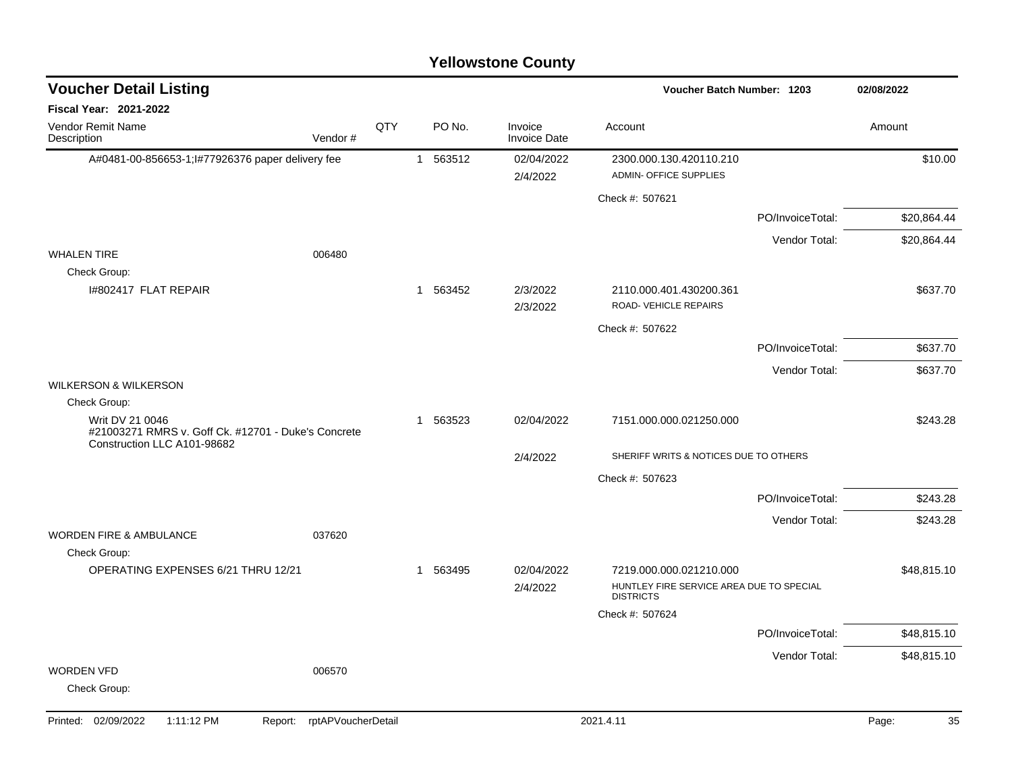| <b>Voucher Detail Listing</b>                       |                    |     |          |                                | Voucher Batch Number: 1203                                                              |                  | 02/08/2022  |
|-----------------------------------------------------|--------------------|-----|----------|--------------------------------|-----------------------------------------------------------------------------------------|------------------|-------------|
| <b>Fiscal Year: 2021-2022</b>                       |                    |     |          |                                |                                                                                         |                  |             |
| <b>Vendor Remit Name</b><br>Description             | Vendor#            | QTY | PO No.   | Invoice<br><b>Invoice Date</b> | Account                                                                                 |                  | Amount      |
| A#0481-00-856653-1; 1#77926376 paper delivery fee   |                    |     | 1 563512 | 02/04/2022<br>2/4/2022         | 2300.000.130.420110.210<br>ADMIN- OFFICE SUPPLIES                                       |                  | \$10.00     |
|                                                     |                    |     |          |                                | Check #: 507621                                                                         |                  |             |
|                                                     |                    |     |          |                                |                                                                                         | PO/InvoiceTotal: | \$20,864.44 |
|                                                     |                    |     |          |                                |                                                                                         | Vendor Total:    | \$20,864.44 |
| <b>WHALEN TIRE</b><br>Check Group:                  | 006480             |     |          |                                |                                                                                         |                  |             |
| 1#802417 FLAT REPAIR                                |                    |     | 1 563452 | 2/3/2022<br>2/3/2022           | 2110.000.401.430200.361<br>ROAD-VEHICLE REPAIRS                                         |                  | \$637.70    |
|                                                     |                    |     |          |                                | Check #: 507622                                                                         |                  |             |
|                                                     |                    |     |          |                                |                                                                                         | PO/InvoiceTotal: | \$637.70    |
|                                                     |                    |     |          |                                |                                                                                         | Vendor Total:    | \$637.70    |
| <b>WILKERSON &amp; WILKERSON</b>                    |                    |     |          |                                |                                                                                         |                  |             |
| Check Group:<br>Writ DV 21 0046                     |                    |     | 1 563523 | 02/04/2022                     | 7151.000.000.021250.000                                                                 |                  | \$243.28    |
| #21003271 RMRS v. Goff Ck. #12701 - Duke's Concrete |                    |     |          |                                |                                                                                         |                  |             |
| Construction LLC A101-98682                         |                    |     |          | 2/4/2022                       | SHERIFF WRITS & NOTICES DUE TO OTHERS                                                   |                  |             |
|                                                     |                    |     |          |                                | Check #: 507623                                                                         |                  |             |
|                                                     |                    |     |          |                                |                                                                                         | PO/InvoiceTotal: | \$243.28    |
|                                                     |                    |     |          |                                |                                                                                         | Vendor Total:    | \$243.28    |
| <b>WORDEN FIRE &amp; AMBULANCE</b>                  | 037620             |     |          |                                |                                                                                         |                  |             |
| Check Group:                                        |                    |     |          |                                |                                                                                         |                  |             |
| OPERATING EXPENSES 6/21 THRU 12/21                  |                    |     | 1 563495 | 02/04/2022<br>2/4/2022         | 7219.000.000.021210.000<br>HUNTLEY FIRE SERVICE AREA DUE TO SPECIAL<br><b>DISTRICTS</b> |                  | \$48,815.10 |
|                                                     |                    |     |          |                                | Check #: 507624                                                                         |                  |             |
|                                                     |                    |     |          |                                |                                                                                         | PO/InvoiceTotal: | \$48,815.10 |
|                                                     |                    |     |          |                                |                                                                                         | Vendor Total:    | \$48,815.10 |
| <b>WORDEN VFD</b><br>Check Group:                   | 006570             |     |          |                                |                                                                                         |                  |             |
| Printed: 02/09/2022<br>1:11:12 PM<br>Report:        | rptAPVoucherDetail |     |          |                                | 2021.4.11                                                                               |                  | 35<br>Page: |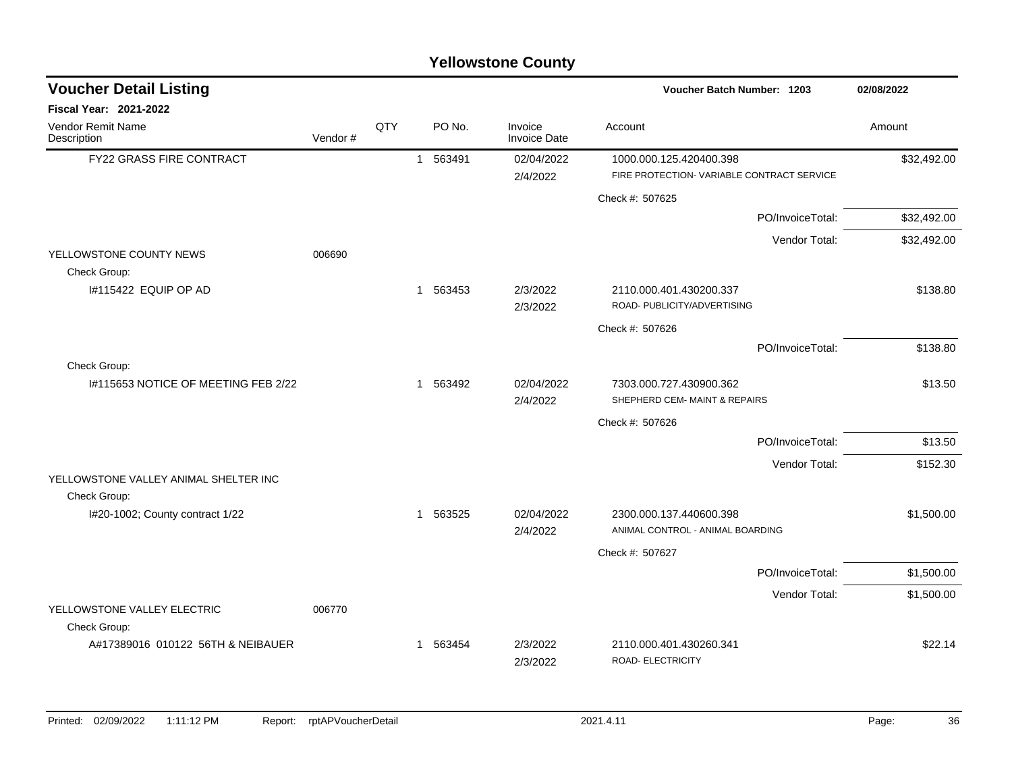| <b>Voucher Detail Listing</b>                   |         |     |              |          |                                | <b>Voucher Batch Number: 1203</b>                                     | 02/08/2022  |
|-------------------------------------------------|---------|-----|--------------|----------|--------------------------------|-----------------------------------------------------------------------|-------------|
| Fiscal Year: 2021-2022                          |         |     |              |          |                                |                                                                       |             |
| <b>Vendor Remit Name</b><br>Description         | Vendor# | QTY |              | PO No.   | Invoice<br><b>Invoice Date</b> | Account                                                               | Amount      |
| <b>FY22 GRASS FIRE CONTRACT</b>                 |         |     | $\mathbf{1}$ | 563491   | 02/04/2022<br>2/4/2022         | 1000.000.125.420400.398<br>FIRE PROTECTION- VARIABLE CONTRACT SERVICE | \$32,492.00 |
|                                                 |         |     |              |          |                                | Check #: 507625                                                       |             |
|                                                 |         |     |              |          |                                | PO/InvoiceTotal:                                                      | \$32,492.00 |
|                                                 |         |     |              |          |                                | Vendor Total:                                                         | \$32,492.00 |
| YELLOWSTONE COUNTY NEWS<br>Check Group:         | 006690  |     |              |          |                                |                                                                       |             |
| I#115422 EQUIP OP AD                            |         |     | $\mathbf{1}$ | 563453   | 2/3/2022<br>2/3/2022           | 2110.000.401.430200.337<br>ROAD- PUBLICITY/ADVERTISING                | \$138.80    |
|                                                 |         |     |              |          |                                | Check #: 507626                                                       |             |
|                                                 |         |     |              |          |                                | PO/InvoiceTotal:                                                      | \$138.80    |
| Check Group:                                    |         |     |              |          |                                |                                                                       |             |
| 1#115653 NOTICE OF MEETING FEB 2/22             |         |     | $\mathbf{1}$ | 563492   | 02/04/2022<br>2/4/2022         | 7303.000.727.430900.362<br>SHEPHERD CEM- MAINT & REPAIRS              | \$13.50     |
|                                                 |         |     |              |          |                                | Check #: 507626                                                       |             |
|                                                 |         |     |              |          |                                | PO/InvoiceTotal:                                                      | \$13.50     |
|                                                 |         |     |              |          |                                | Vendor Total:                                                         | \$152.30    |
| YELLOWSTONE VALLEY ANIMAL SHELTER INC           |         |     |              |          |                                |                                                                       |             |
| Check Group:<br>I#20-1002; County contract 1/22 |         |     |              | 1 563525 | 02/04/2022<br>2/4/2022         | 2300.000.137.440600.398<br>ANIMAL CONTROL - ANIMAL BOARDING           | \$1,500.00  |
|                                                 |         |     |              |          |                                | Check #: 507627                                                       |             |
|                                                 |         |     |              |          |                                | PO/InvoiceTotal:                                                      | \$1,500.00  |
|                                                 |         |     |              |          |                                | Vendor Total:                                                         | \$1,500.00  |
| YELLOWSTONE VALLEY ELECTRIC<br>Check Group:     | 006770  |     |              |          |                                |                                                                       |             |
| A#17389016 010122 56TH & NEIBAUER               |         |     | $\mathbf{1}$ | 563454   | 2/3/2022<br>2/3/2022           | 2110.000.401.430260.341<br>ROAD- ELECTRICITY                          | \$22.14     |